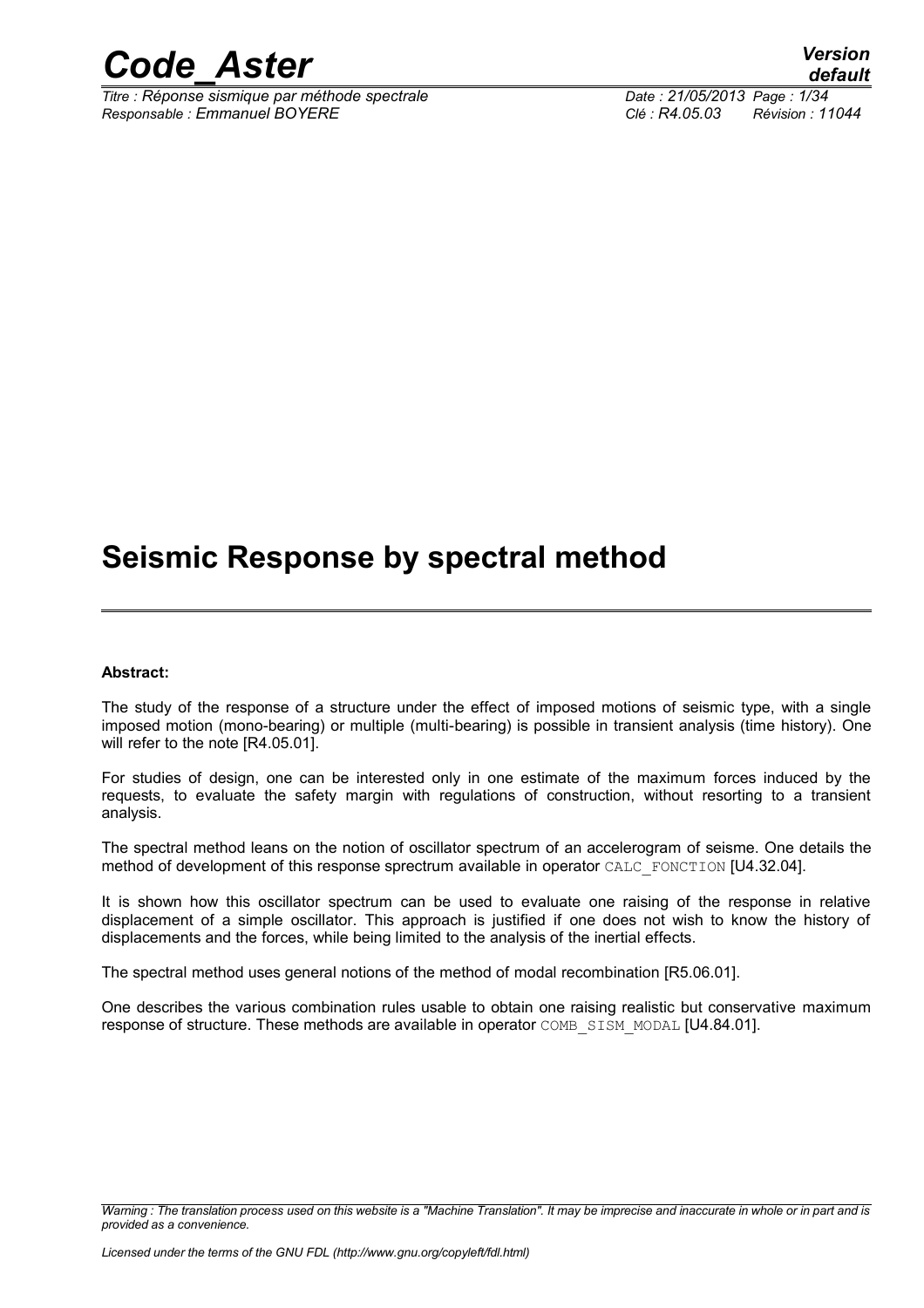

*Titre : Réponse sismique par méthode spectrale Date : 21/05/2013 Page : 1/34 Responsable : Emmanuel BOYERE Clé : R4.05.03 Révision : 11044*

*default*

## **Seismic Response by spectral method**

#### **Abstract:**

The study of the response of a structure under the effect of imposed motions of seismic type, with a single imposed motion (mono-bearing) or multiple (multi-bearing) is possible in transient analysis (time history). One will refer to the note [R4.05.01].

For studies of design, one can be interested only in one estimate of the maximum forces induced by the requests, to evaluate the safety margin with regulations of construction, without resorting to a transient analysis.

The spectral method leans on the notion of oscillator spectrum of an accelerogram of seisme. One details the method of development of this response sprectrum available in operator CALC\_FONCTION [U4.32.04].

It is shown how this oscillator spectrum can be used to evaluate one raising of the response in relative displacement of a simple oscillator. This approach is justified if one does not wish to know the history of displacements and the forces, while being limited to the analysis of the inertial effects.

The spectral method uses general notions of the method of modal recombination [R5.06.01].

One describes the various combination rules usable to obtain one raising realistic but conservative maximum response of structure. These methods are available in operator COMB\_SISM\_MODAL [U4.84.01].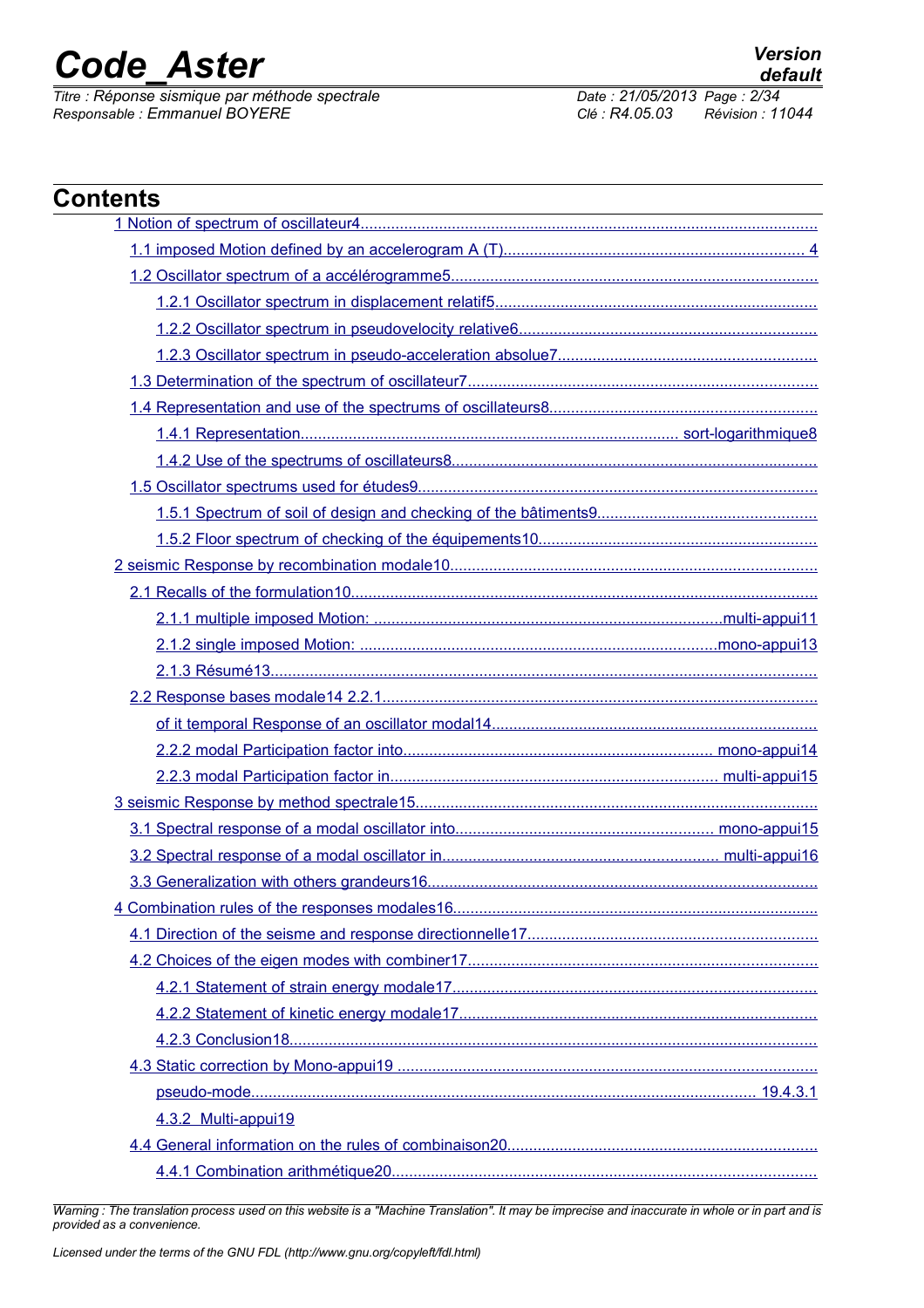*Titre : Réponse sismique par méthode spectrale Date : 21/05/2013 Page : 2/34 Responsable : Emmanuel BOYERE Clé : R4.05.03 Révision : 11044*

| <b>Contents</b>     |
|---------------------|
|                     |
|                     |
|                     |
|                     |
|                     |
|                     |
|                     |
|                     |
|                     |
|                     |
|                     |
|                     |
|                     |
|                     |
|                     |
|                     |
|                     |
|                     |
|                     |
|                     |
|                     |
|                     |
|                     |
|                     |
|                     |
|                     |
|                     |
|                     |
|                     |
|                     |
|                     |
|                     |
|                     |
|                     |
| 4.3.2 Multi-appui19 |
|                     |
|                     |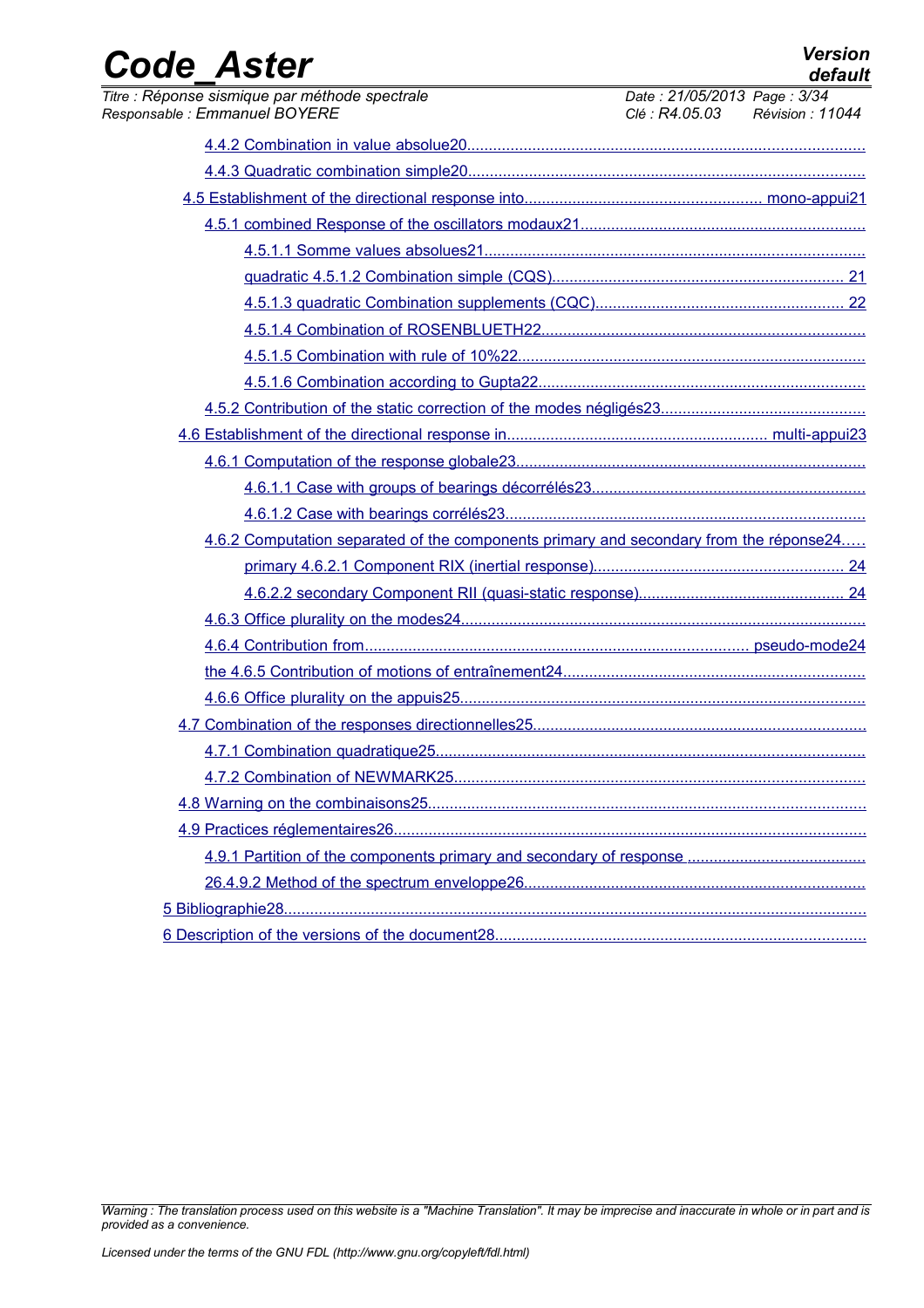|                   | <b>Version</b> |
|-------------------|----------------|
| <b>Code Aster</b> | default        |

| Titre : Réponse sismique par méthode spectrale<br>Responsable: Emmanuel BOYERE         | Date: 21/05/2013 Page: 3/34<br>Clé : R4.05.03 Révision : 11044 |
|----------------------------------------------------------------------------------------|----------------------------------------------------------------|
|                                                                                        |                                                                |
|                                                                                        |                                                                |
|                                                                                        |                                                                |
|                                                                                        |                                                                |
|                                                                                        |                                                                |
|                                                                                        |                                                                |
|                                                                                        |                                                                |
|                                                                                        |                                                                |
|                                                                                        |                                                                |
|                                                                                        |                                                                |
|                                                                                        |                                                                |
|                                                                                        |                                                                |
|                                                                                        |                                                                |
|                                                                                        |                                                                |
|                                                                                        |                                                                |
| 4.6.2 Computation separated of the components primary and secondary from the réponse24 |                                                                |
|                                                                                        |                                                                |
|                                                                                        |                                                                |
|                                                                                        |                                                                |
|                                                                                        |                                                                |
|                                                                                        |                                                                |
|                                                                                        |                                                                |
|                                                                                        |                                                                |
|                                                                                        |                                                                |
|                                                                                        |                                                                |
|                                                                                        |                                                                |
|                                                                                        |                                                                |
|                                                                                        |                                                                |
|                                                                                        |                                                                |
|                                                                                        |                                                                |
|                                                                                        |                                                                |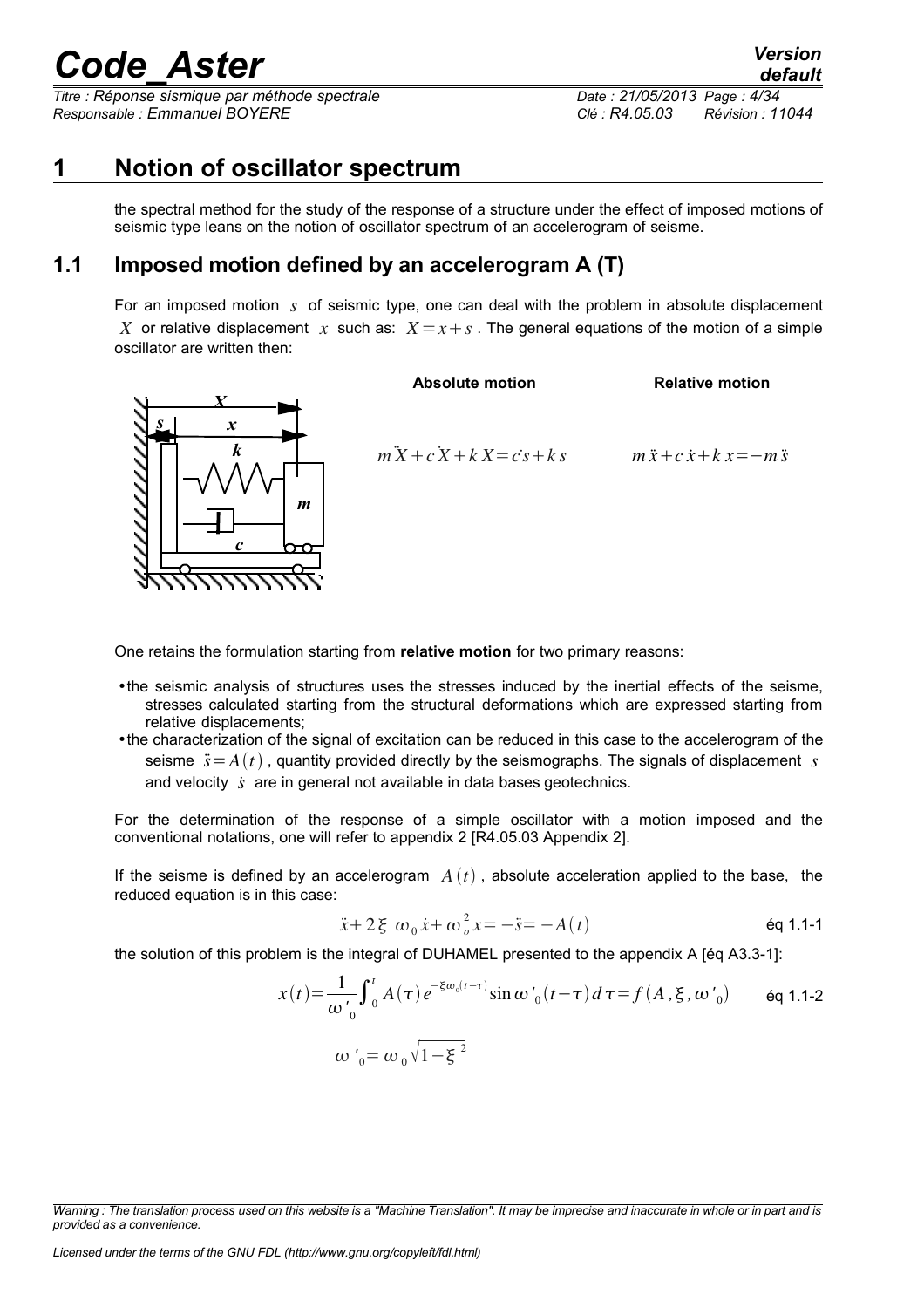*Titre : Réponse sismique par méthode spectrale Date : 21/05/2013 Page : 4/34 Responsable : Emmanuel BOYERE Clé : R4.05.03 Révision : 11044*

## **1 Notion of oscillator spectrum**

<span id="page-3-0"></span>the spectral method for the study of the response of a structure under the effect of imposed motions of seismic type leans on the notion of oscillator spectrum of an accelerogram of seisme.

## **1.1 Imposed motion defined by an accelerogram A (T)**

<span id="page-3-1"></span>For an imposed motion *s* of seismic type, one can deal with the problem in absolute displacement *X* or relative displacement *x* such as:  $X = x + s$ . The general equations of the motion of a simple oscillator are written then:

**Absolute motion**



 $m^2X + c^2X + kX = c^2s + ks$ 

 $m\ddot{x} + c\dot{x} + k\dot{x} = -m\ddot{s}$ 

**Relative motion**

One retains the formulation starting from **relative motion** for two primary reasons:

- •the seismic analysis of structures uses the stresses induced by the inertial effects of the seisme, stresses calculated starting from the structural deformations which are expressed starting from relative displacements;
- •the characterization of the signal of excitation can be reduced in this case to the accelerogram of the seisme  $\ddot{s} = A(t)$ , quantity provided directly by the seismographs. The signals of displacement *s* and velocity *s*˙ are in general not available in data bases geotechnics.

For the determination of the response of a simple oscillator with a motion imposed and the conventional notations, one will refer to appendix 2 [R4.05.03 Appendix 2].

If the seisme is defined by an accelerogram  $A(t)$ , absolute acceleration applied to the base, the reduced equation is in this case:

$$
\ddot{x} + 2\xi \omega_0 \dot{x} + \omega_0^2 x = -\ddot{s} = -A(t)
$$

the solution of this problem is the integral of DUHAMEL presented to the appendix A [éq A3.3-1]:

$$
x(t) = \frac{1}{\omega'_{0}} \int_{0}^{t} A(\tau) e^{-\xi \omega_{0}(t-\tau)} \sin \omega'_{0}(t-\tau) d\tau = f(A, \xi, \omega'_{0}) \quad \text{eq 1.1-2}
$$
  

$$
\omega'_{0} = \omega_{0} \sqrt{1-\xi^{2}}
$$

*Licensed under the terms of the GNU FDL (http://www.gnu.org/copyleft/fdl.html)*

*Warning : The translation process used on this website is a "Machine Translation". It may be imprecise and inaccurate in whole or in part and is provided as a convenience.*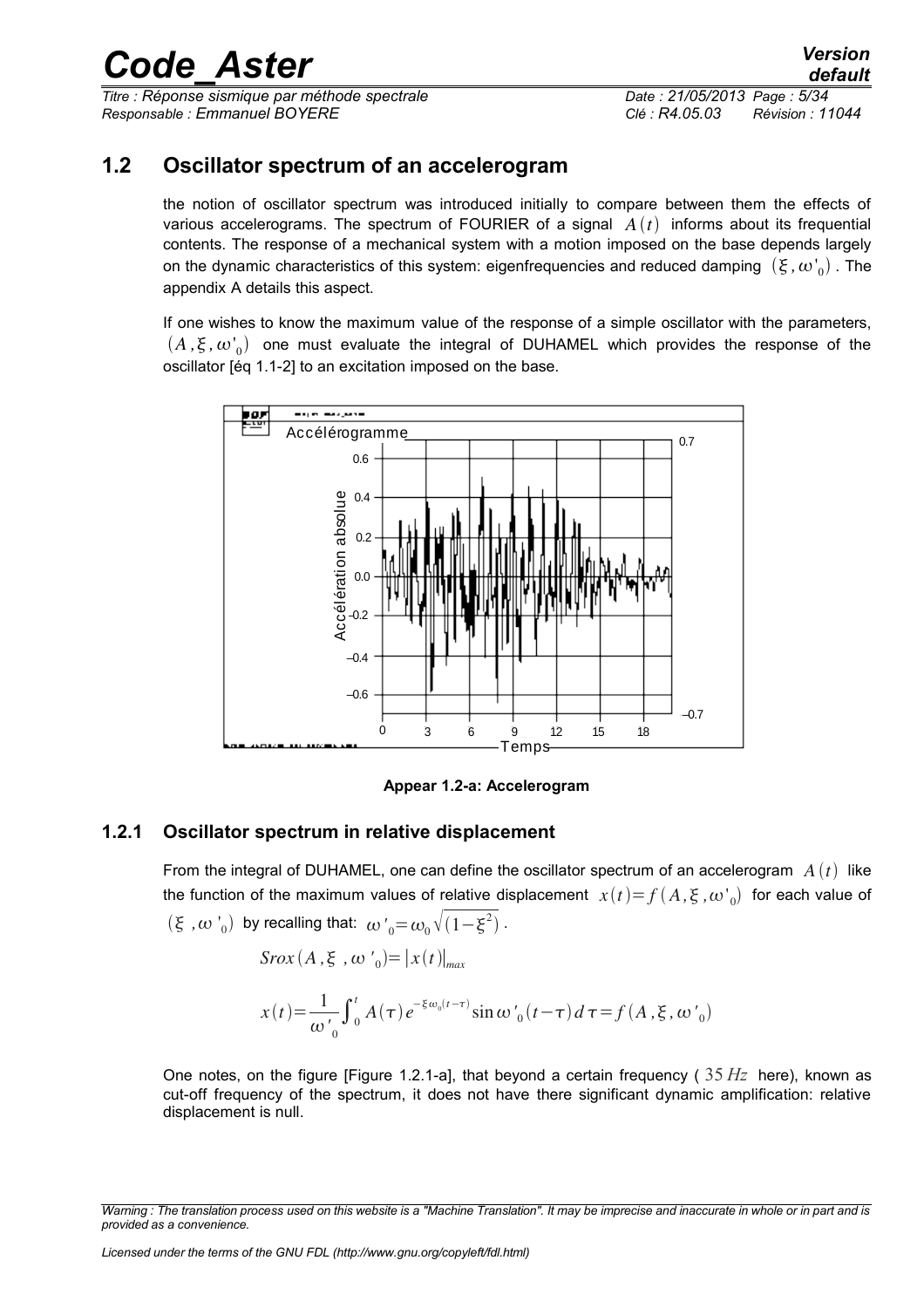*Titre : Réponse sismique par méthode spectrale Date : 21/05/2013 Page : 5/34 Responsable : Emmanuel BOYERE Clé : R4.05.03 Révision : 11044*

*default*

## **1.2 Oscillator spectrum of an accelerogram**

<span id="page-4-1"></span>the notion of oscillator spectrum was introduced initially to compare between them the effects of various accelerograms. The spectrum of FOURIER of a signal  $A(t)$  informs about its frequential contents. The response of a mechanical system with a motion imposed on the base depends largely on the dynamic characteristics of this system: eigenfrequencies and reduced damping  $\ (\xi, {\omega'}_0)$  . The appendix A details this aspect.

If one wishes to know the maximum value of the response of a simple oscillator with the parameters,  $(A, \xi, \omega'_0)$  one must evaluate the integral of DUHAMEL which provides the response of the oscillator [éq 1.1-2] to an excitation imposed on the base.



**Appear 1.2-a: Accelerogram**

### **1.2.1 Oscillator spectrum in relative displacement**

<span id="page-4-0"></span>From the integral of DUHAMEL, one can define the oscillator spectrum of an accelerogram  $A(t)$  like the function of the maximum values of relative displacement  $\; x(t) {=} f(A,\xi\,$  , $\omega^,_0) \;$  for each value of  $(\xi, \omega')$  by recalling that:  $\omega'_{0} = \omega_{0} \sqrt{(1-\xi^{2})}$ .

 $S$ *rox*  $(A, \xi, \omega') = |x(t)|_{max}$ 

$$
x(t) = \frac{1}{\omega'_{0}} \int_{0}^{t} A(\tau) e^{-\xi \omega_{0}(t-\tau)} \sin \omega'_{0}(t-\tau) d\tau = f(A, \xi, \omega'_{0})
$$

One notes, on the figure [Figure 1.2.1-a], that beyond a certain frequency ( 35 *Hz* here), known as cut-off frequency of the spectrum, it does not have there significant dynamic amplification: relative displacement is null.

*Warning : The translation process used on this website is a "Machine Translation". It may be imprecise and inaccurate in whole or in part and is provided as a convenience.*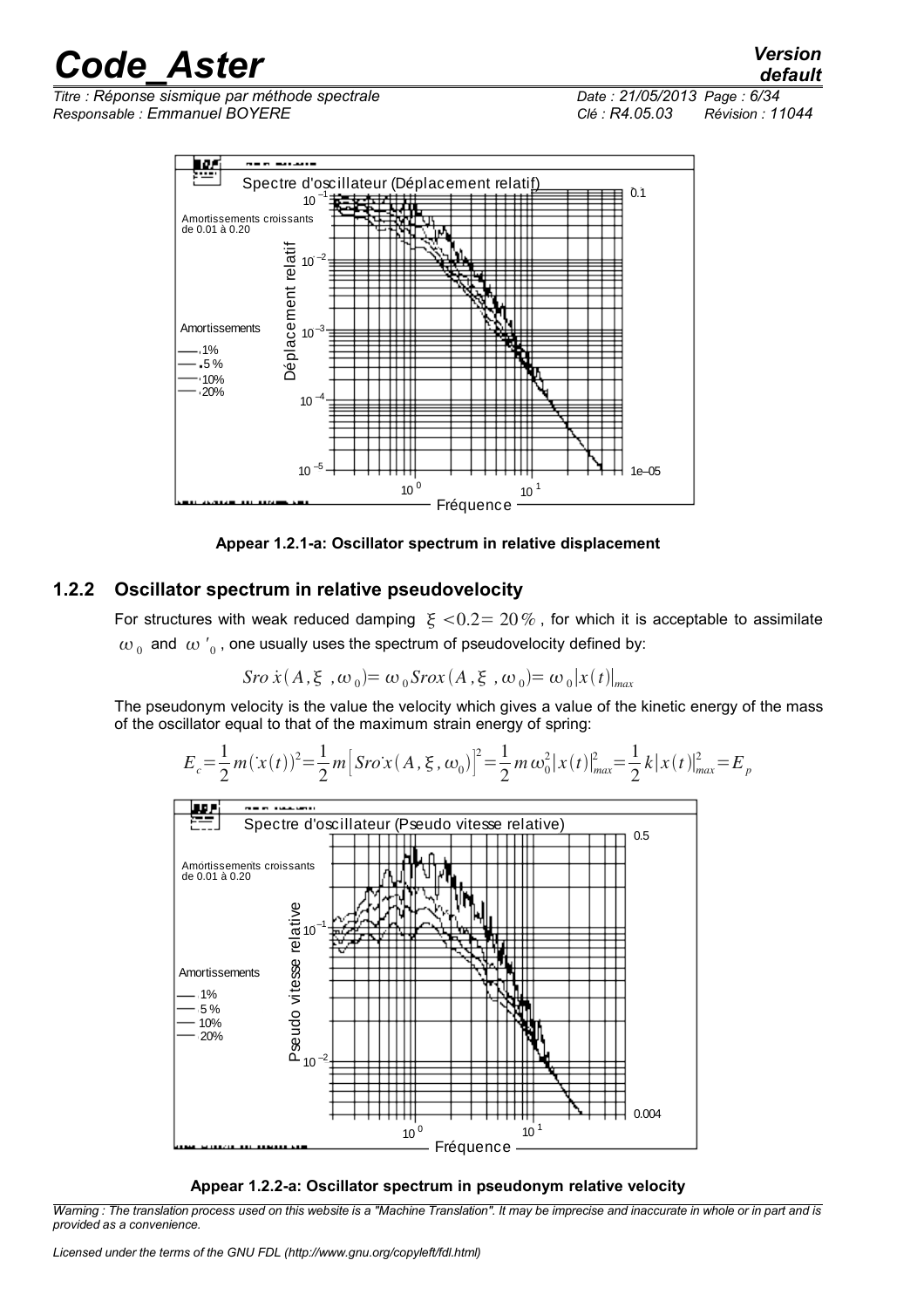*Titre : Réponse sismique par méthode spectrale Date : 21/05/2013 Page : 6/34 Responsable : Emmanuel BOYERE Clé : R4.05.03 Révision : 11044*

*default*



**Appear 1.2.1-a: Oscillator spectrum in relative displacement**

### **1.2.2 Oscillator spectrum in relative pseudovelocity**

<span id="page-5-0"></span>For structures with weak reduced damping  $\xi < 0.2 = 20\%$ , for which it is acceptable to assimilate  $\omega_{\,0}\,$  and  $\,\omega_{\,0}^{\,\prime}$  , one usually uses the spectrum of pseudovelocity defined by:

$$
Sro\,\dot{x}(A,\xi^{\prime},\omega_{0}) = \omega_{0}Srox(A,\xi^{\prime},\omega_{0}) = \omega_{0}|x(t)|_{max}
$$

The pseudonym velocity is the value the velocity which gives a value of the kinetic energy of the mass of the oscillator equal to that of the maximum strain energy of spring:







*Warning : The translation process used on this website is a "Machine Translation". It may be imprecise and inaccurate in whole or in part and is provided as a convenience.*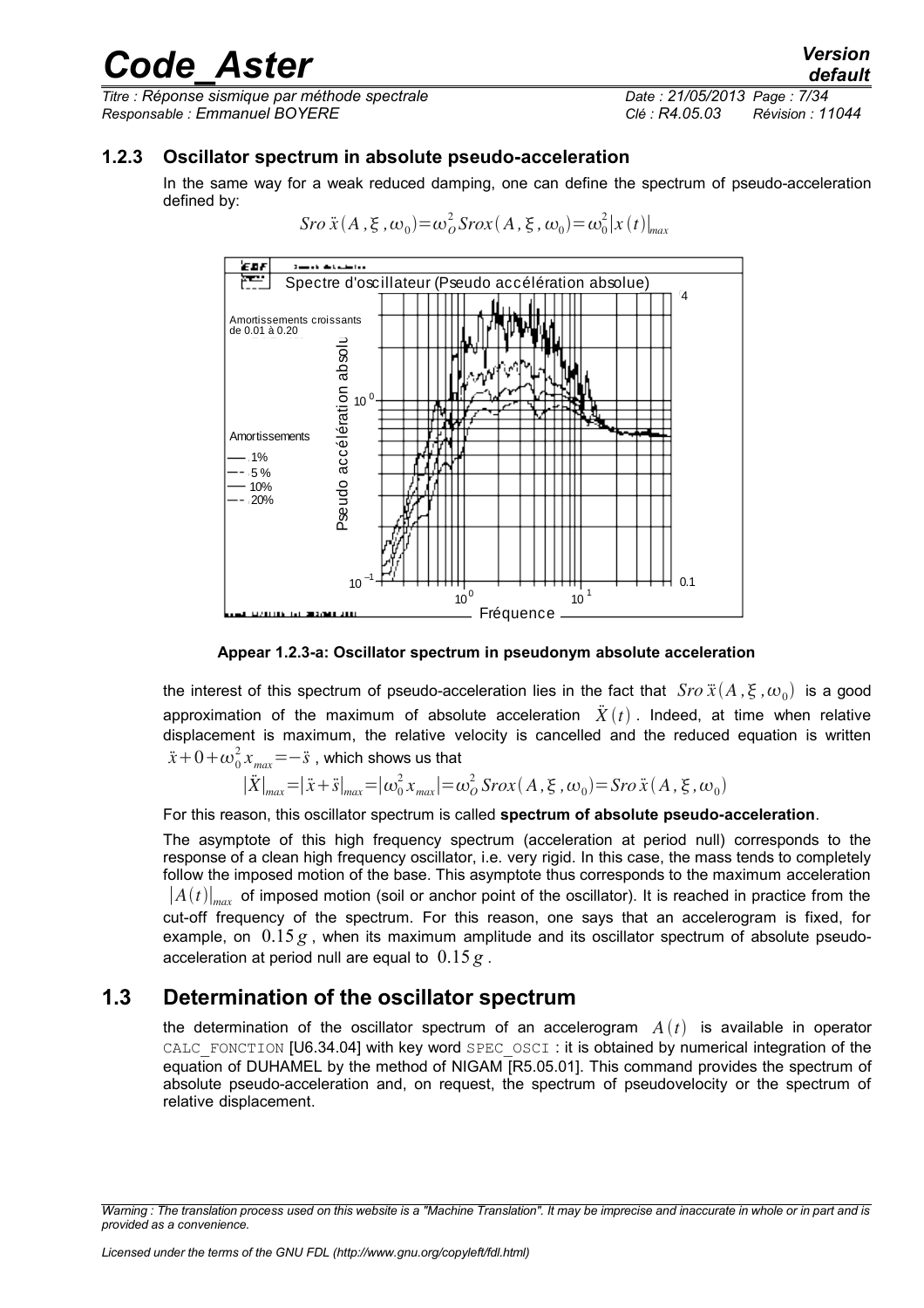*Titre : Réponse sismique par méthode spectrale Date : 21/05/2013 Page : 7/34 Responsable : Emmanuel BOYERE Clé : R4.05.03 Révision : 11044*

### **1.2.3 Oscillator spectrum in absolute pseudo-acceleration**

<span id="page-6-1"></span>In the same way for a weak reduced damping, one can define the spectrum of pseudo-acceleration defined by:

 $S$ *ro*  $\ddot{x}$   $(A, \xi, \omega_0) = \omega_o^2$   $S$ *rox*  $(A, \xi, \omega_0) = \omega_0^2 |x(t)|_{max}$ 



**Appear 1.2.3-a: Oscillator spectrum in pseudonym absolute acceleration**

the interest of this spectrum of pseudo-acceleration lies in the fact that  $\;Sro\,\ddot{x}(A\,,\xi\,,\omega_{_0})\;$  is a good approximation of the maximum of absolute acceleration  $\ddot{X}(t)$ . Indeed, at time when relative displacement is maximum, the relative velocity is cancelled and the reduced equation is written  $\ddot{x}$ +0+ $\omega_0^2 x_{max}$ = $-\ddot{s}$  , which shows us that

$$
|\ddot{X}|_{max} = |\ddot{x} + \ddot{s}|_{max} = |\omega_0^2 x_{max}| = \omega_0^2 \text{S} \cos(A, \xi, \omega_0) = \text{S} \cos(X, \xi, \omega_0)
$$

For this reason, this oscillator spectrum is called **spectrum of absolute pseudo-acceleration**.

The asymptote of this high frequency spectrum (acceleration at period null) corresponds to the response of a clean high frequency oscillator, i.e. very rigid. In this case, the mass tends to completely follow the imposed motion of the base. This asymptote thus corresponds to the maximum acceleration  $|A(t)|_{max}$  of imposed motion (soil or anchor point of the oscillator). It is reached in practice from the cut-off frequency of the spectrum. For this reason, one says that an accelerogram is fixed, for example, on  $0.15 g$ , when its maximum amplitude and its oscillator spectrum of absolute pseudoacceleration at period null are equal to 0.15 *g* .

## **1.3 Determination of the oscillator spectrum**

<span id="page-6-0"></span>the determination of the oscillator spectrum of an accelerogram  $A(t)$  is available in operator CALC\_FONCTION [U6.34.04] with key word SPEC\_OSCI : it is obtained by numerical integration of the equation of DUHAMEL by the method of NIGAM [R5.05.01]. This command provides the spectrum of absolute pseudo-acceleration and, on request, the spectrum of pseudovelocity or the spectrum of relative displacement.

*Warning : The translation process used on this website is a "Machine Translation". It may be imprecise and inaccurate in whole or in part and is provided as a convenience.*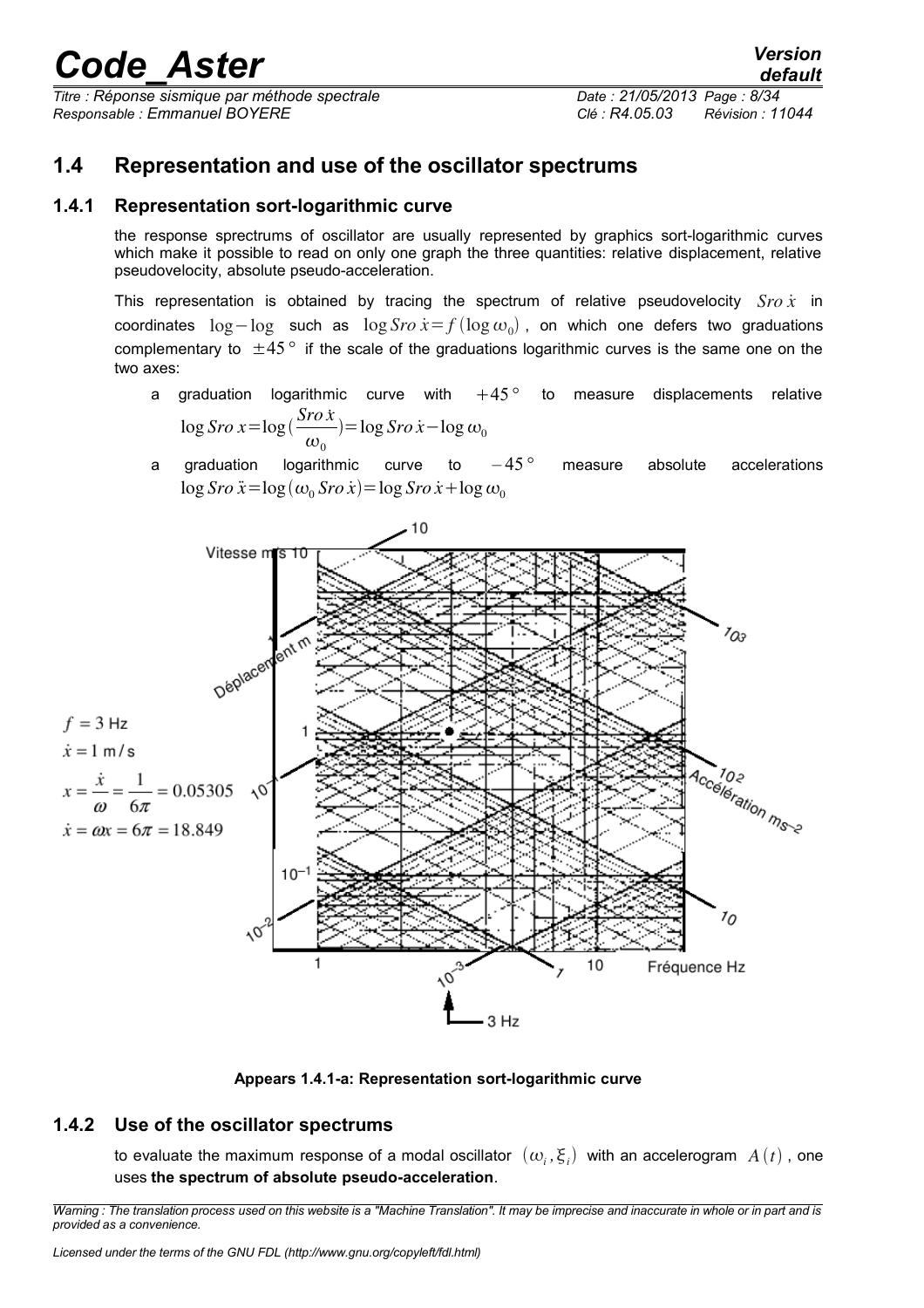*Titre : Réponse sismique par méthode spectrale Date : 21/05/2013 Page : 8/34 Responsable : Emmanuel BOYERE Clé : R4.05.03 Révision : 11044*

## <span id="page-7-2"></span>**1.4 Representation and use of the oscillator spectrums**

### **1.4.1 Representation sort-logarithmic curve**

<span id="page-7-1"></span>the response sprectrums of oscillator are usually represented by graphics sort-logarithmic curves which make it possible to read on only one graph the three quantities: relative displacement, relative pseudovelocity, absolute pseudo-acceleration.

This representation is obtained by tracing the spectrum of relative pseudovelocity *Sro x*˙ in coordinates log−log such as log *Sro*  $\dot{x} = f$ (log ω<sub>0</sub>), on which one defers two graduations complementary to ±45*°* if the scale of the graduations logarithmic curves is the same one on the two axes:

- a graduation logarithmic curve with 45*°* to measure displacements relative log *Sro x*=log *Sro x*˙  $\omega_0$  $)=\log S$ *ro*  $\dot{x}$  − log  $\omega_0$
- a graduation logarithmic curve to  $-45^{\circ}$  measure absolute accelerations  $\log$  *Sro*  $\ddot{x} = \log(\omega_0$  *Sro*  $\dot{x}$  $) = \log$  *Sro*  $\dot{x} + \log \omega_0$



**Appears 1.4.1-a: Representation sort-logarithmic curve**

## **1.4.2 Use of the oscillator spectrums**

<span id="page-7-0"></span>to evaluate the maximum response of a modal oscillator  $\;(\omega_i,\xi_i)\;$  with an accelerogram  $\;A\left(t\right)$  , one uses **the spectrum of absolute pseudo-acceleration**.

*Warning : The translation process used on this website is a "Machine Translation". It may be imprecise and inaccurate in whole or in part and is provided as a convenience.*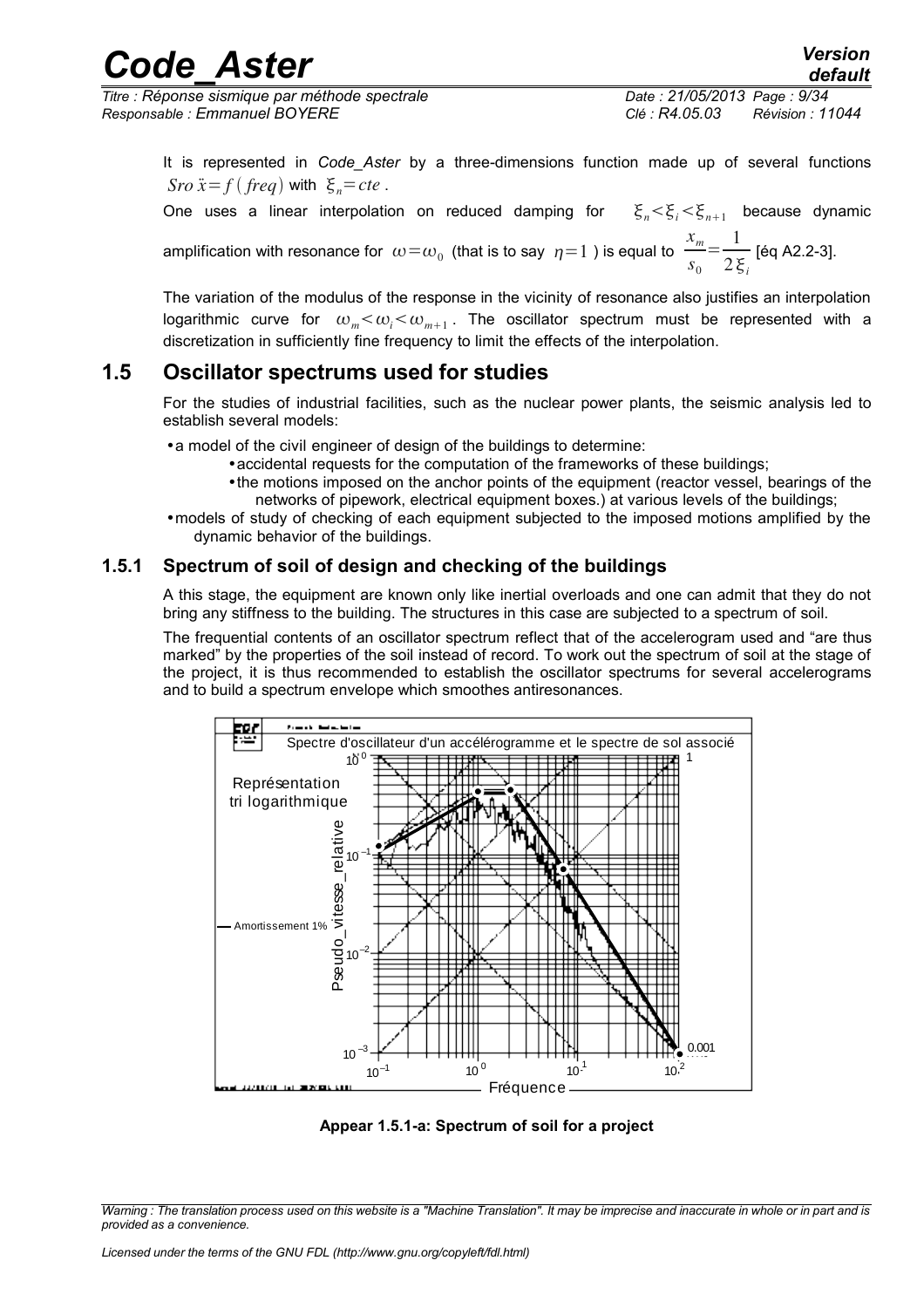*Titre : Réponse sismique par méthode spectrale Date : 21/05/2013 Page : 9/34 Responsable : Emmanuel BOYERE Clé : R4.05.03 Révision : 11044*

It is represented in *Code\_Aster* by a three-dimensions function made up of several functions *Sro*  $\ddot{x} = f$  (*freq*) with  $\xi_{n} = cte$ .

One uses a linear interpolation on reduced damping for  $\xi_n < \xi_i < \xi_{n+1}$  because dynamic

amplification with resonance for  $\left.\omega\!=\!\omega_{_{0}}\right.$  (that is to say  $\left.\eta\!=\!1\right.$  ) is equal to *xm s*0  $=\frac{1}{\sqrt{2}}$  $2\xi_i$  [éq A2.2-3].

The variation of the modulus of the response in the vicinity of resonance also justifies an interpolation logarithmic curve for  $\omega_m<\omega_i<\omega_{m+1}$ . The oscillator spectrum must be represented with a discretization in sufficiently fine frequency to limit the effects of the interpolation.

## **1.5 Oscillator spectrums used for studies**

<span id="page-8-1"></span>For the studies of industrial facilities, such as the nuclear power plants, the seismic analysis led to establish several models:

•a model of the civil engineer of design of the buildings to determine:

- •accidental requests for the computation of the frameworks of these buildings;
- •the motions imposed on the anchor points of the equipment (reactor vessel, bearings of the networks of pipework, electrical equipment boxes.) at various levels of the buildings;
- •models of study of checking of each equipment subjected to the imposed motions amplified by the dynamic behavior of the buildings.

## **1.5.1 Spectrum of soil of design and checking of the buildings**

<span id="page-8-0"></span>A this stage, the equipment are known only like inertial overloads and one can admit that they do not bring any stiffness to the building. The structures in this case are subjected to a spectrum of soil.

The frequential contents of an oscillator spectrum reflect that of the accelerogram used and "are thus marked" by the properties of the soil instead of record. To work out the spectrum of soil at the stage of the project, it is thus recommended to establish the oscillator spectrums for several accelerograms and to build a spectrum envelope which smoothes antiresonances.



**Appear 1.5.1-a: Spectrum of soil for a project**

*Warning : The translation process used on this website is a "Machine Translation". It may be imprecise and inaccurate in whole or in part and is provided as a convenience.*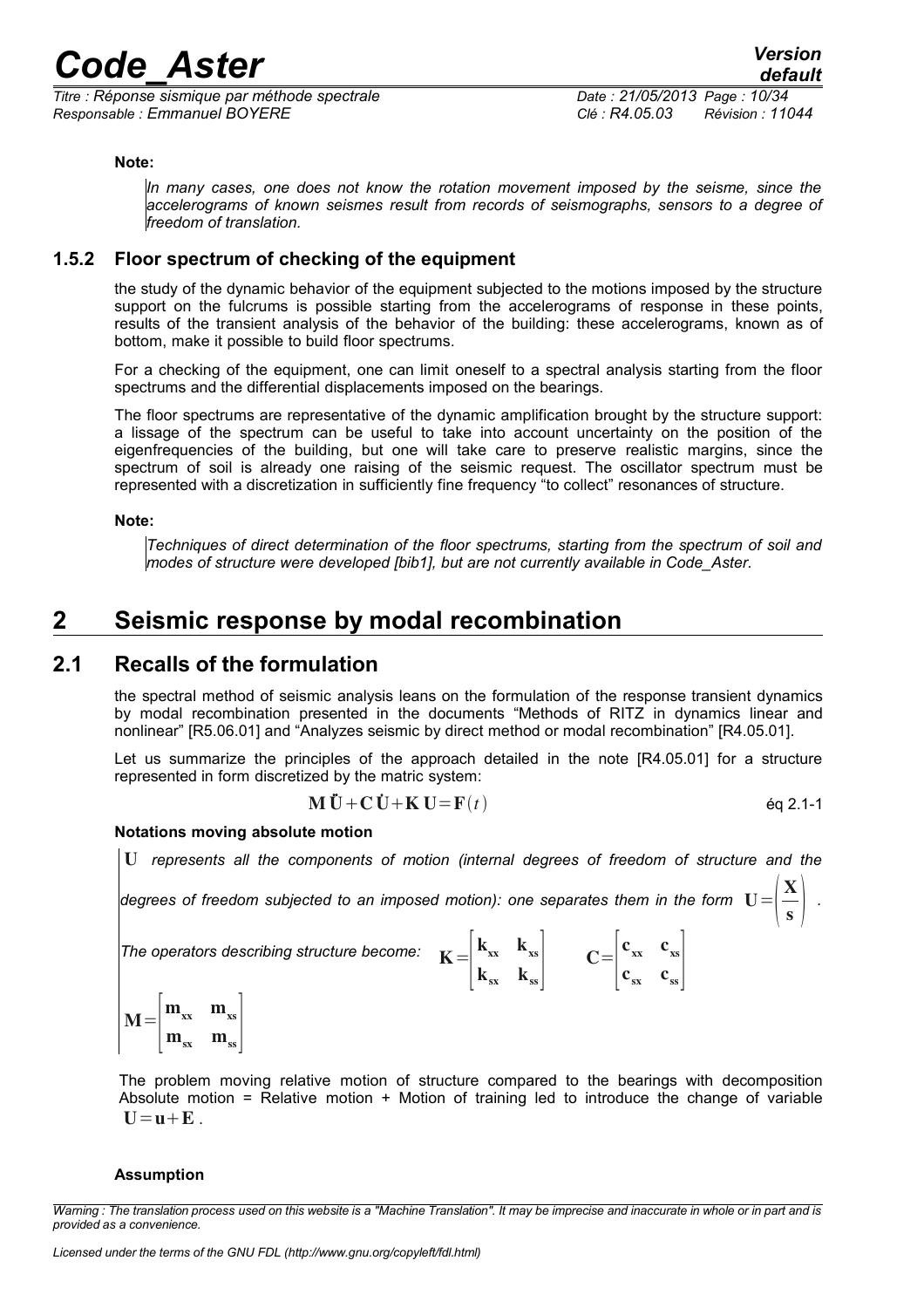*Titre : Réponse sismique par méthode spectrale Date : 21/05/2013 Page : 10/34 Responsable : Emmanuel BOYERE Clé : R4.05.03 Révision : 11044*

 $\frac{-}{s}$ .

#### **Note:**

*In many cases, one does not know the rotation movement imposed by the seisme, since the accelerograms of known seismes result from records of seismographs, sensors to a degree of freedom of translation.* 

### **1.5.2 Floor spectrum of checking of the equipment**

<span id="page-9-2"></span>the study of the dynamic behavior of the equipment subjected to the motions imposed by the structure support on the fulcrums is possible starting from the accelerograms of response in these points, results of the transient analysis of the behavior of the building: these accelerograms, known as of bottom, make it possible to build floor spectrums.

For a checking of the equipment, one can limit oneself to a spectral analysis starting from the floor spectrums and the differential displacements imposed on the bearings.

The floor spectrums are representative of the dynamic amplification brought by the structure support: a lissage of the spectrum can be useful to take into account uncertainty on the position of the eigenfrequencies of the building, but one will take care to preserve realistic margins, since the spectrum of soil is already one raising of the seismic request. The oscillator spectrum must be represented with a discretization in sufficiently fine frequency "to collect" resonances of structure.

#### **Note:**

*Techniques of direct determination of the floor spectrums, starting from the spectrum of soil and modes of structure were developed [bib1], but are not currently available in Code\_Aster.* 

## <span id="page-9-1"></span>**2 Seismic response by modal recombination**

### **2.1 Recalls of the formulation**

<span id="page-9-0"></span>the spectral method of seismic analysis leans on the formulation of the response transient dynamics by modal recombination presented in the documents "Methods of RITZ in dynamics linear and nonlinear" [R5.06.01] and "Analyzes seismic by direct method or modal recombination" [R4.05.01].

Let us summarize the principles of the approach detailed in the note [R4.05.01] for a structure represented in form discretized by the matric system:

$$
\mathbf{M}\ddot{\mathbf{U}} + \mathbf{C}\dot{\mathbf{U}} + \mathbf{K}\mathbf{U} = \mathbf{F}(t) \tag{6q 2.1-1}
$$

 $C=$  $|c|$ 

 $c_{xx}$   $c_{xs}$  $c_{ss}$   $c_{ss}$ 

#### **Notations moving absolute motion**

U *represents all the components of motion (internal degrees of freedom of structure and the*

 $\vert$  k

 $\mathbf{k}_{\mathrm{xx}}$   $\mathbf{k}_{\mathrm{xs}}$  $k_{sx}$   $k_{ss}$ 

degrees of freedom subjected to an imposed motion): one separates them in the form  $|{\bf U}|\!=\!\!{\displaystyle{|\frac{\bf X}{\bf s}}\!}$ 

The operators describing structure become:  $\mathbf{K=}% =\{1,2,3,4\}$ 

 $M=$  $\vert$  n  $m_{xx}$   $m_{xs}$  $m_{ss}$   $m_{ss}$ 

The problem moving relative motion of structure compared to the bearings with decomposition Absolute motion = Relative motion  $+$  Motion of training led to introduce the change of variable  $U = u + E$ 

#### **Assumption**

*Warning : The translation process used on this website is a "Machine Translation". It may be imprecise and inaccurate in whole or in part and is provided as a convenience.*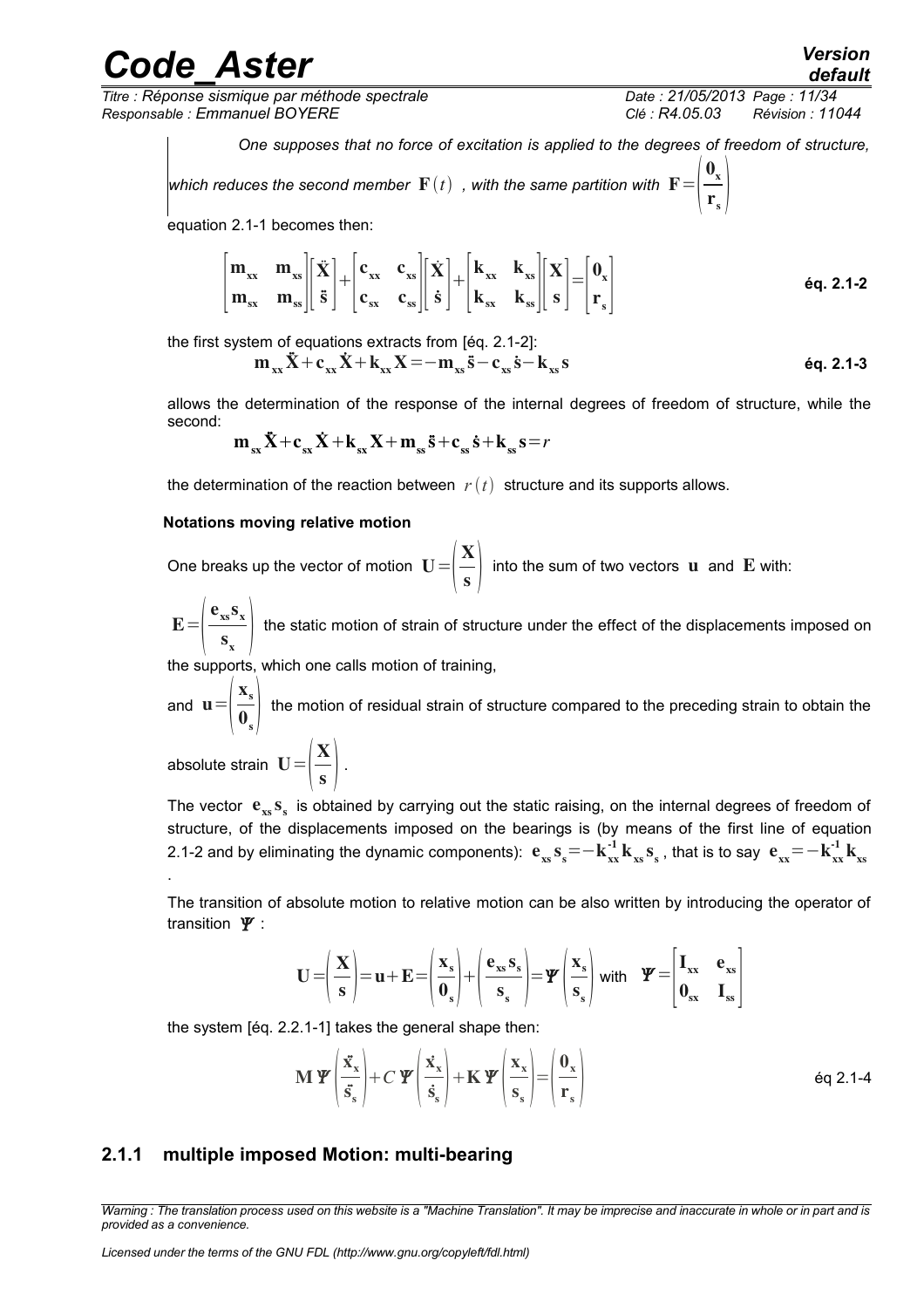## real **Aster** *Version*

*Titre : Réponse sismique par méthode spectrale Date : 21/05/2013 Page : 11/34 Responsable : Emmanuel BOYERE Clé : R4.05.03 Révision : 11044*

*default*

*One supposes that no force of excitation is applied to the degrees of freedom of structure,*

which reduces the second member  $\mathbf{F}(t)$  , with the same partition with  $\mathbf{F}$ =  $\mathbf{0}_{\mathbf{x}}$  $\mathbf{r}_s$  |

equation 2.1-1 becomes then:

$$
\begin{bmatrix} \mathbf{m}_{xx} & \mathbf{m}_{xs} \\ \mathbf{m}_{sx} & \mathbf{m}_{ss} \end{bmatrix} \begin{bmatrix} \ddot{\mathbf{X}} \\ \ddot{\mathbf{s}} \end{bmatrix} + \begin{bmatrix} \mathbf{c}_{xx} & \mathbf{c}_{xs} \\ \mathbf{c}_{sx} & \mathbf{c}_{ss} \end{bmatrix} \begin{bmatrix} \dot{\mathbf{X}} \\ \dot{\mathbf{s}} \end{bmatrix} + \begin{bmatrix} \mathbf{k}_{xx} & \mathbf{k}_{xs} \\ \mathbf{k}_{sx} & \mathbf{k}_{ss} \end{bmatrix} \begin{bmatrix} \mathbf{X} \\ \mathbf{s} \end{bmatrix} = \begin{bmatrix} \mathbf{0}_{x} \\ \mathbf{r}_{s} \end{bmatrix}
$$

the first system of equations extracts from [éq. 2.1-2]:

$$
m_{xx}\ddot{X}+c_{xx}\dot{X}+k_{xx}X=-m_{xs}\ddot{s}-c_{xs}\dot{s}-k_{xs}s
$$

allows the determination of the response of the internal degrees of freedom of structure, while the second:

$$
\mathbf{m}_{\rm sx}\ddot{\mathbf{X}} + \mathbf{c}_{\rm sx}\dot{\mathbf{X}} + \mathbf{k}_{\rm sx}\mathbf{X} + \mathbf{m}_{\rm ss}\ddot{\mathbf{s}} + \mathbf{c}_{\rm ss}\dot{\mathbf{s}} + \mathbf{k}_{\rm ss}\mathbf{s} = r
$$

the determination of the reaction between  $r(t)$  structure and its supports allows.

#### **Notations moving relative motion**

One breaks up the vector of motion  $\mathbf{U}=\left|\frac{\partial f}{\partial x}\right|$ X  $\frac{1}{\sqrt{2}}$  into the sum of two vectors **u** and **E** with:

 $E =$  $\begin{matrix}$  $e_{xs}$ s<sub>x</sub>  $\sum_{s}$  the static motion of strain of structure under the effect of the displacements imposed on  $s_{x}$ 

the supports, which one calls motion of training,

and  $\mathbf{u} = \begin{pmatrix} -1 \\ 0 \end{pmatrix}$  $\mathbf{x}_s$  $\overline{\mathbf{0}}_s$  the motion of residual strain of structure compared to the preceding strain to obtain the

absolute strain  $\mathbf{U} = \left| \frac{\mathbf{X}}{\mathbf{s}} \right|$  $\frac{1}{s}$ .

.

The vector  $e_{xs} s_s$  is obtained by carrying out the static raising, on the internal degrees of freedom of structure, of the displacements imposed on the bearings is (by means of the first line of equation 2.1-2 and by eliminating the dynamic components):  $e_{xs}s_s^- = -k_{xx}^{-1}k_{xs}s_s$ , that is to say  $e_{xx}^- = -k_{xx}^{-1}k_{xs}$ 

The transition of absolute motion to relative motion can be also written by introducing the operator of transition  $\Psi$  :

$$
\mathbf{U} = \left(\frac{\mathbf{X}}{\mathbf{s}}\right) = \mathbf{u} + \mathbf{E} = \left(\frac{\mathbf{x}_s}{\mathbf{0}_s}\right) + \left(\frac{\mathbf{e}_{xs}\mathbf{s}_s}{\mathbf{s}_s}\right) = \mathbf{\Psi}\left(\frac{\mathbf{x}_s}{\mathbf{s}_s}\right) \text{ with } \mathbf{\Psi} = \begin{bmatrix} \mathbf{I}_{xx} & \mathbf{e}_{xs} \\ \mathbf{0}_{sx} & \mathbf{I}_{ss} \end{bmatrix}
$$

the system [éq. 2.2.1-1] takes the general shape then:

$$
\mathbf{M} \, \mathbf{\Psi} \left( \frac{\ddot{\mathbf{x}}_{\mathbf{x}}}{\ddot{\mathbf{s}}_{\mathbf{s}}} \right) + C \, \mathbf{\Psi} \left( \frac{\dot{\mathbf{x}}_{\mathbf{x}}}{\dot{\mathbf{s}}_{\mathbf{s}}} \right) + \mathbf{K} \, \mathbf{\Psi} \left( \frac{\mathbf{x}_{\mathbf{x}}}{\mathbf{s}_{\mathbf{s}}} \right) = \left( \frac{\mathbf{0}_{\mathbf{x}}}{\mathbf{r}_{\mathbf{s}}} \right) \tag{6q 2.1-4}
$$

### <span id="page-10-0"></span>**2.1.1 multiple imposed Motion: multi-bearing**

*Warning : The translation process used on this website is a "Machine Translation". It may be imprecise and inaccurate in whole or in part and is provided as a convenience.*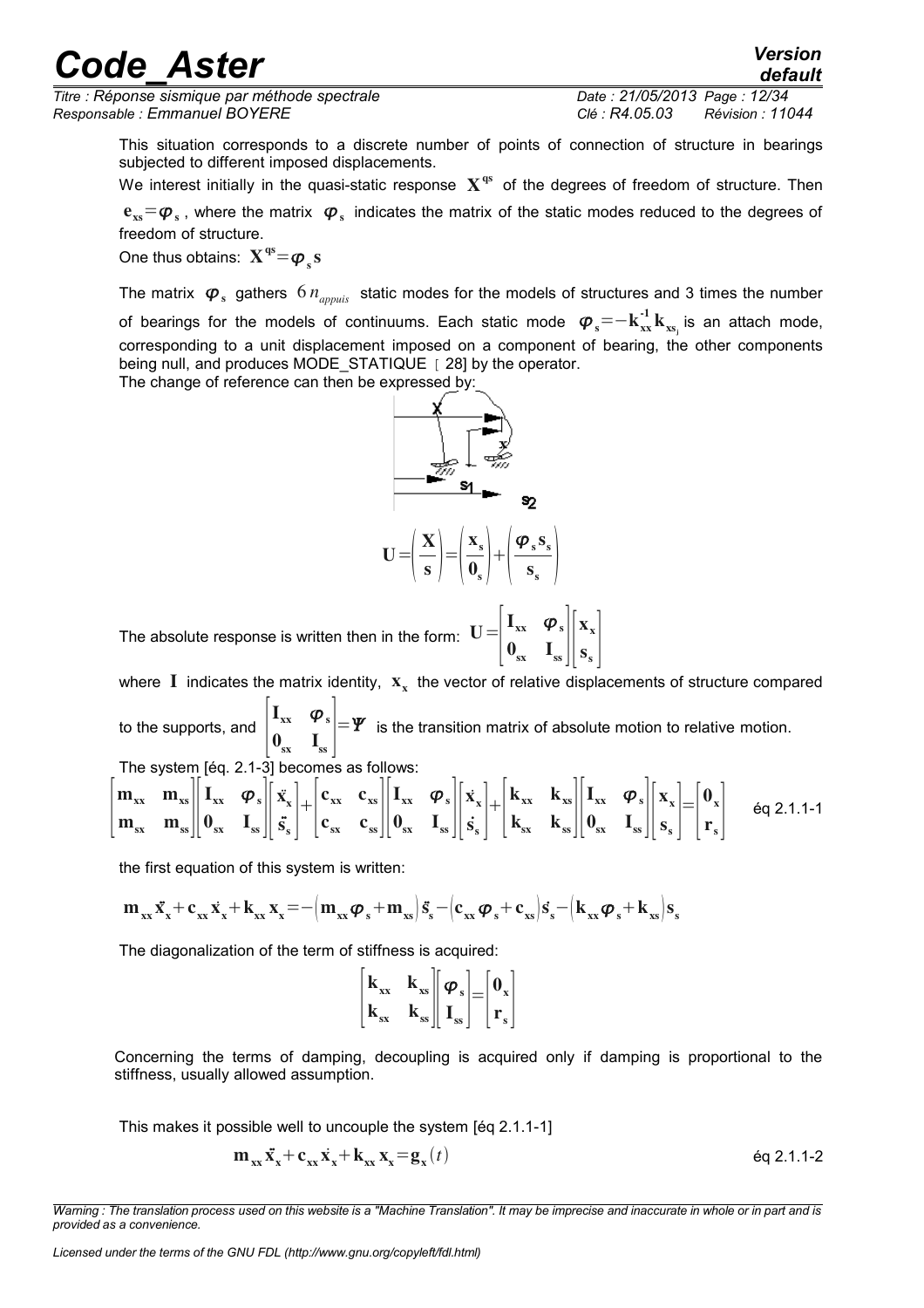*Titre : Réponse sismique par méthode spectrale Date : 21/05/2013 Page : 12/34 Responsable : Emmanuel BOYERE Clé : R4.05.03 Révision : 11044*

*default*

This situation corresponds to a discrete number of points of connection of structure in bearings subjected to different imposed displacements.

We interest initially in the quasi-static response  $|{\bf X}^{\rm qs}|$  of the degrees of freedom of structure. Then  ${\bf e}_{\rm xs}$ = $\bm{\varphi}_{\rm s}$  , where the matrix  $\bm{\varphi}_{\rm s}$  indicates the matrix of the static modes reduced to the degrees of freedom of structure.

One thus obtains:  $\mathbf{X^{qs}}{=}\boldsymbol{\varphi}_{s}\mathbf{s}$ 

The matrix  $\bm{\varphi}_s$  gathers  $6\,n_{appuis}$  static modes for the models of structures and 3 times the number of bearings for the models of continuums. Each static mode  $\;\boldsymbol\varphi_s\!=\!-k_{xx}^{\text{-}1}k_{_{xs_j}}$  is an attach mode, corresponding to a unit displacement imposed on a component of bearing, the other components being null, and produces MODE\_STATIQUE [ 28] by the operator.

The change of reference can then be expressed by:



The absolute response is written then in the form:  $\,{\bf U}\,{=}\,$  $\vert\,\mathbf{0}$  $\mathbf{I}_{\mathrm{xx}}$   $\boldsymbol{\varphi}_{\mathrm{s}}$  $\mathbf{0}_{\mathrm{sx}}$   $\mathbf{I}_{\mathrm{ss}}$   $\|\mathbf{s}\|$  $\mathbf{x}_{\mathbf{x}}$  $s_{s}$  |

where I indicates the matrix identity,  $\mathbf{x}_{\mathbf{x}}$  the vector of relative displacements of structure compared to the supports, and  $\begin{bmatrix} 1 & 1 \\ 0 & 1 \end{bmatrix}$  $I_{xx}$   $\varphi$ <sub>s</sub>  $\mathbf{0}_{\text{sx}}$   $\mathbf{I}_{\text{ss}}$  $=\Psi$  is the transition matrix of absolute motion to relative motion.

The system [éq. 2.1-3] becomes as follows:

$$
\begin{bmatrix} \mathbf{m}_{xx} & \mathbf{m}_{xs} \\ \mathbf{m}_{sx} & \mathbf{m}_{ss} \end{bmatrix} \begin{bmatrix} \mathbf{I}_{xx} & \boldsymbol{\varphi}_s \\ \mathbf{0}_{sx} & \mathbf{I}_{ss} \end{bmatrix} \begin{bmatrix} \ddot{\mathbf{x}}_x \\ \ddot{\mathbf{s}}_s \end{bmatrix} + \begin{bmatrix} \mathbf{c}_{xx} & \mathbf{c}_{xs} \\ \mathbf{c}_{sx} & \mathbf{c}_{ss} \end{bmatrix} \begin{bmatrix} \mathbf{I}_{xx} & \boldsymbol{\varphi}_s \\ \mathbf{0}_{sx} & \mathbf{I}_{ss} \end{bmatrix} \begin{bmatrix} \dot{\mathbf{x}}_x \\ \dot{\mathbf{s}}_s \end{bmatrix} + \begin{bmatrix} \mathbf{k}_{xx} & \mathbf{k}_{xs} \\ \mathbf{k}_{sx} & \mathbf{k}_{ss} \end{bmatrix} \begin{bmatrix} \mathbf{I}_{xx} & \boldsymbol{\varphi}_s \\ \mathbf{0}_{sx} & \mathbf{I}_{ss} \end{bmatrix} \begin{bmatrix} \mathbf{x}_x \\ \mathbf{s}_s \end{bmatrix} = \begin{bmatrix} \mathbf{0}_x \\ \mathbf{r}_s \end{bmatrix} \quad \text{Eq 2.1.1-1}
$$

the first equation of this system is written:

$$
m_{xx}\ddot{x_{x}}+c_{xx}\dot{x_{x}}+k_{xx}\,x_{x}\!=\!-\!\left(m_{xx}\phi_{s}\!+\!m_{xs}\right)\!\ddot{s_{s}}-\!\left(c_{xx}\phi_{s}\!+\!c_{xs}\right)\!\dot{s_{s}}\!-\!\left(k_{xx}\phi_{s}\!+\!k_{xs}\right)\!s_{s}
$$

The diagonalization of the term of stiffness is acquired:

$$
\begin{bmatrix} \mathbf{k}_{\mathbf{x}\mathbf{x}} & \mathbf{k}_{\mathbf{x}\mathbf{s}} \\ \mathbf{k}_{\mathbf{s}\mathbf{x}} & \mathbf{k}_{\mathbf{s}\mathbf{s}} \end{bmatrix} \begin{bmatrix} \boldsymbol{\varphi}_{\mathbf{s}} \\ \mathbf{I}_{\mathbf{s}\mathbf{s}} \end{bmatrix} = \begin{bmatrix} \mathbf{0}_{\mathbf{x}} \\ \mathbf{r}_{\mathbf{s}} \end{bmatrix}
$$

Concerning the terms of damping, decoupling is acquired only if damping is proportional to the stiffness, usually allowed assumption.

This makes it possible well to uncouple the system [éq 2.1.1-1]

$$
\mathbf{m}_{xx}\ddot{\mathbf{x}}_{x} + \mathbf{c}_{xx}\dot{\mathbf{x}}_{x} + \mathbf{k}_{xx}\mathbf{x}_{x} = \mathbf{g}_{x}(t) \tag{6q 2.1.1-2}
$$

*Warning : The translation process used on this website is a "Machine Translation". It may be imprecise and inaccurate in whole or in part and is provided as a convenience.*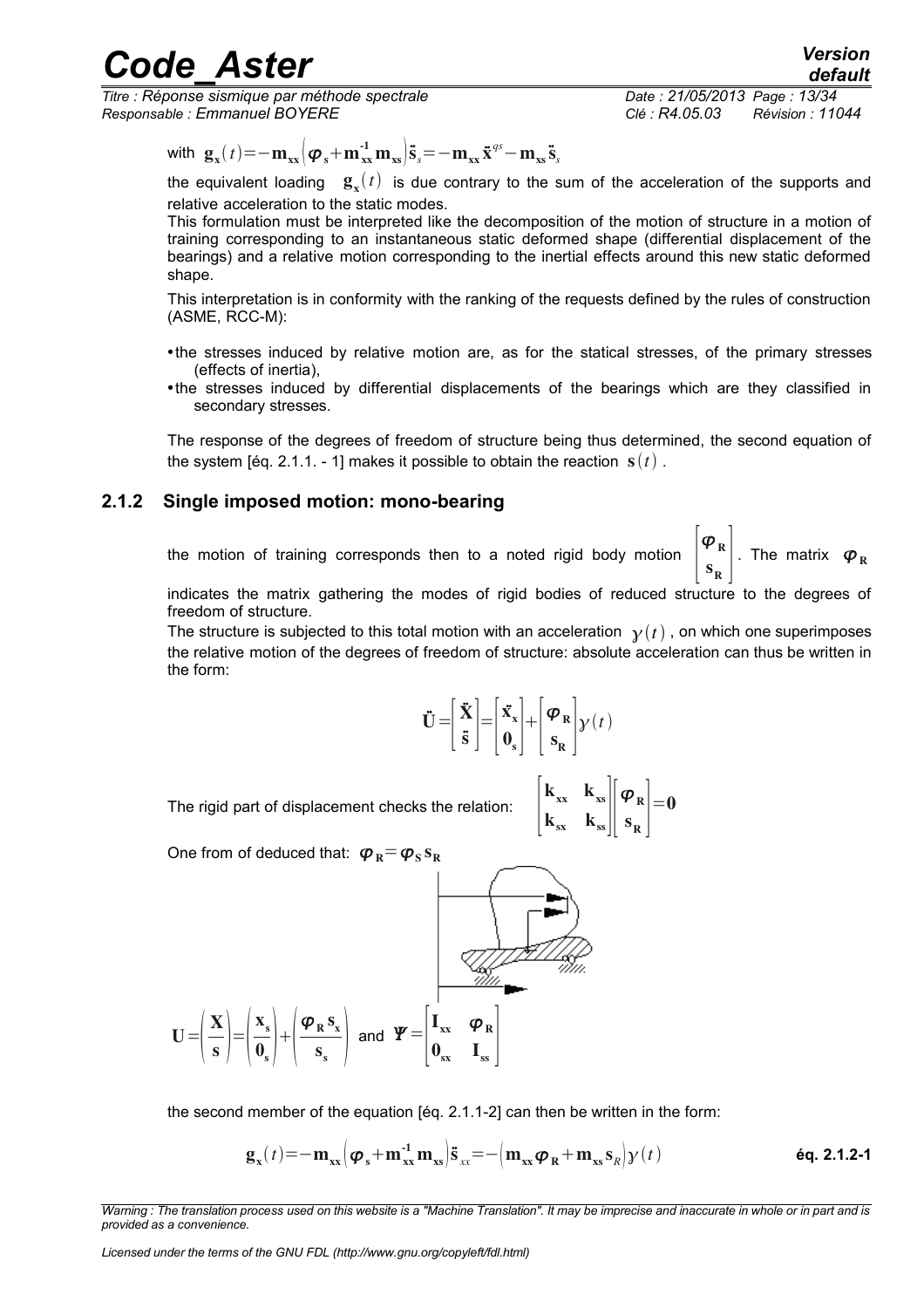*Titre : Réponse sismique par méthode spectrale Date : 21/05/2013 Page : 13/34 Responsable : Emmanuel BOYERE Clé : R4.05.03 Révision : 11044*

*default*

with 
$$
\mathbf{g}_{x}(t) = -\mathbf{m}_{xx} \left( \boldsymbol{\varphi}_{s} + \mathbf{m}_{xx}^{-1} \mathbf{m}_{xs} \right) \ddot{\mathbf{s}}_{s} = -\mathbf{m}_{xx} \ddot{\mathbf{x}}^{gs} - \mathbf{m}_{xs} \ddot{\mathbf{s}}_{s}
$$

the equivalent loading  $\mathbf{g}_{x}(t)$  is due contrary to the sum of the acceleration of the supports and relative acceleration to the static modes.

This formulation must be interpreted like the decomposition of the motion of structure in a motion of training corresponding to an instantaneous static deformed shape (differential displacement of the bearings) and a relative motion corresponding to the inertial effects around this new static deformed shape.

This interpretation is in conformity with the ranking of the requests defined by the rules of construction (ASME, RCC-M):

- •the stresses induced by relative motion are, as for the statical stresses, of the primary stresses (effects of inertia),
- •the stresses induced by differential displacements of the bearings which are they classified in secondary stresses.

The response of the degrees of freedom of structure being thus determined, the second equation of the system [éq. 2.1.1. - 1] makes it possible to obtain the reaction  $s(t)$ .

### **2.1.2 Single imposed motion: mono-bearing**

<span id="page-12-0"></span>the motion of training corresponds then to a noted rigid body motion

 $\begin{bmatrix} \mathbf{r} & \mathbf{R} \\ \mathbf{s}_{\mathbf{R}} & \end{bmatrix}$ . The matrix  $\boldsymbol{\varphi}_{\mathbf{R}}$ 

 $\boldsymbol{\varphi}_{\texttt{R}}$ 

indicates the matrix gathering the modes of rigid bodies of reduced structure to the degrees of freedom of structure.

The structure is subjected to this total motion with an acceleration  $\gamma(t)$ , on which one superimposes the relative motion of the degrees of freedom of structure: absolute acceleration can thus be written in the form:

$$
\ddot{\mathbf{U}} = \begin{bmatrix} \ddot{\mathbf{X}} \\ \ddot{\mathbf{S}} \end{bmatrix} = \begin{bmatrix} \ddot{\mathbf{X}}_{\mathbf{x}} \\ \mathbf{0}_{\mathbf{s}} \end{bmatrix} + \begin{bmatrix} \boldsymbol{\varphi}_{\mathbf{R}} \\ \mathbf{S}_{\mathbf{R}} \end{bmatrix} \mathbf{y}(t)
$$

 $\mathbf{k}_{\mathbf{x}\mathbf{x}}$ 

 $\mathbf{k}_{\mathrm{xs}}$  $k_{sx}$   $k_{ss}$  s

 $\boldsymbol{\varphi}_{\texttt{R}}$  $s_R$  |  $=<sub>0</sub>$ 

The rigid part of displacement checks the relation:

One from of deduced that:  $\boldsymbol{\varphi}_R \!=\! \boldsymbol{\varphi}_S \, \mathbf{s}_R$ 

$$
U = \left(\frac{X}{s}\right) = \left(\frac{x_s}{0_s}\right) + \left(\frac{\varphi_R s_x}{s_s}\right) \text{ and } \Psi = \left[\begin{matrix} I_{xx} & \varphi_R \\ 0_{sx} & I_{ss} \end{matrix}\right]
$$

the second member of the equation [éq. 2.1.1-2] can then be written in the form:

$$
\mathbf{g}_{\mathbf{x}}(t) = -\mathbf{m}_{\mathbf{x}\mathbf{x}} \Big(\boldsymbol{\varphi}_{\mathbf{s}} + \mathbf{m}_{\mathbf{x}\mathbf{x}}^{-1} \mathbf{m}_{\mathbf{x}\mathbf{s}} \Big) \mathbf{\ddot{s}}_{\mathbf{x}\mathbf{x}} = - \Big(\mathbf{m}_{\mathbf{x}\mathbf{x}} \boldsymbol{\varphi}_{\mathbf{R}} + \mathbf{m}_{\mathbf{x}\mathbf{s}} \mathbf{s}_{\mathbf{R}} \Big) \mathbf{y}(t)
$$

*Warning : The translation process used on this website is a "Machine Translation". It may be imprecise and inaccurate in whole or in part and is provided as a convenience.*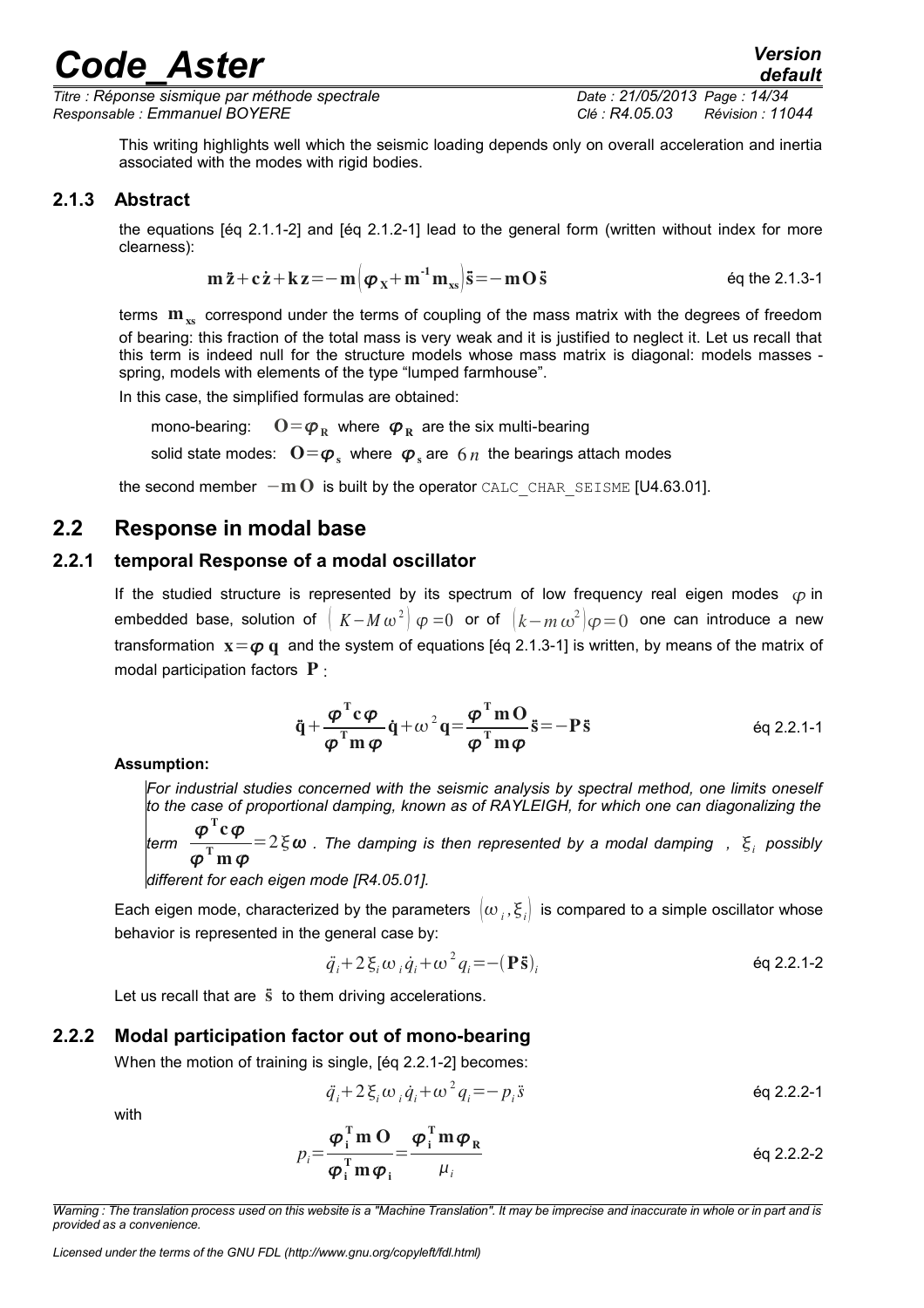*Titre : Réponse sismique par méthode spectrale Date : 21/05/2013 Page : 14/34 Responsable : Emmanuel BOYERE Clé : R4.05.03 Révision : 11044*

This writing highlights well which the seismic loading depends only on overall acceleration and inertia associated with the modes with rigid bodies.

### **2.1.3 Abstract**

<span id="page-13-3"></span>the equations [éq 2.1.1-2] and [éq 2.1.2-1] lead to the general form (written without index for more clearness):

$$
\mathbf{m}\ddot{\mathbf{z}} + \mathbf{c}\dot{\mathbf{z}} + \mathbf{k}\mathbf{z} = -\mathbf{m}\left(\boldsymbol{\varphi}_{\mathbf{X}} + \mathbf{m}^{-1}\mathbf{m}_{\mathbf{x}\mathbf{s}}\right)\ddot{\mathbf{s}} = -\mathbf{m}\mathbf{O}\ddot{\mathbf{s}} \qquad \text{Eq the 2.1.3-1}
$$

terms  $m_{\nu}$  correspond under the terms of coupling of the mass matrix with the degrees of freedom of bearing: this fraction of the total mass is very weak and it is justified to neglect it. Let us recall that this term is indeed null for the structure models whose mass matrix is diagonal: models masses spring, models with elements of the type "lumped farmhouse".

In this case, the simplified formulas are obtained:

mono-bearing: where  $\varphi_R$  are the six multi-bearing solid state modes:  $\left| \mathbf{O}\right| =\boldsymbol{\varphi}_{\mathrm{s}}$  where  $\left| \boldsymbol{\varphi}_{\mathrm{s}} \right|$  are  $\left| \delta \right| n$  the bearings attach modes

<span id="page-13-2"></span>the second member  $-\mathbf{m} \, \mathbf{O}$  is built by the operator CALC\_CHAR\_SEISME [U4.63.01].

## **2.2 Response in modal base**

### **2.2.1 temporal Response of a modal oscillator**

<span id="page-13-1"></span>If the studied structure is represented by its spectrum of low frequency real eigen modes  $\varphi$  in embedded base, solution of  $\mid K - M\,\omega^{\,2} \!\mid\! \varphi = 0$  or of  $\mid\! k - m\,\omega^{\,2} \!\mid\! \varphi = 0$  one can introduce a new transformation  $x = \varphi q$  and the system of equations [éq 2.1.3-1] is written, by means of the matrix of modal participation factors  $P$  :

$$
\ddot{\mathbf{q}} + \frac{\boldsymbol{\varphi}^{\mathrm{T}} \mathbf{c} \boldsymbol{\varphi}}{\boldsymbol{\varphi}^{\mathrm{T}} \mathbf{m} \boldsymbol{\varphi}} \dot{\mathbf{q}} + \omega^2 \mathbf{q} = \frac{\boldsymbol{\varphi}^{\mathrm{T}} \mathbf{m} \mathbf{O}}{\boldsymbol{\varphi}^{\mathrm{T}} \mathbf{m} \boldsymbol{\varphi}} \ddot{\mathbf{s}} = -\mathbf{P} \ddot{\mathbf{s}} \qquad \text{Eq 2.2.1-1}
$$

**Assumption:** 

*For industrial studies concerned with the seismic analysis by spectral method, one limits oneself to the case of proportional damping, known as of RAYLEIGH, for which one can diagonalizing the* T

*term*   $\boldsymbol{\phi}$  $c\varphi$  $\boldsymbol{\phi}$ T  $m\,\varphi$  $=2 \xi \omega$  . The damping is then represented by a modal damping ,  $\zeta_i$  possibly

*different for each eigen mode [R4.05.01].*

Each eigen mode, characterized by the parameters  $\ket{\omega}_i,\xi_i]$  is compared to a simple oscillator whose behavior is represented in the general case by:

$$
\ddot{q}_i + 2 \xi_i \omega_i \dot{q}_i + \omega^2 q_i = -({\bf P}\ddot{\bf s})_i
$$

Let us recall that are  $\ddot{s}$  to them driving accelerations.

### **2.2.2 Modal participation factor out of mono-bearing**

<span id="page-13-0"></span>When the motion of training is single, [éq 2.2.1-2] becomes:

$$
\ddot{q}_i + 2 \xi_i \omega_i \dot{q}_i + \omega^2 q_i = -p_i \ddot{s}
$$

with

$$
p_i = \frac{\boldsymbol{\varphi}_i^{\mathrm{T}} \mathbf{m} \, \mathbf{O}}{\boldsymbol{\varphi}_i^{\mathrm{T}} \mathbf{m} \, \boldsymbol{\varphi}_i} = \frac{\boldsymbol{\varphi}_i^{\mathrm{T}} \mathbf{m} \, \boldsymbol{\varphi}_R}{\mu_i}
$$

*Warning : The translation process used on this website is a "Machine Translation". It may be imprecise and inaccurate in whole or in part and is provided as a convenience.*

*Licensed under the terms of the GNU FDL (http://www.gnu.org/copyleft/fdl.html)*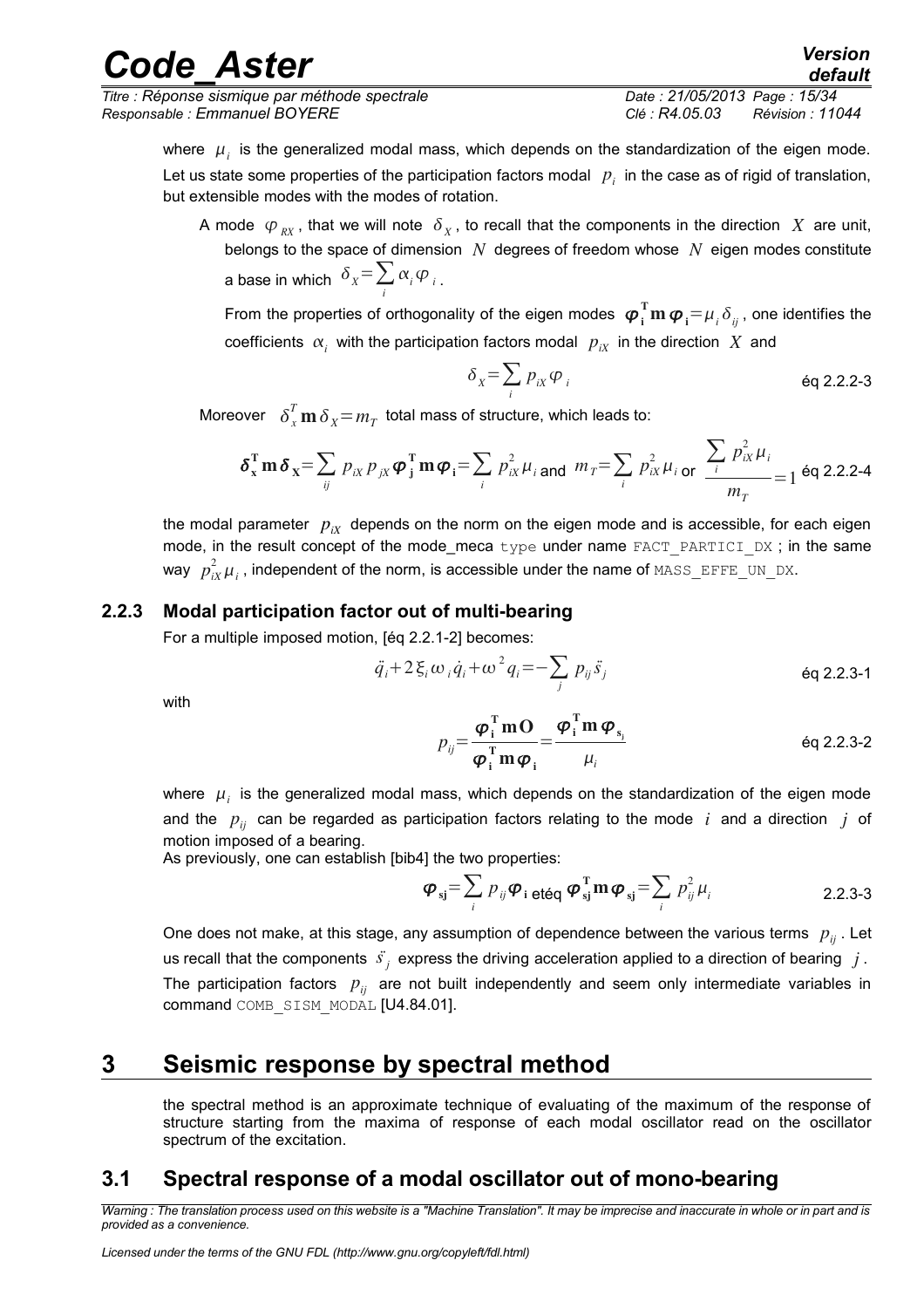*Titre : Réponse sismique par méthode spectrale Date : 21/05/2013 Page : 15/34 Responsable : Emmanuel BOYERE Clé : R4.05.03 Révision : 11044*

*default*

where  $\mu_i$  is the generalized modal mass, which depends on the standardization of the eigen mode. Let us state some properties of the participation factors modal  $|p_i\rangle$  in the case as of rigid of translation, but extensible modes with the modes of rotation.

A mode  $\varphi_{\overline{RX}}$ , that we will note  $\delta_{\overline{X}}$ , to recall that the components in the direction  $\overline{X}$  are unit, belongs to the space of dimension *N* degrees of freedom whose *N* eigen modes constitute a base in which  $\vert\delta_{\scriptscriptstyle{X}}=\sum\alpha_{\scriptscriptstyle{i}}\,\varphi_{\scriptscriptstyle{i}}\vert$  . *i*

From the properties of orthogonality of the eigen modes  $\bm{\varphi}_i^{\rm T}\bm{{\rm m}}\,\bm{\varphi}_i\!=\!\mu_i\delta_{ij}$  , one identifies the coefficients  $\alpha_i$  with the participation factors modal  $p_{iX}$  in the direction  $X$  and

$$
\delta_{\mathbf{x}} = \sum_{i} p_{i\mathbf{x}} \varphi_{i} \qquad \qquad \text{Eq 2.2.2-3}
$$

Moreover  $\quad \delta_x^T \, \textbf{m} \, \delta_{\overline{\chi}} \! = \! m_T^{} \,$  total mass of structure, which leads to:

$$
\delta_{x}^{T} \mathbf{m} \, \delta_{x} = \sum_{ij} p_{ix} p_{jx} \boldsymbol{\varphi}_{j}^{T} \mathbf{m} \boldsymbol{\varphi}_{i} = \sum_{i} p_{ix}^{2} \mu_{i} \text{ and } m_{T} = \sum_{i} p_{ix}^{2} \mu_{i} \text{ or } \frac{\sum_{i} p_{ix}^{2} \mu_{i}}{m_{T}} = 1 \text{ eq } 2.2.2-4
$$

the modal parameter  $p_{ix}$  depends on the norm on the eigen mode and is accessible, for each eigen mode, in the result concept of the mode\_meca type under name FACT\_PARTICI\_DX; in the same way  $\left|p_{iX}^2\mu_i\right|$  , independent of the norm, is accessible under the name of  $\texttt{MASS\_EFFE\_UN\_DX}.$ 

### **2.2.3 Modal participation factor out of multi-bearing**

<span id="page-14-2"></span>For a multiple imposed motion, [éq 2.2.1-2] becomes:

$$
\ddot{q}_i + 2 \xi_i \omega_i \dot{q}_i + \omega^2 q_i = -\sum_j p_{ij} \ddot{s}_j
$$

with

$$
p_{ij} = \frac{\boldsymbol{\varphi}_i^{\mathrm{T}} \mathbf{m} \mathbf{O}}{\boldsymbol{\varphi}_i^{\mathrm{T}} \mathbf{m} \boldsymbol{\varphi}_i} = \frac{\boldsymbol{\varphi}_i^{\mathrm{T}} \mathbf{m} \boldsymbol{\varphi}_{s_i}}{\mu_i}
$$
 eq 2.2.3-2

where  $\mu_i$  is the generalized modal mass, which depends on the standardization of the eigen mode and the  $p_{ii}$  can be regarded as participation factors relating to the mode  $i$  and a direction  $j$  of motion imposed of a bearing.

As previously, one can establish [bib4] the two properties:

$$
\boldsymbol{\varphi}_{\mathbf{s}j} = \sum_{i} p_{ij} \boldsymbol{\varphi}_{i \text{ et\'{e}q}} \boldsymbol{\varphi}_{\mathbf{s}j}^{\mathrm{T}} \mathbf{m} \boldsymbol{\varphi}_{\mathbf{s}j} = \sum_{i} p_{ij}^{2} \mu_{i}
$$

One does not make, at this stage, any assumption of dependence between the various terms  $p_{ii}$ . Let us recall that the components  $\vec{s}_j$  express the driving acceleration applied to a direction of bearing  $|j|$ . The participation factors  $p_{ij}$  are not built independently and seem only intermediate variables in command COMB\_SISM\_MODAL [U4.84.01].

## **3 Seismic response by spectral method**

<span id="page-14-1"></span>the spectral method is an approximate technique of evaluating of the maximum of the response of structure starting from the maxima of response of each modal oscillator read on the oscillator spectrum of the excitation.

## <span id="page-14-0"></span>**3.1 Spectral response of a modal oscillator out of mono-bearing**

*Warning : The translation process used on this website is a "Machine Translation". It may be imprecise and inaccurate in whole or in part and is provided as a convenience.*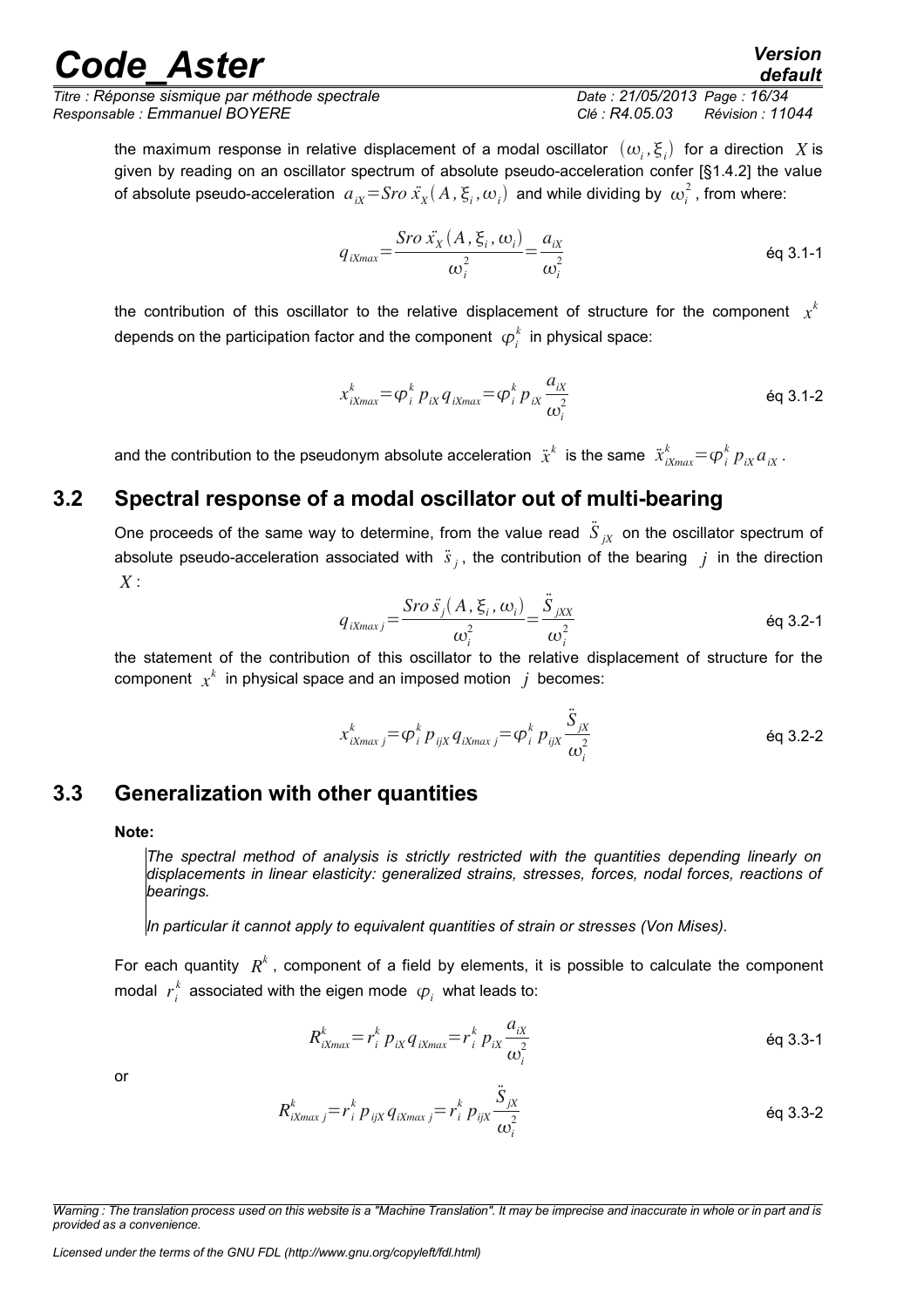*Titre : Réponse sismique par méthode spectrale Date : 21/05/2013 Page : 16/34 Responsable : Emmanuel BOYERE Clé : R4.05.03 Révision : 11044*

*default*

the maximum response in relative displacement of a modal oscillator  $\;(\omega_{_i},\xi_{_i})\;$  for a direction  $\;X$  is given by reading on an oscillator spectrum of absolute pseudo-acceleration confer [§1.4.2] the value of absolute pseudo-acceleration  $a_{ix} =$  *Sro*  $\ddot{x_x}(A,\xi_i,\omega_i)$  and while dividing by  $\omega_i^2$  , from where:

$$
q_{iXmax} = \frac{Sro\ \ddot{x}_X(A,\xi_i,\omega_i)}{\omega_i^2} = \frac{a_{ix}}{\omega_i^2}
$$

the contribution of this oscillator to the relative displacement of structure for the component  $x^k$ depends on the participation factor and the component  $\ \boldsymbol{\varphi}_i^k\,$  in physical space:

$$
x_{iXmax}^{k} = \varphi_i^{k} p_{iX} q_{iXmax} = \varphi_i^{k} p_{iX} \frac{a_{iX}}{\omega_i^2}
$$

and the contribution to the pseudonym absolute acceleration  $\ddot{x}^k$  is the same  $\ddot{x}^k_{iXmax} {=} \bm{\phi}^k_i~p_{iX}a_{iX}$  .

## **3.2 Spectral response of a modal oscillator out of multi-bearing**

<span id="page-15-1"></span>One proceeds of the same way to determine, from the value read  $\ddot{S}_{jX}$  on the oscillator spectrum of absolute pseudo-acceleration associated with  $\ddot{s}_j$ , the contribution of the bearing  $j$  in the direction *X* :

$$
q_{iXmaxj} = \frac{Sro\ \ddot{s}_j(A,\ \xi_i,\ \omega_i)}{\omega_i^2} = \frac{\ddot{S}_{jXX}}{\omega_i^2}
$$

the statement of the contribution of this oscillator to the relative displacement of structure for the  $\mathsf{component}\;\; x^k\;$  in physical space and an imposed motion  $\;j\;$  becomes:

$$
x_{iXmax j}^{k} = \varphi_{i}^{k} p_{ijX} q_{iXmax j} = \varphi_{i}^{k} p_{ijX} \frac{\ddot{S}_{jX}}{\omega_{i}^{2}}
$$

## **3.3 Generalization with other quantities**

#### <span id="page-15-0"></span>**Note:**

*The spectral method of analysis is strictly restricted with the quantities depending linearly on displacements in linear elasticity: generalized strains, stresses, forces, nodal forces, reactions of bearings.* 

*In particular it cannot apply to equivalent quantities of strain or stresses (Von Mises).*

For each quantity  $R^k$ , component of a field by elements, it is possible to calculate the component modal  $r_i^k$  associated with the eigen mode  $\ket{\phi_i}$  what leads to:

$$
R_{iXmax}^{k} = r_i^k p_{ix} q_{ixmax} = r_i^k p_{ix} \frac{a_{ix}}{\omega_i^2}
$$

or

$$
R_{ixmax j}^{k} = r_i^{k} p_{ijx} q_{ixmax j} = r_i^{k} p_{ijx} \frac{\ddot{S}_{jx}}{\omega_i^2}
$$

*Warning : The translation process used on this website is a "Machine Translation". It may be imprecise and inaccurate in whole or in part and is provided as a convenience.*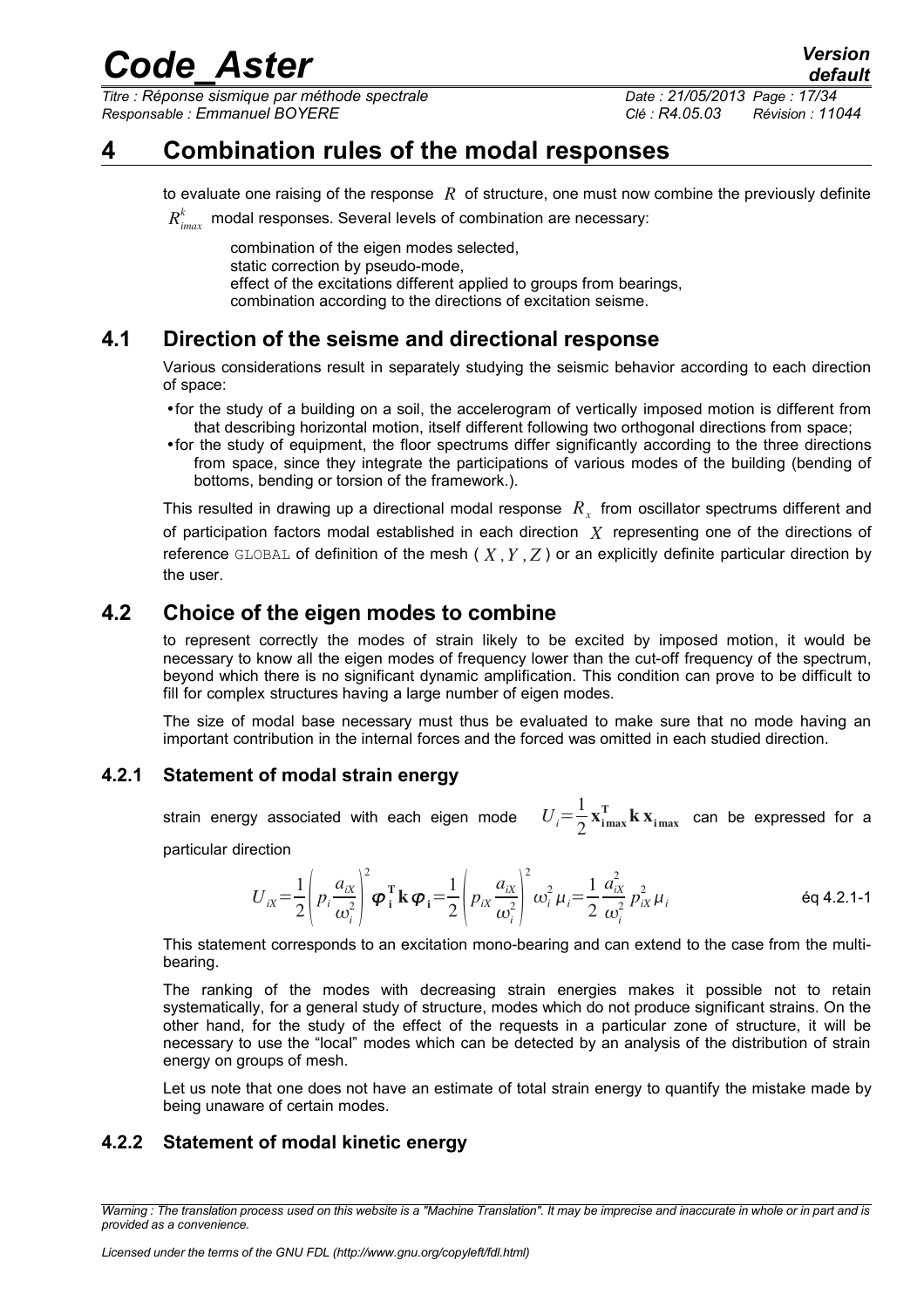*Titre : Réponse sismique par méthode spectrale Date : 21/05/2013 Page : 17/34 Responsable : Emmanuel BOYERE Clé : R4.05.03 Révision : 11044*

*default*

## **4 Combination rules of the modal responses**

<span id="page-16-4"></span>to evaluate one raising of the response *R* of structure, one must now combine the previously definite  $R^k_{\it{imax}}$  modal responses. Several levels of combination are necessary:

combination of the eigen modes selected, static correction by pseudo-mode, effect of the excitations different applied to groups from bearings, combination according to the directions of excitation seisme.

## **4.1 Direction of the seisme and directional response**

<span id="page-16-3"></span>Various considerations result in separately studying the seismic behavior according to each direction of space:

- •for the study of a building on a soil, the accelerogram of vertically imposed motion is different from that describing horizontal motion, itself different following two orthogonal directions from space;
- •for the study of equipment, the floor spectrums differ significantly according to the three directions from space, since they integrate the participations of various modes of the building (bending of bottoms, bending or torsion of the framework.).

This resulted in drawing up a directional modal response  $\ R_{_X}$  from oscillator spectrums different and of participation factors modal established in each direction *X* representing one of the directions of reference GLOBAL of definition of the mesh ( *X ,Y ,Z* ) or an explicitly definite particular direction by the user.

## **4.2 Choice of the eigen modes to combine**

<span id="page-16-2"></span>to represent correctly the modes of strain likely to be excited by imposed motion, it would be necessary to know all the eigen modes of frequency lower than the cut-off frequency of the spectrum, beyond which there is no significant dynamic amplification. This condition can prove to be difficult to fill for complex structures having a large number of eigen modes.

The size of modal base necessary must thus be evaluated to make sure that no mode having an important contribution in the internal forces and the forced was omitted in each studied direction.

### **4.2.1 Statement of modal strain energy**

<span id="page-16-1"></span>strain energy associated with each eigen mode 1  $\frac{1}{2} \mathbf{x}_{i_{max}}^{\mathrm{T}} \mathbf{k} \mathbf{x}_{i_{max}}$  can be expressed for a

particular direction

$$
U_{ix} = \frac{1}{2} \left( p_i \frac{a_{ix}}{\omega_i^2} \right)^2 \boldsymbol{\varphi}_i^{\mathrm{T}} \mathbf{k} \, \boldsymbol{\varphi}_i = \frac{1}{2} \left( p_{ix} \frac{a_{ix}}{\omega_i^2} \right)^2 \omega_i^2 \, \mu_i = \frac{1}{2} \frac{a_{ix}^2}{\omega_i^2} \, p_{ix}^2 \, \mu_i
$$

This statement corresponds to an excitation mono-bearing and can extend to the case from the multibearing.

The ranking of the modes with decreasing strain energies makes it possible not to retain systematically, for a general study of structure, modes which do not produce significant strains. On the other hand, for the study of the effect of the requests in a particular zone of structure, it will be necessary to use the "local" modes which can be detected by an analysis of the distribution of strain energy on groups of mesh.

<span id="page-16-0"></span>Let us note that one does not have an estimate of total strain energy to quantify the mistake made by being unaware of certain modes.

### **4.2.2 Statement of modal kinetic energy**

*Warning : The translation process used on this website is a "Machine Translation". It may be imprecise and inaccurate in whole or in part and is provided as a convenience.*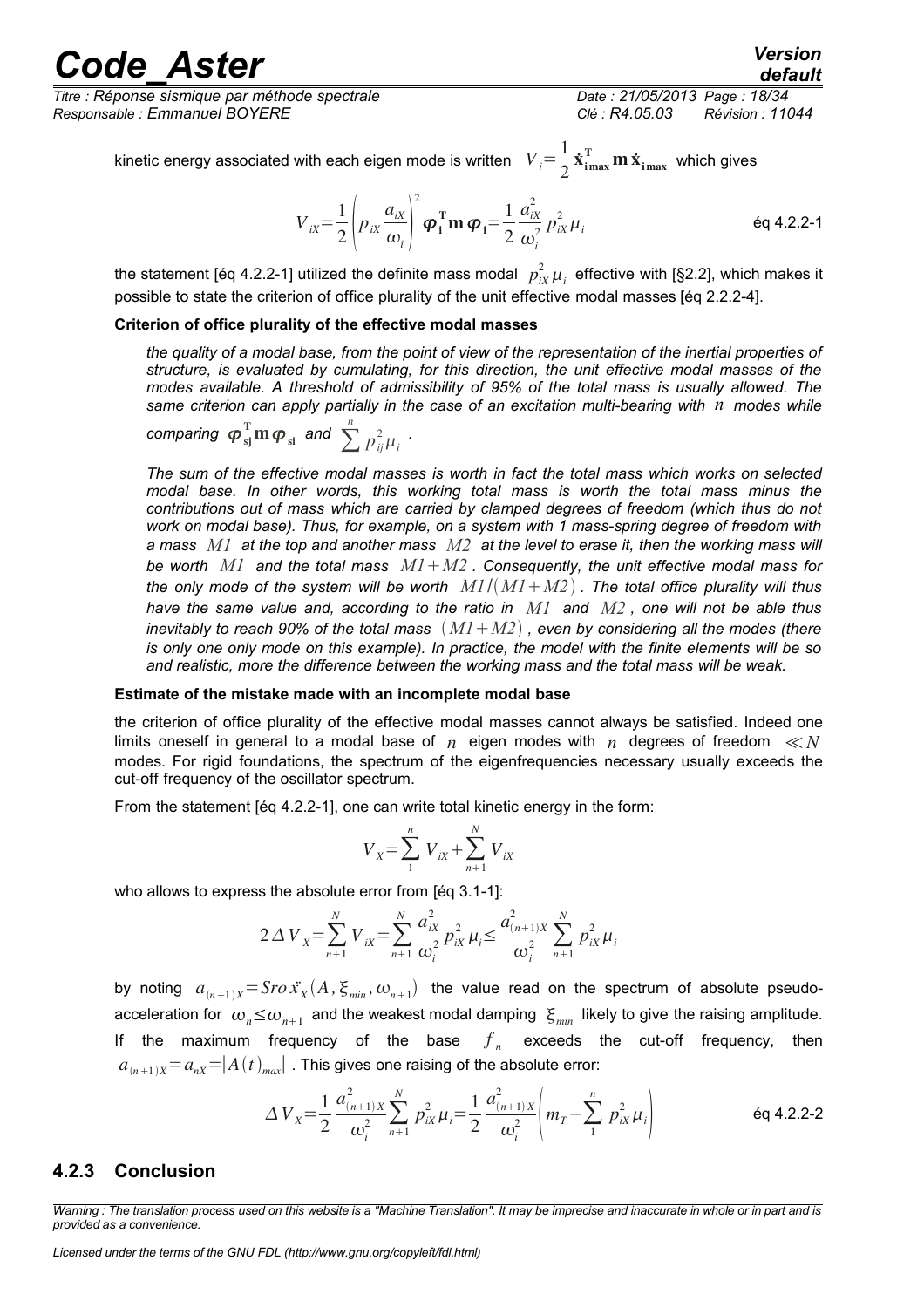*Titre : Réponse sismique par méthode spectrale Date : 21/05/2013 Page : 18/34 Responsable : Emmanuel BOYERE Clé : R4.05.03 Révision : 11044*

## *default*

kinetic energy associated with each eigen mode is written  $\quad V_i^{}\!=\!\frac{1}{2}$  $\frac{1}{2} \dot{\mathbf{x}}_{\text{imax}}^{\text{T}} \mathbf{m} \, \dot{\mathbf{x}}_{\text{imax}}$  which gives

$$
V_{ix} = \frac{1}{2} \left( p_{ix} \frac{a_{ix}}{\omega_i} \right)^2 \boldsymbol{\varphi}_i^{\mathrm{T}} \mathbf{m} \, \boldsymbol{\varphi}_i = \frac{1}{2} \frac{a_{ix}^2}{\omega_i^2} \, p_{ix}^2 \, \mu_i
$$

the statement [éq 4.2.2-1] utilized the definite mass modal  $\,\,p_{ix}^2\,\mu_i^{}\,$  effective with [§2.2], which makes it possible to state the criterion of office plurality of the unit effective modal masses [éq 2.2.2-4].

#### **Criterion of office plurality of the effective modal masses**

*the quality of a modal base, from the point of view of the representation of the inertial properties of structure, is evaluated by cumulating, for this direction, the unit effective modal masses of the modes available. A threshold of admissibility of 95% of the total mass is usually allowed. The same criterion can apply partially in the case of an excitation multi-bearing with n modes while*

comparing 
$$
\boldsymbol{\varphi}_{si}^T \mathbf{m} \boldsymbol{\varphi}_{si}
$$
 and  $\sum_{i=1}^{n} p_{ij}^2 \mu_i$ .

*The sum of the effective modal masses is worth in fact the total mass which works on selected modal base. In other words, this working total mass is worth the total mass minus the contributions out of mass which are carried by clamped degrees of freedom (which thus do not work on modal base). Thus, for example, on a system with 1 mass-spring degree of freedom with a mass M1 at the top and another mass M2 at the level to erase it, then the working mass will be worth M1 and the total mass M1M2 . Consequently, the unit effective modal mass for the only mode of the system will be worth M1*/*M1M2 . The total office plurality will thus have the same value and, according to the ratio in M1 and M2 , one will not be able thus inevitably to reach 90% of the total mass M1M2 , even by considering all the modes (there is only one only mode on this example). In practice, the model with the finite elements will be so and realistic, more the difference between the working mass and the total mass will be weak.*

#### **Estimate of the mistake made with an incomplete modal base**

the criterion of office plurality of the effective modal masses cannot always be satisfied. Indeed one limits oneself in general to a modal base of  $n$  eigen modes with  $n$  degrees of freedom  $\ll N$ modes. For rigid foundations, the spectrum of the eigenfrequencies necessary usually exceeds the cut-off frequency of the oscillator spectrum.

From the statement [éq 4.2.2-1], one can write total kinetic energy in the form:

$$
V_{X} = \sum_{1}^{n} V_{iX} + \sum_{n+1}^{N} V_{iX}
$$

who allows to express the absolute error from [éq 3.1-1]:

$$
2\,\Delta\,V_{X} = \sum_{n+1}^{N} V_{iX} = \sum_{n+1}^{N} \frac{a_{iX}^{2}}{\omega_{i}^{2}} p_{iX}^{2} \mu_{i} \le \frac{a_{(n+1)X}^{2}}{\omega_{i}^{2}} \sum_{n+1}^{N} p_{iX}^{2} \mu_{i}
$$

by noting  $a_{(n+1)X} =$ Sro $\ddot{x_X}(A, \xi_{min}, \omega_{n+1})$  the value read on the spectrum of absolute pseudoacceleration for  $\omega_n \le \omega_{n+1}$  and the weakest modal damping  $\zeta_{min}$  likely to give the raising amplitude. If the maximum frequency of the base  $f_n$  exceeds the cut-off frequency, then  $a_{n+1} = a_n = |A(t)|_{max}$ . This gives one raising of the absolute error:

$$
\Delta V_{X} = \frac{1}{2} \frac{a_{(n+1)X}^{2}}{\omega_i^2} \sum_{n=1}^{N} p_{iX}^2 \mu_i = \frac{1}{2} \frac{a_{(n+1)X}^{2}}{\omega_i^2} \left( m_T - \sum_{i=1}^{n} p_{iX}^2 \mu_i \right)
$$

#### <span id="page-17-0"></span>**4.2.3 Conclusion**

*Warning : The translation process used on this website is a "Machine Translation". It may be imprecise and inaccurate in whole or in part and is provided as a convenience.*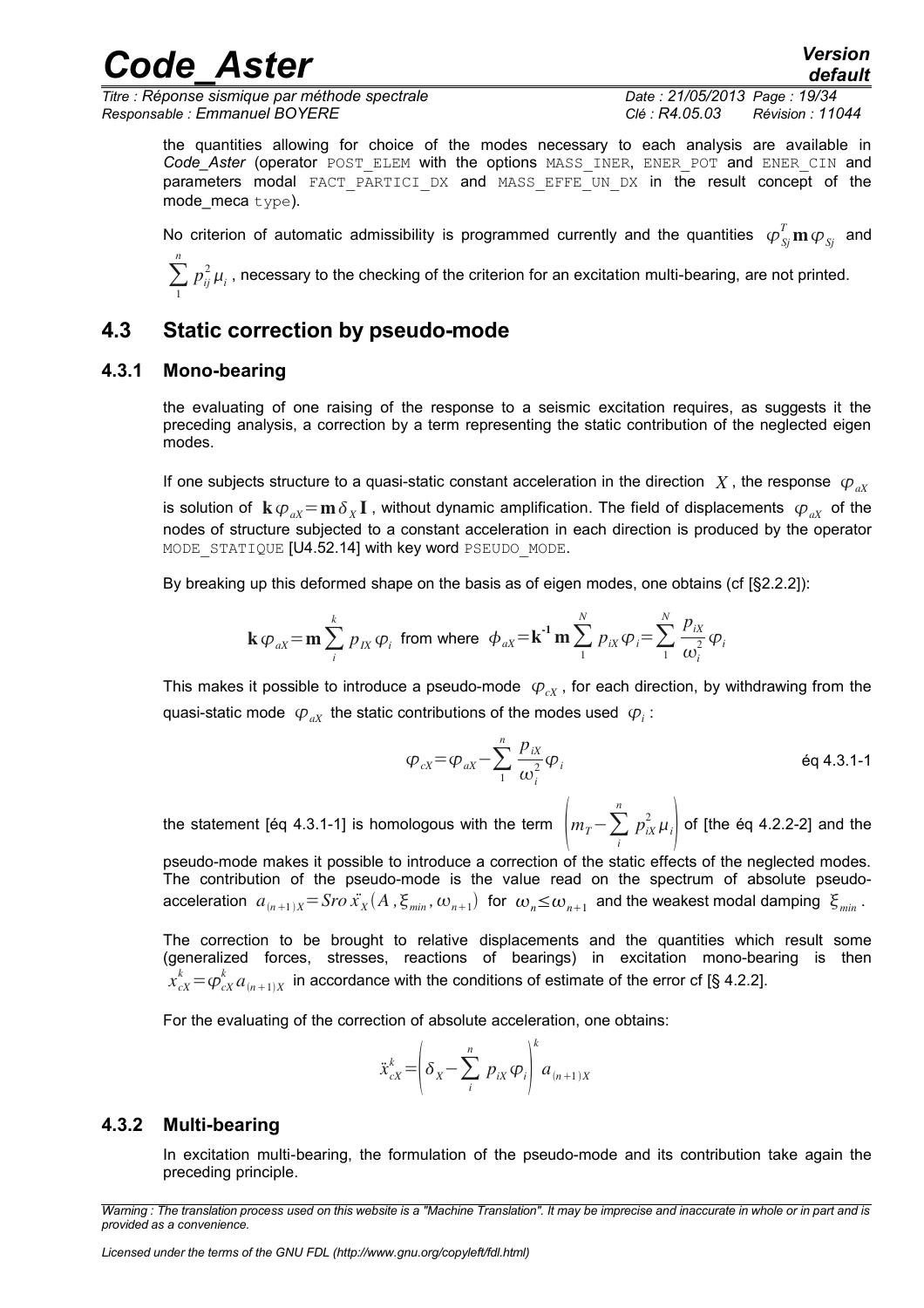*Titre : Réponse sismique par méthode spectrale Date : 21/05/2013 Page : 19/34 Responsable : Emmanuel BOYERE Clé : R4.05.03 Révision : 11044*

*default*

the quantities allowing for choice of the modes necessary to each analysis are available in Code Aster (operator POST\_ELEM with the options MASS\_INER, ENER POT and ENER CIN and parameters modal FACT PARTICI DX and MASS EFFE UN DX in the result concept of the mode meca  $type$ ).

redet Aster<sup> Version</sup>

No criterion of automatic admissibility is programmed currently and the quantities  $\ \varphi^T_{\scriptscriptstyle{S} j} \mathbf{m}\,\varphi_{\scriptscriptstyle{S} j}$  and *n*

<span id="page-18-2"></span> $\sum p_{ij}^2 \mu_i$  , necessary to the checking of the criterion for an excitation multi-bearing, are not printed. 1

## **4.3 Static correction by pseudo-mode**

#### **4.3.1 Mono-bearing**

<span id="page-18-1"></span>the evaluating of one raising of the response to a seismic excitation requires, as suggests it the preceding analysis, a correction by a term representing the static contribution of the neglected eigen modes.

If one subjects structure to a quasi-static constant acceleration in the direction  $X$ , the response  $\varphi_{\alpha X}$ is solution of  $\bf k$   $\varphi_{aX}$   $=$   $\bf m$   $\delta_X{\bf I}$  , without dynamic amplification. The field of displacements  $\;\varphi_{aX}^{}$  of the nodes of structure subjected to a constant acceleration in each direction is produced by the operator MODE STATIQUE [U4.52.14] with key word PSEUDO MODE.

By breaking up this deformed shape on the basis as of eigen modes, one obtains (cf [§2.2.2]):

$$
\mathbf{k} \varphi_{aX} = \mathbf{m} \sum_{i}^{k} p_{IX} \varphi_{i} \text{ from where } \phi_{aX} = \mathbf{k}^{-1} \mathbf{m} \sum_{1}^{N} p_{ix} \varphi_{i} = \sum_{1}^{N} \frac{p_{ix}}{\omega_{i}^{2}} \varphi_{i}
$$

This makes it possible to introduce a pseudo-mode  $\varphi_{\alpha}$ , for each direction, by withdrawing from the quasi-static mode  $\ket{\varphi_{aX}}$  the static contributions of the modes used  $\ket{\varphi_i}$ :

$$
\varphi_{cX} = \varphi_{aX} - \sum_{i=1}^{n} \frac{p_{ix}}{\omega_i^2} \varphi_i
$$

the statement [éq 4.3.1-1] is homologous with the term  $\left|m_{T}{-}\sum_{i}\right|$ *n*  $p_{iX}^2 \mu_i$  of [the éq 4.2.2-2] and the

pseudo-mode makes it possible to introduce a correction of the static effects of the neglected modes. The contribution of the pseudo-mode is the value read on the spectrum of absolute pseudoacceleration  $a_{(n+1)X} =$   $Sro\ \ddot{x_{X}}(A\ , \xi_{min},\omega_{n+1})$  for  $\ \omega_{n}\leq\omega_{n+1}$  and the weakest modal damping  $\ \xi_{min}$  .

The correction to be brought to relative displacements and the quantities which result some (generalized forces, stresses, reactions of bearings) in excitation mono-bearing is then  $x_{cX}^k \! = \! \varphi_{cX}^k \, a_{(n+1)X}^{\phantom k}$  in accordance with the conditions of estimate of the error cf [§ 4.2.2].

For the evaluating of the correction of absolute acceleration, one obtains:

$$
\ddot{x}_{cX}^k = \left(\delta_X - \sum_{i}^{n} p_{ix} \varphi_i\right)^k a_{(n+1)X}
$$

#### **4.3.2 Multi-bearing**

<span id="page-18-0"></span>In excitation multi-bearing, the formulation of the pseudo-mode and its contribution take again the preceding principle.

*Warning : The translation process used on this website is a "Machine Translation". It may be imprecise and inaccurate in whole or in part and is provided as a convenience.*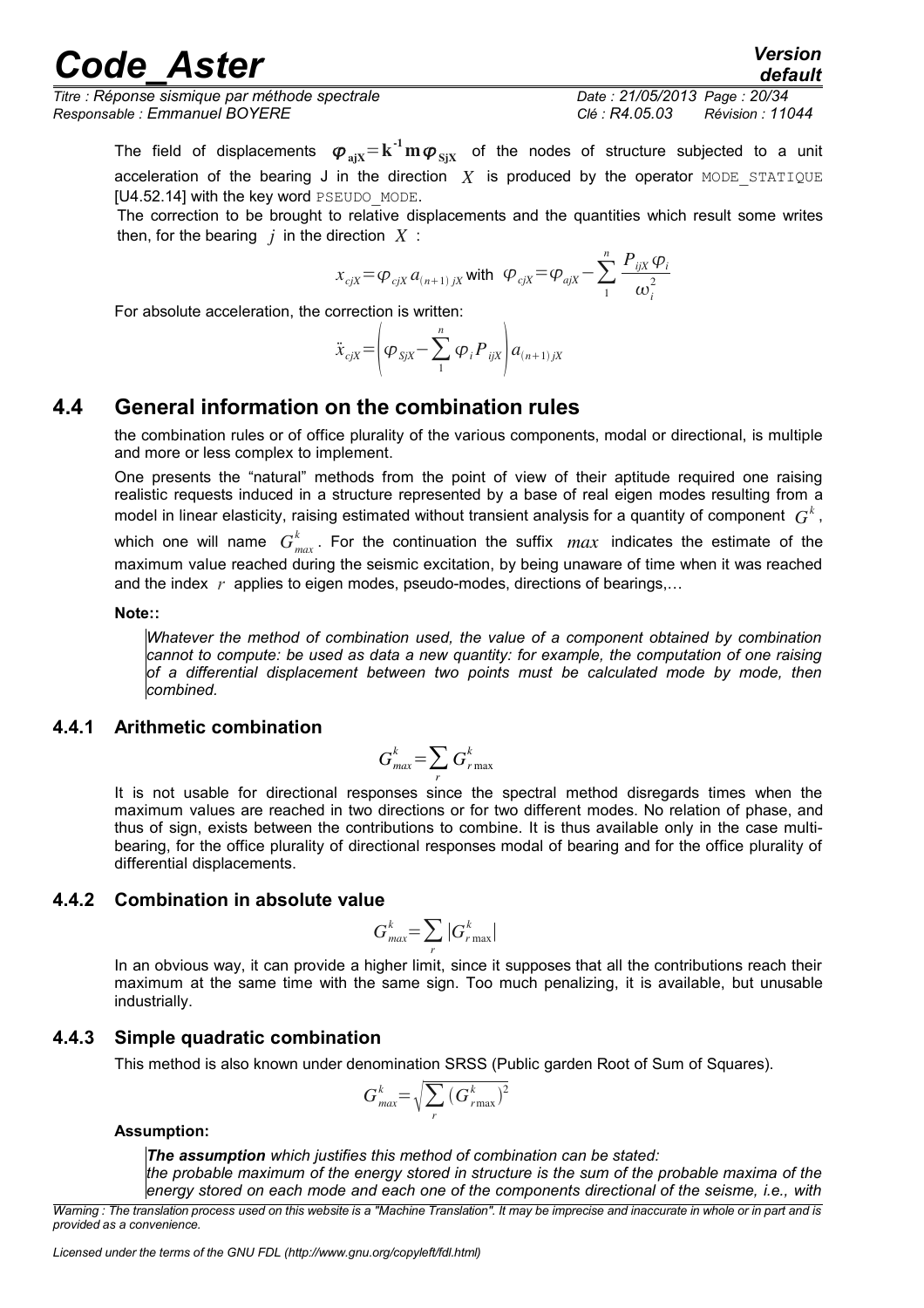*Titre : Réponse sismique par méthode spectrale Date : 21/05/2013 Page : 20/34 Responsable : Emmanuel BOYERE Clé : R4.05.03 Révision : 11044*

*default*

The field of displacements  $\bm{\varphi}_{\text{ajX}}{=}\textbf{k}^{\text{-1}}\textbf{m}\bm{\varphi}_{\text{SjX}}$  of the nodes of structure subjected to a unit acceleration of the bearing J in the direction  $X$  is produced by the operator MODE STATIQUE [U4.52.14] with the key word PSEUDO\_MODE.

The correction to be brought to relative displacements and the quantities which result some writes then, for the bearing  $j$  in the direction  $X$ :

$$
x_{cjX} = \varphi_{cjX} a_{(n+1)jX}
$$
 with  $\varphi_{cjX} = \varphi_{ajX} - \sum_{1}^{n} \frac{P_{ijX} \varphi_i}{\omega_i^2}$ 

For absolute acceleration, the correction is written:

$$
\ddot{x}_{cjX} = \left(\varphi_{SjX} - \sum_{1}^{n} \varphi_i P_{ijX}\right) a_{(n+1)jX}
$$

## **4.4 General information on the combination rules**

<span id="page-19-1"></span>the combination rules or of office plurality of the various components, modal or directional, is multiple and more or less complex to implement.

One presents the "natural" methods from the point of view of their aptitude required one raising realistic requests induced in a structure represented by a base of real eigen modes resulting from a model in linear elasticity, raising estimated without transient analysis for a quantity of component  $\,G^{\hskip.4pt k}\,$  ,

which one will name  $G_{max}^k$ . For the continuation the suffix  $max$  indicates the estimate of the maximum value reached during the seismic excitation, by being unaware of time when it was reached and the index *r* applies to eigen modes, pseudo-modes, directions of bearings,…

#### **Note::**

*Whatever the method of combination used, the value of a component obtained by combination cannot to compute: be used as data a new quantity: for example, the computation of one raising of a differential displacement between two points must be calculated mode by mode, then combined.*

#### <span id="page-19-0"></span>**4.4.1 Arithmetic combination**

$$
G_{\text{max}}^k = \sum_r G_{\text{r}\max}^k
$$

It is not usable for directional responses since the spectral method disregards times when the maximum values are reached in two directions or for two different modes. No relation of phase, and thus of sign, exists between the contributions to combine. It is thus available only in the case multibearing, for the office plurality of directional responses modal of bearing and for the office plurality of differential displacements.

### <span id="page-19-3"></span>**4.4.2 Combination in absolute value**

$$
G_{\text{max}}^k = \sum_r |G_{\text{r max}}^k|
$$

In an obvious way, it can provide a higher limit, since it supposes that all the contributions reach their maximum at the same time with the same sign. Too much penalizing, it is available, but unusable industrially.

### **4.4.3 Simple quadratic combination**

<span id="page-19-2"></span>This method is also known under denomination SRSS (Public garden Root of Sum of Squares).

$$
G_{\text{max}}^k = \sqrt{\sum_r (G_{\text{rmax}}^k)^2}
$$

#### **Assumption:**

*The assumption which justifies this method of combination can be stated: the probable maximum of the energy stored in structure is the sum of the probable maxima of the energy stored on each mode and each one of the components directional of the seisme, i.e., with*

*Warning : The translation process used on this website is a "Machine Translation". It may be imprecise and inaccurate in whole or in part and is provided as a convenience.*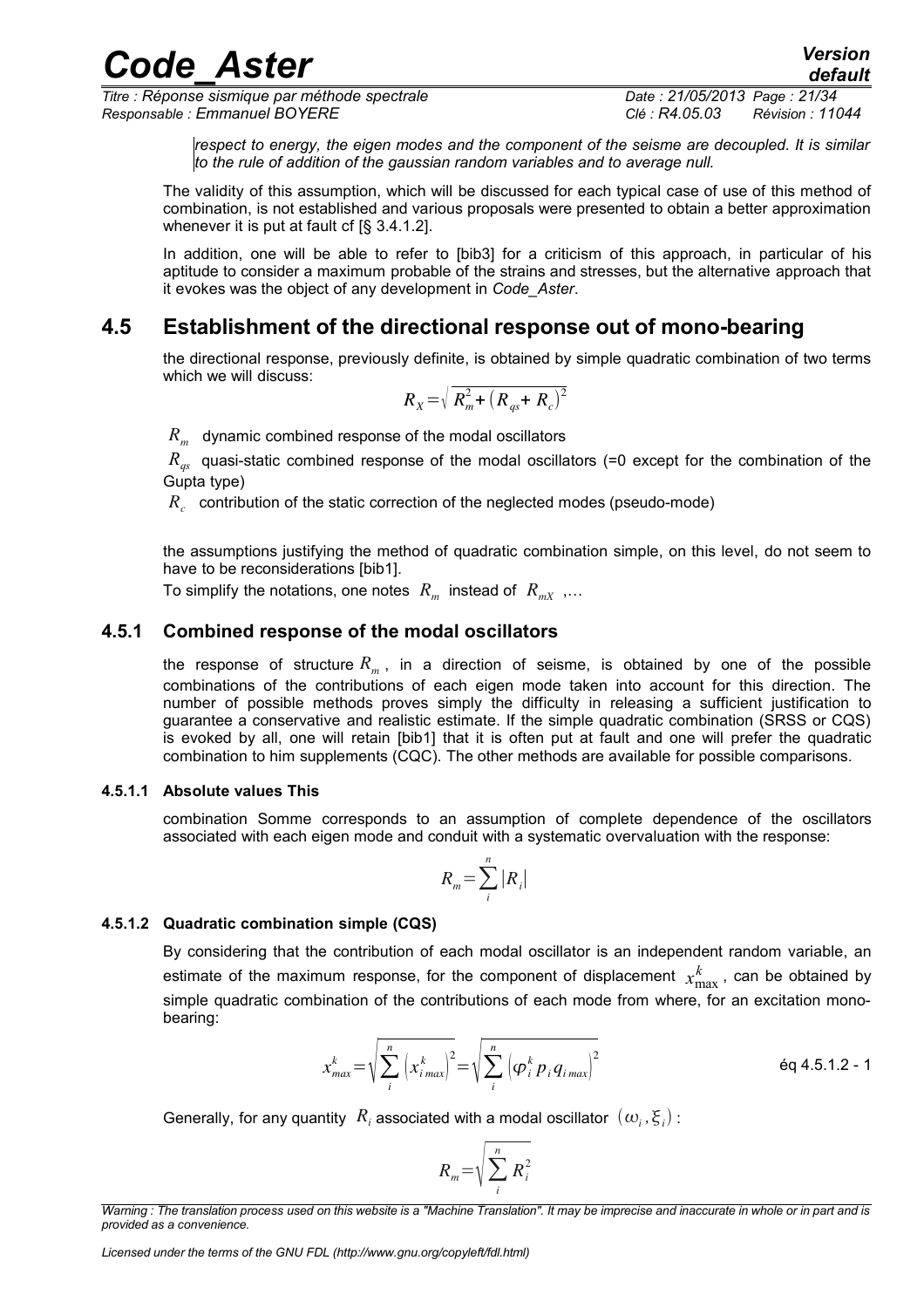*Titre : Réponse sismique par méthode spectrale Date : 21/05/2013 Page : 21/34 Responsable : Emmanuel BOYERE Clé : R4.05.03 Révision : 11044*

*default*

*respect to energy, the eigen modes and the component of the seisme are decoupled. It is similar to the rule of addition of the gaussian random variables and to average null.* 

The validity of this assumption, which will be discussed for each typical case of use of this method of combination, is not established and various proposals were presented to obtain a better approximation whenever it is put at fault cf [§ 3.4.1.2].

In addition, one will be able to refer to [bib3] for a criticism of this approach, in particular of his aptitude to consider a maximum probable of the strains and stresses, but the alternative approach that it evokes was the object of any development in *Code\_Aster*.

## **4.5 Establishment of the directional response out of mono-bearing**

<span id="page-20-3"></span>the directional response, previously definite, is obtained by simple quadratic combination of two terms which we will discuss:

$$
R_{X} = \sqrt{R_m^2 + (R_{qs} + R_c)^2}
$$

 $R_{m}^{\parallel}$  dynamic combined response of the modal oscillators

*R<sub>as</sub>* quasi-static combined response of the modal oscillators (=0 except for the combination of the Gupta type)

 $R_c^+$  contribution of the static correction of the neglected modes (pseudo-mode)

the assumptions justifying the method of quadratic combination simple, on this level, do not seem to have to be reconsiderations [bib1].

To simplify the notations, one notes  $\ R_{_m}$  instead of  $\ R_{_{mX}}$  ,...

### **4.5.1 Combined response of the modal oscillators**

<span id="page-20-2"></span>the response of structure *R<sup>m</sup>* , in a direction of seisme, is obtained by one of the possible combinations of the contributions of each eigen mode taken into account for this direction. The number of possible methods proves simply the difficulty in releasing a sufficient justification to guarantee a conservative and realistic estimate. If the simple quadratic combination (SRSS or CQS) is evoked by all, one will retain [bib1] that it is often put at fault and one will prefer the quadratic combination to him supplements (CQC). The other methods are available for possible comparisons.

#### **4.5.1.1 Absolute values This**

<span id="page-20-1"></span>combination Somme corresponds to an assumption of complete dependence of the oscillators associated with each eigen mode and conduit with a systematic overvaluation with the response:

$$
R_m = \sum_{i}^{n} |R_i|
$$

#### **4.5.1.2 Quadratic combination simple (CQS)**

<span id="page-20-0"></span>By considering that the contribution of each modal oscillator is an independent random variable, an estimate of the maximum response, for the component of displacement  $x_n^k$  $\frac{k}{\text{max}}$ , can be obtained by simple quadratic combination of the contributions of each mode from where, for an excitation monobearing:

$$
x_{max}^k = \sqrt{\sum_i^n \left(x_{i\,max}^k\right)^2} = \sqrt{\sum_i^n \left(\phi_i^k p_i q_{i\,max}\right)^2}
$$
 \n
$$
\text{Eq 4.5.1.2 - 1}
$$

Generally, for any quantity  $\ R_i$  associated with a modal oscillator  $\ (\omega_i, \xi_i)$  :

$$
R_m = \sqrt{\sum_i^n R_i^2}
$$

*Warning : The translation process used on this website is a "Machine Translation". It may be imprecise and inaccurate in whole or in part and is provided as a convenience.*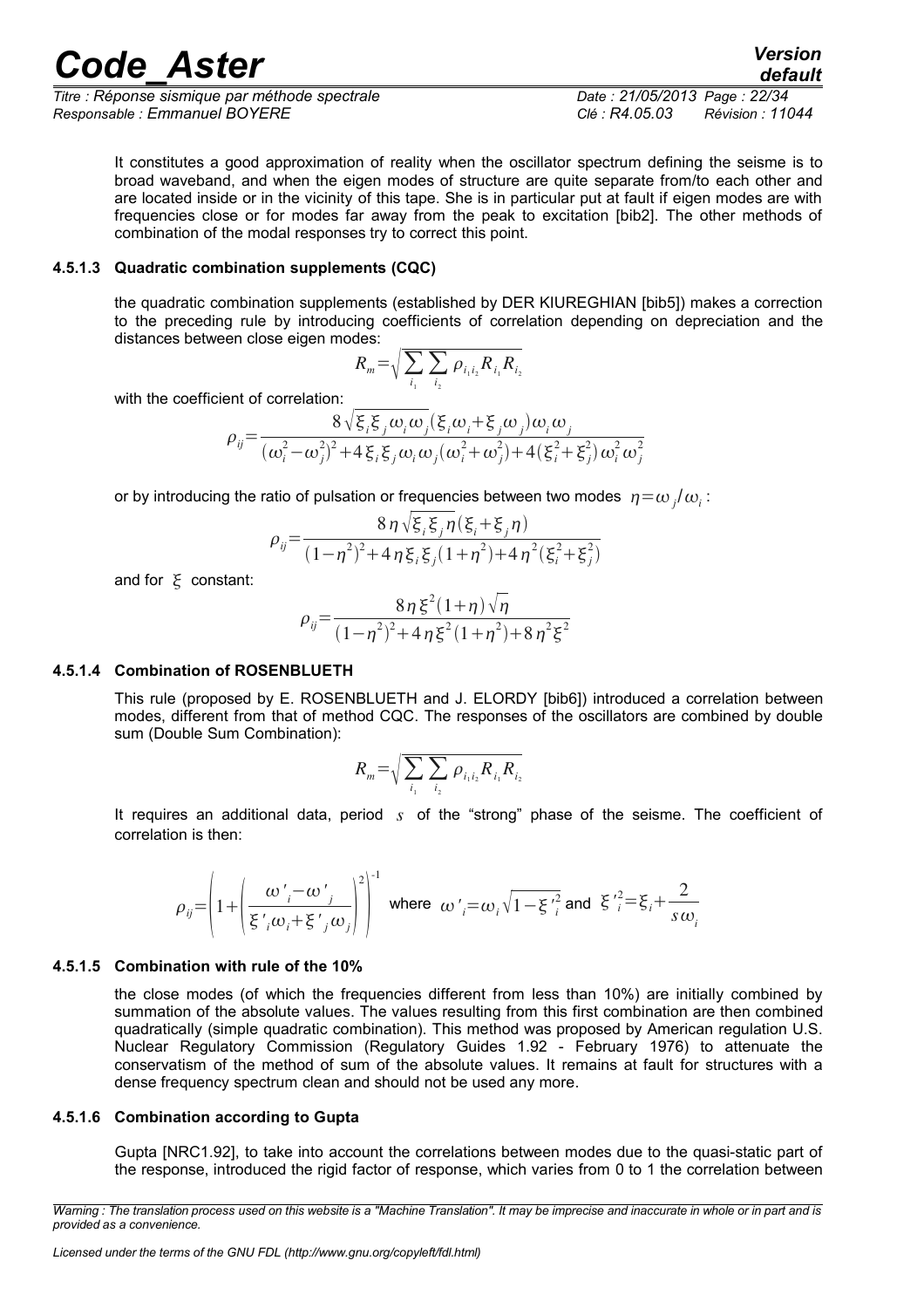*Titre : Réponse sismique par méthode spectrale Date : 21/05/2013 Page : 22/34 Responsable : Emmanuel BOYERE Clé : R4.05.03 Révision : 11044*

*default*

It constitutes a good approximation of reality when the oscillator spectrum defining the seisme is to broad waveband, and when the eigen modes of structure are quite separate from/to each other and are located inside or in the vicinity of this tape. She is in particular put at fault if eigen modes are with frequencies close or for modes far away from the peak to excitation [bib2]. The other methods of combination of the modal responses try to correct this point.

#### **4.5.1.3 Quadratic combination supplements (CQC)**

<span id="page-21-3"></span>the quadratic combination supplements (established by DER KIUREGHIAN [bib5]) makes a correction to the preceding rule by introducing coefficients of correlation depending on depreciation and the distances between close eigen modes:

$$
R_m = \sqrt{\sum_{i_1} \sum_{i_2} \rho_{i_1 i_2} R_{i_1} R_{i_2}}
$$

with the coefficient of correlation:

$$
\rho_{ij} = \frac{8\sqrt{\xi_i\xi_j\omega_i\omega_j}(\xi_i\omega_i+\xi_j\omega_j)\omega_i\omega_j}{(\omega_i^2-\omega_j^2)^2+4\xi_i\xi_j\omega_i\omega_j(\omega_i^2+\omega_j^2)+4(\xi_i^2+\xi_j^2)\omega_i^2\omega_j^2}
$$

or by introducing the ratio of pulsation or frequencies between two modes  $\left. \eta \text{=} \omega_{\overline{j}} / \omega_{\overline{i}} \right)$ 

$$
\rho_{ij} = \frac{8 \eta \sqrt{\xi_i \xi_j \eta(\xi_i + \xi_j \eta)}}{(1 - \eta^2)^2 + 4 \eta \xi_i \xi_j (1 + \eta^2) + 4 \eta^2 (\xi_i^2 + \xi_j^2)}
$$

and for  $\xi$  constant:

$$
\rho_{ij} = \frac{8\eta \xi^2 (1+\eta) \sqrt{\eta}}{(1-\eta^2)^2 + 4\eta \xi^2 (1+\eta^2) + 8\eta^2 \xi^2}
$$

#### **4.5.1.4 Combination of ROSENBLUETH**

<span id="page-21-2"></span>This rule (proposed by E. ROSENBLUETH and J. ELORDY [bib6]) introduced a correlation between modes, different from that of method CQC. The responses of the oscillators are combined by double sum (Double Sum Combination):

$$
R_m = \sqrt{\sum_{i_1} \sum_{i_2} \rho_{i_1 i_2} R_{i_1} R_{i_2}}
$$

It requires an additional data, period *s* of the "strong" phase of the seisme. The coefficient of correlation is then:

$$
\rho_{ij} = \left(1 + \left(\frac{\omega'_{i} - \omega'_{j}}{\xi'_{i}\omega_{i} + \xi'_{j}\omega_{j}}\right)^{2}\right)^{-1}
$$
 where  $\omega'_{i} = \omega_{i}\sqrt{1 - \xi'^{2}_{i}}$  and  $\xi'^{2} = \xi_{i} + \frac{2}{s\omega_{i}}$ 

#### **4.5.1.5 Combination with rule of the 10%**

<span id="page-21-1"></span>the close modes (of which the frequencies different from less than 10%) are initially combined by summation of the absolute values. The values resulting from this first combination are then combined quadratically (simple quadratic combination). This method was proposed by American regulation U.S. Nuclear Regulatory Commission (Regulatory Guides 1.92 - February 1976) to attenuate the conservatism of the method of sum of the absolute values. It remains at fault for structures with a dense frequency spectrum clean and should not be used any more.

#### **4.5.1.6 Combination according to Gupta**

<span id="page-21-0"></span>Gupta [NRC1.92], to take into account the correlations between modes due to the quasi-static part of the response, introduced the rigid factor of response, which varies from 0 to 1 the correlation between

*Warning : The translation process used on this website is a "Machine Translation". It may be imprecise and inaccurate in whole or in part and is provided as a convenience.*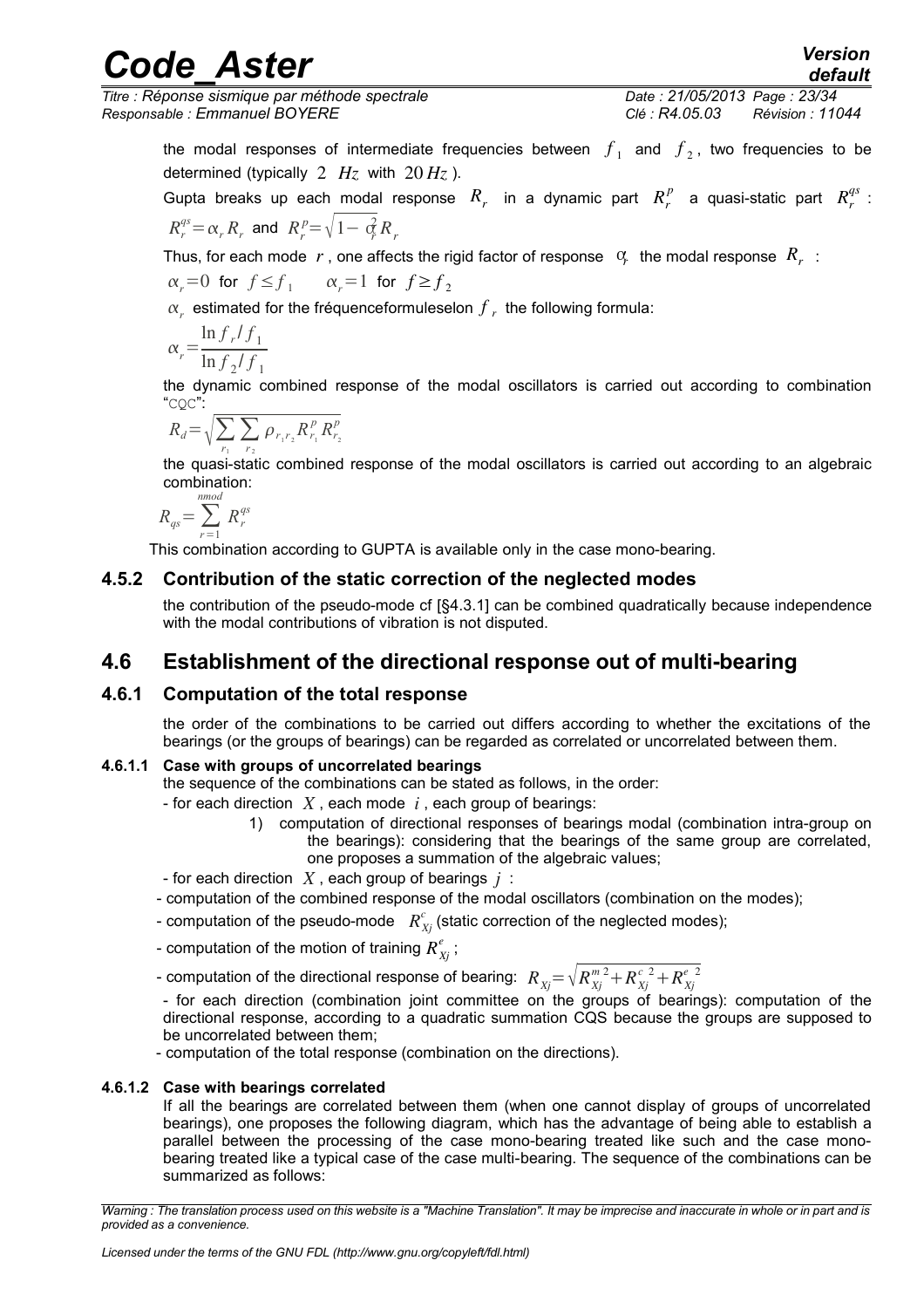*Titre : Réponse sismique par méthode spectrale Date : 21/05/2013 Page : 23/34 Responsable : Emmanuel BOYERE Clé : R4.05.03 Révision : 11044*

*default*

the modal responses of intermediate frequencies between  $f_1$  and  $f_2$ , two frequencies to be determined (typically  $2$   $Hz$  with  $20$   $Hz$ ).

Gupta breaks up each modal response  $R_r$  in a dynamic part  $R_r^p$  a quasi-static part  $R_r^{qs}$  :  $R_r^{qs} = \alpha_r R_r$  and  $R_r^{p} = \sqrt{1 - \alpha_r^2 R_r}$ 

Thus, for each mode  $|r|$ , one affects the rigid factor of response  $|\phi_r|$  the modal response  $|R_r|$  :  $\alpha_r = 0$  for  $f \le f_1$  *i*  $\alpha_r = 1$  for  $f \ge f_2$ 

 $\alpha_r^{\parallel}$  estimated for the fréquenceformuleselon  $f_{\parallel r}^{\parallel}$  the following formula:

$$
\alpha_r = \frac{\ln f_r / f_1}{\ln f_2 / f_1}
$$

the dynamic combined response of the modal oscillators is carried out according to combination "CQC":

$$
R_d = \sqrt{\sum_{r_1} \sum_{r_2} \rho_{r_1 r_2} R_{r_1}^p R_{r_2}^p}
$$

the quasi-static combined response of the modal oscillators is carried out according to an algebraic combination:

$$
R_{qs} = \sum_{r=1}^{nmod} R_r^{qs}
$$

This combination according to GUPTA is available only in the case mono-bearing.

### **4.5.2 Contribution of the static correction of the neglected modes**

<span id="page-22-4"></span><span id="page-22-3"></span>the contribution of the pseudo-mode cf [§4.3.1] can be combined quadratically because independence with the modal contributions of vibration is not disputed.

## **4.6 Establishment of the directional response out of multi-bearing**

### **4.6.1 Computation of the total response**

<span id="page-22-2"></span>the order of the combinations to be carried out differs according to whether the excitations of the bearings (or the groups of bearings) can be regarded as correlated or uncorrelated between them.

#### **4.6.1.1 Case with groups of uncorrelated bearings**

- <span id="page-22-1"></span>the sequence of the combinations can be stated as follows, in the order:
- for each direction *X* , each mode *i* , each group of bearings:
	- 1) computation of directional responses of bearings modal (combination intra-group on the bearings): considering that the bearings of the same group are correlated, one proposes a summation of the algebraic values;

- for each direction *X* , each group of bearings *j* :

- computation of the combined response of the modal oscillators (combination on the modes);
- computation of the pseudo-mode  $\ R^c_{Xj}$  (static correction of the neglected modes);
- computation of the motion of training  $R^\ell_{\overline{\chi}^j}$  ;

- computation of the directional response of bearing:  $\; R_{X\!j} \! = \! \sqrt{R_{X\!j}^{\,m\,2} \! + \! R_{X\!j}^{\,c\,\,2} \! + \! R_{X\!j}^{\,e\,\,2}}$ 

- for each direction (combination joint committee on the groups of bearings): computation of the directional response, according to a quadratic summation CQS because the groups are supposed to be uncorrelated between them;

- computation of the total response (combination on the directions).

#### **4.6.1.2 Case with bearings correlated**

<span id="page-22-0"></span>If all the bearings are correlated between them (when one cannot display of groups of uncorrelated bearings), one proposes the following diagram, which has the advantage of being able to establish a parallel between the processing of the case mono-bearing treated like such and the case monobearing treated like a typical case of the case multi-bearing. The sequence of the combinations can be summarized as follows:

*Warning : The translation process used on this website is a "Machine Translation". It may be imprecise and inaccurate in whole or in part and is provided as a convenience.*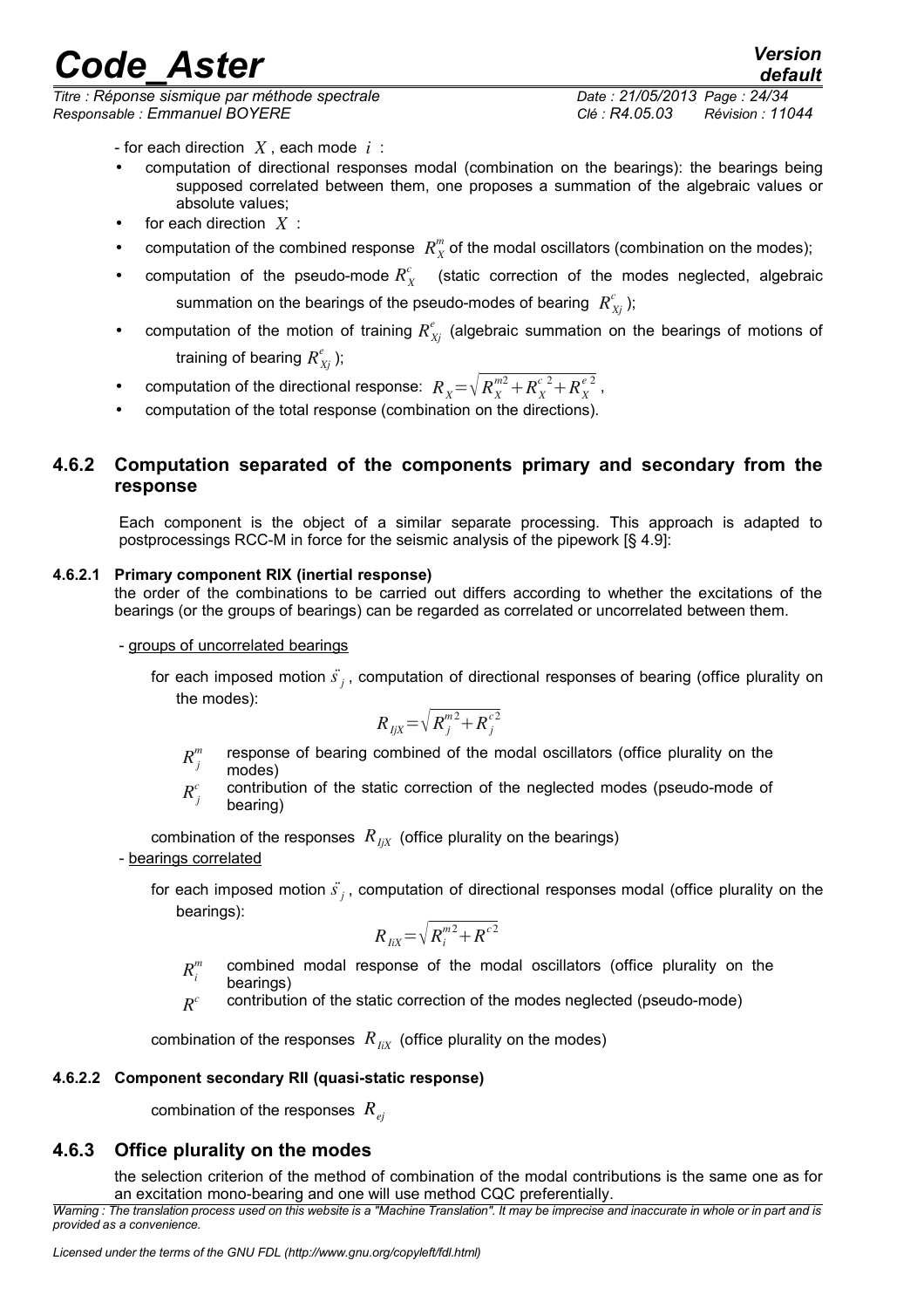*Titre : Réponse sismique par méthode spectrale Date : 21/05/2013 Page : 24/34 Responsable : Emmanuel BOYERE Clé : R4.05.03 Révision : 11044*

- for each direction *X* , each mode *i* :
- computation of directional responses modal (combination on the bearings): the bearings being supposed correlated between them, one proposes a summation of the algebraic values or absolute values;
- for each direction  $X$  :
- computation of the combined response  $R_X^m$  of the modal oscillators (combination on the modes);
- computation of the pseudo-mode  $R_X^c$  (static correction of the modes neglected, algebraic summation on the bearings of the pseudo-modes of bearing  $\ R_{Xj}^c$  );
- computation of the motion of training  $R^e_{Xj}$  (algebraic summation on the bearings of motions of training of bearing  $R_{Xj}^e$  );
- computation of the directional response:  $R_X = \sqrt{R_X^{m2} + R_X^{c2} + R_X^{e2}}$ ,
- <span id="page-23-3"></span>• computation of the total response (combination on the directions).

### **4.6.2 Computation separated of the components primary and secondary from the response**

Each component is the object of a similar separate processing. This approach is adapted to postprocessings RCC-M in force for the seismic analysis of the pipework [§ 4.9]:

#### **4.6.2.1 Primary component RIX (inertial response)**

<span id="page-23-2"></span>the order of the combinations to be carried out differs according to whether the excitations of the bearings (or the groups of bearings) can be regarded as correlated or uncorrelated between them.

- groups of uncorrelated bearings

for each imposed motion *s*¨*<sup>j</sup>* , computation of directional responses of bearing (office plurality on the modes):

$$
R_{IjX} = \sqrt{R_j^{m2} + R_j^{c2}}
$$

- $R_i^m$ *m* response of bearing combined of the modal oscillators (office plurality on the modes)
- $R_i^c$ *c* contribution of the static correction of the neglected modes (pseudo-mode of bearing)

combination of the responses  $R_{I\mid X}$  (office plurality on the bearings) - bearings correlated

for each imposed motion *s*¨*<sup>j</sup>* , computation of directional responses modal (office plurality on the bearings):

$$
R_{IiX} = \sqrt{R_i^{m2} + R_{i}^{c2}}
$$

- $R^n$ *m* combined modal response of the modal oscillators (office plurality on the bearings)
- $R^c$ *c* contribution of the static correction of the modes neglected (pseudo-mode)

combination of the responses  $R_{IiX}$  (office plurality on the modes)

#### **4.6.2.2 Component secondary RII (quasi-static response)**

<span id="page-23-1"></span>combination of the responses *Rej*

### **4.6.3 Office plurality on the modes**

<span id="page-23-0"></span>the selection criterion of the method of combination of the modal contributions is the same one as for an excitation mono-bearing and one will use method CQC preferentially.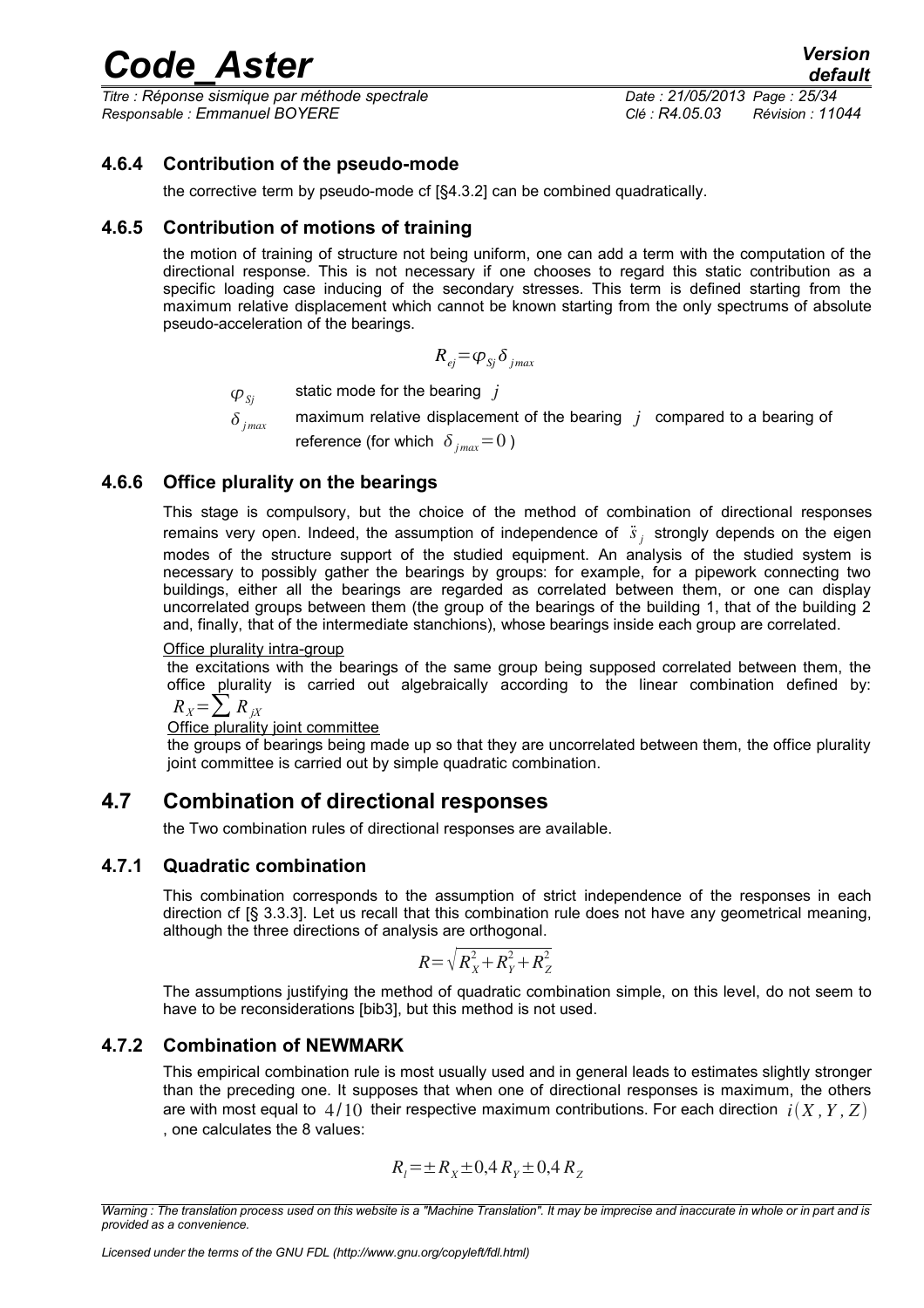*Titre : Réponse sismique par méthode spectrale Date : 21/05/2013 Page : 25/34 Responsable : Emmanuel BOYERE Clé : R4.05.03 Révision : 11044*

### **4.6.4 Contribution of the pseudo-mode**

<span id="page-24-5"></span>the corrective term by pseudo-mode cf [§4.3.2] can be combined quadratically.

### **4.6.5 Contribution of motions of training**

<span id="page-24-4"></span>the motion of training of structure not being uniform, one can add a term with the computation of the directional response. This is not necessary if one chooses to regard this static contribution as a specific loading case inducing of the secondary stresses. This term is defined starting from the maximum relative displacement which cannot be known starting from the only spectrums of absolute pseudo-acceleration of the bearings.

$$
R_{ej} = \varphi_{Sj} \delta_{jmax}
$$

 $\varphi_{si}$  static mode for the bearing *j* 

 $\delta$ <sub>jmax</sub> maximum relative displacement of the bearing *j* compared to a bearing of reference (for which  $\delta_{ijmax}=0$ )

### **4.6.6 Office plurality on the bearings**

<span id="page-24-3"></span>This stage is compulsory, but the choice of the method of combination of directional responses remains very open. Indeed, the assumption of independence of  $\ddot{s}_j$  strongly depends on the eigen modes of the structure support of the studied equipment. An analysis of the studied system is necessary to possibly gather the bearings by groups: for example, for a pipework connecting two buildings, either all the bearings are regarded as correlated between them, or one can display uncorrelated groups between them (the group of the bearings of the building 1, that of the building 2 and, finally, that of the intermediate stanchions), whose bearings inside each group are correlated.

#### Office plurality intra-group

the excitations with the bearings of the same group being supposed correlated between them, the office plurality is carried out algebraically according to the linear combination defined by:

 $R_X = \sum R_{iX}$ 

#### Office plurality joint committee

the groups of bearings being made up so that they are uncorrelated between them, the office plurality joint committee is carried out by simple quadratic combination.

## **4.7 Combination of directional responses**

<span id="page-24-2"></span>the Two combination rules of directional responses are available.

#### **4.7.1 Quadratic combination**

<span id="page-24-1"></span>This combination corresponds to the assumption of strict independence of the responses in each direction cf [§ 3.3.3]. Let us recall that this combination rule does not have any geometrical meaning, although the three directions of analysis are orthogonal.

$$
R = \sqrt{R_X^2 + R_Y^2 + R_Z^2}
$$

The assumptions justifying the method of quadratic combination simple, on this level, do not seem to have to be reconsiderations [bib3], but this method is not used.

### **4.7.2 Combination of NEWMARK**

<span id="page-24-0"></span>This empirical combination rule is most usually used and in general leads to estimates slightly stronger than the preceding one. It supposes that when one of directional responses is maximum, the others are with most equal to  $4/10$  their respective maximum contributions. For each direction  $i(X, Y, Z)$ , one calculates the 8 values:

$$
R_{l} = \pm R_{X} \pm 0.4 R_{Y} \pm 0.4 R_{Z}
$$

*Warning : The translation process used on this website is a "Machine Translation". It may be imprecise and inaccurate in whole or in part and is provided as a convenience.*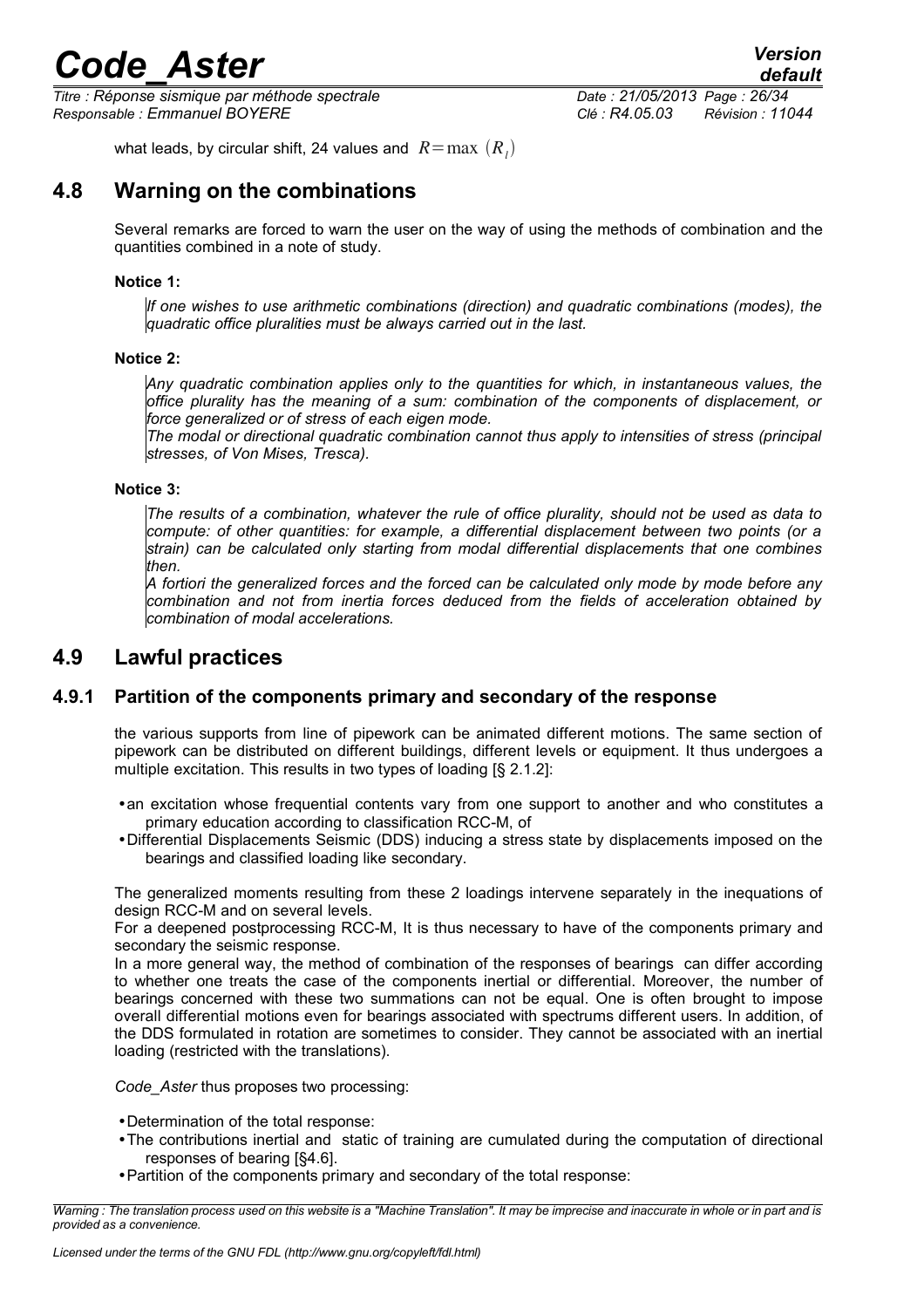*Titre : Réponse sismique par méthode spectrale Date : 21/05/2013 Page : 26/34 Responsable : Emmanuel BOYERE Clé : R4.05.03 Révision : 11044*

<span id="page-25-2"></span>what leads, by circular shift, 24 values and  $\ R{=}\max\ (R_{_I})$ 

## **4.8 Warning on the combinations**

Several remarks are forced to warn the user on the way of using the methods of combination and the quantities combined in a note of study.

### **Notice 1:**

*If one wishes to use arithmetic combinations (direction) and quadratic combinations (modes), the quadratic office pluralities must be always carried out in the last.*

#### **Notice 2:**

*Any quadratic combination applies only to the quantities for which, in instantaneous values, the office plurality has the meaning of a sum: combination of the components of displacement, or force generalized or of stress of each eigen mode.*

*The modal or directional quadratic combination cannot thus apply to intensities of stress (principal stresses, of Von Mises, Tresca).*

#### **Notice 3:**

*The results of a combination, whatever the rule of office plurality, should not be used as data to compute: of other quantities: for example, a differential displacement between two points (or a strain) can be calculated only starting from modal differential displacements that one combines then.*

*A fortiori the generalized forces and the forced can be calculated only mode by mode before any combination and not from inertia forces deduced from the fields of acceleration obtained by combination of modal accelerations.*

## <span id="page-25-1"></span>**4.9 Lawful practices**

### **4.9.1 Partition of the components primary and secondary of the response**

<span id="page-25-0"></span>the various supports from line of pipework can be animated different motions. The same section of pipework can be distributed on different buildings, different levels or equipment. It thus undergoes a multiple excitation. This results in two types of loading [§ 2.1.2]:

- •an excitation whose frequential contents vary from one support to another and who constitutes a primary education according to classification RCC-M, of
- •Differential Displacements Seismic (DDS) inducing a stress state by displacements imposed on the bearings and classified loading like secondary.

The generalized moments resulting from these 2 loadings intervene separately in the inequations of design RCC-M and on several levels.

For a deepened postprocessing RCC-M, It is thus necessary to have of the components primary and secondary the seismic response.

In a more general way, the method of combination of the responses of bearings can differ according to whether one treats the case of the components inertial or differential. Moreover, the number of bearings concerned with these two summations can not be equal. One is often brought to impose overall differential motions even for bearings associated with spectrums different users. In addition, of the DDS formulated in rotation are sometimes to consider. They cannot be associated with an inertial loading (restricted with the translations).

*Code\_Aster* thus proposes two processing:

- •Determination of the total response:
- •The contributions inertial and static of training are cumulated during the computation of directional responses of bearing [§4.6].
- •Partition of the components primary and secondary of the total response:

*Warning : The translation process used on this website is a "Machine Translation". It may be imprecise and inaccurate in whole or in part and is provided as a convenience.*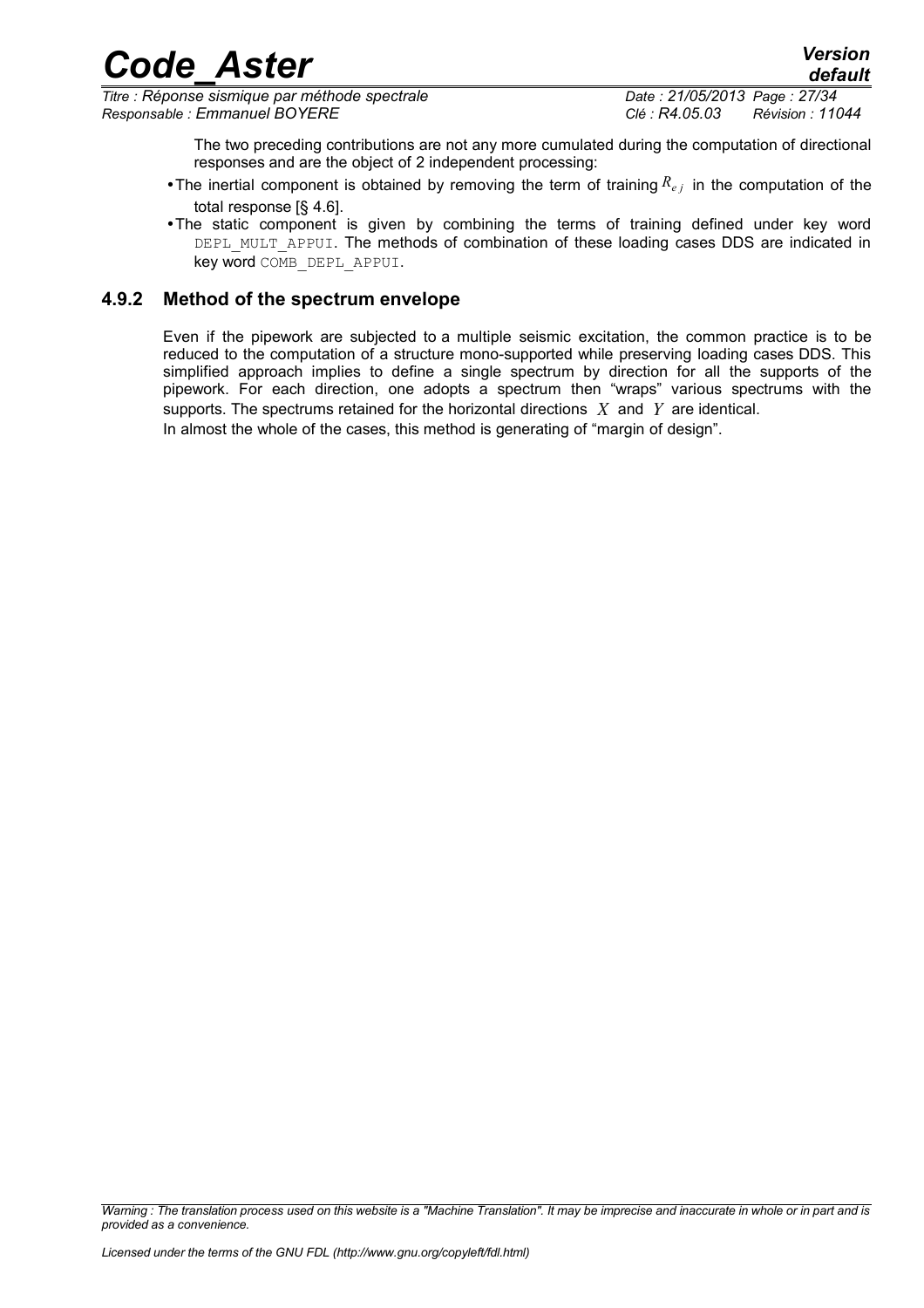*Titre : Réponse sismique par méthode spectrale Date : 21/05/2013 Page : 27/34 Responsable : Emmanuel BOYERE Clé : R4.05.03 Révision : 11044*

The two preceding contributions are not any more cumulated during the computation of directional responses and are the object of 2 independent processing:

- •The inertial component is obtained by removing the term of training  $R_{e,i}$  in the computation of the total response [§ 4.6].
- •The static component is given by combining the terms of training defined under key word DEPL\_MULT\_APPUI. The methods of combination of these loading cases DDS are indicated in key word COMB\_DEPL\_APPUI.

### **4.9.2 Method of the spectrum envelope**

<span id="page-26-0"></span>Even if the pipework are subjected to a multiple seismic excitation, the common practice is to be reduced to the computation of a structure mono-supported while preserving loading cases DDS. This simplified approach implies to define a single spectrum by direction for all the supports of the pipework. For each direction, one adopts a spectrum then "wraps" various spectrums with the supports. The spectrums retained for the horizontal directions *X* and *Y* are identical. In almost the whole of the cases, this method is generating of "margin of design".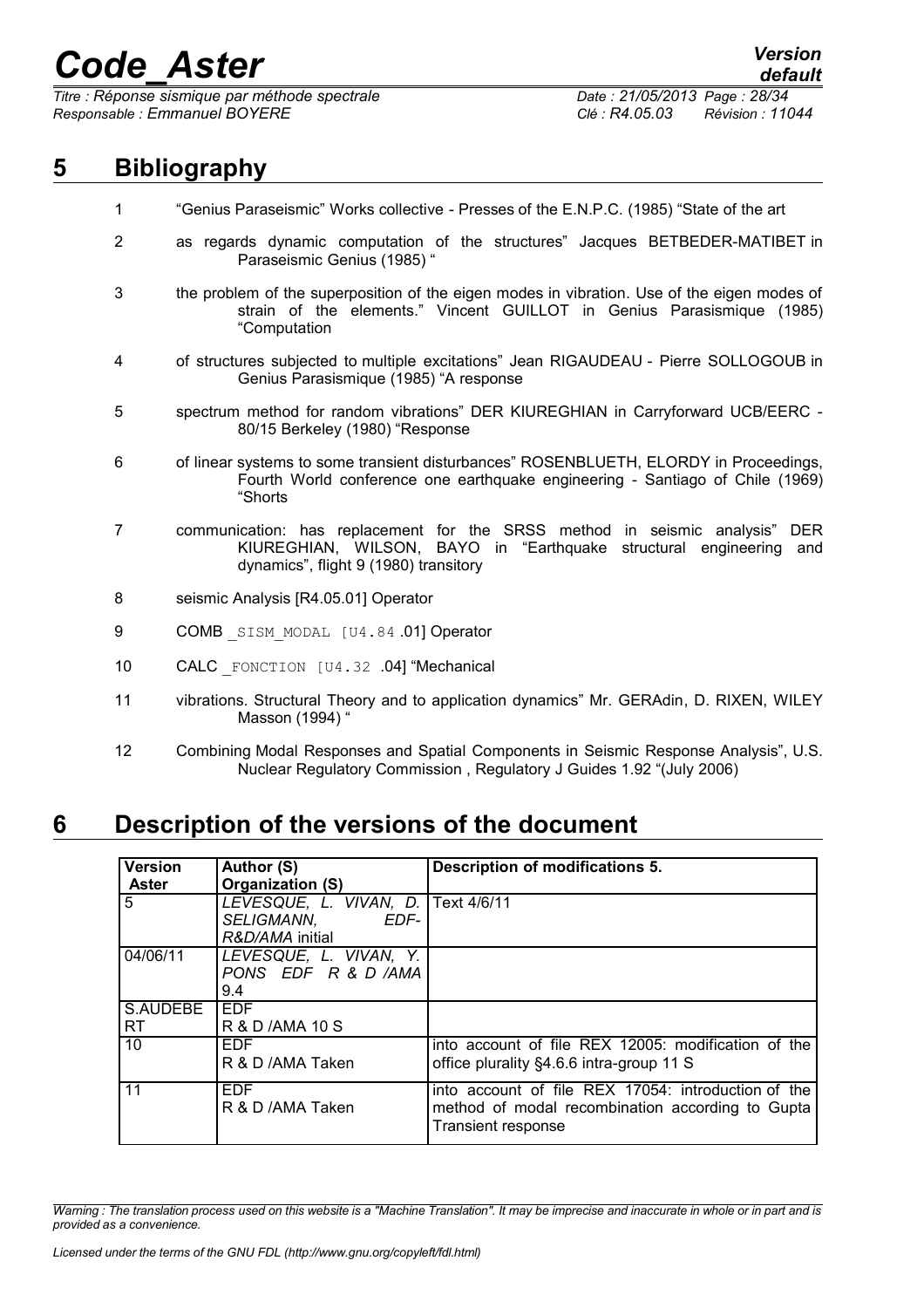*Titre : Réponse sismique par méthode spectrale Date : 21/05/2013 Page : 28/34 Responsable : Emmanuel BOYERE Clé : R4.05.03 Révision : 11044*

## **5 Bibliography**

- <span id="page-27-1"></span>1 "Genius Paraseismic" Works collective - Presses of the E.N.P.C. (1985) "State of the art
- 2 as regards dynamic computation of the structures" Jacques BETBEDER-MATIBET in Paraseismic Genius (1985) "
- 3 the problem of the superposition of the eigen modes in vibration. Use of the eigen modes of strain of the elements." Vincent GUILLOT in Genius Parasismique (1985) "Computation
- 4 of structures subjected to multiple excitations" Jean RIGAUDEAU Pierre SOLLOGOUB in Genius Parasismique (1985) "A response
- 5 spectrum method for random vibrations" DER KIUREGHIAN in Carryforward UCB/EERC 80/15 Berkeley (1980) "Response
- 6 of linear systems to some transient disturbances" ROSENBLUETH, ELORDY in Proceedings, Fourth World conference one earthquake engineering - Santiago of Chile (1969) "Shorts
- 7 communication: has replacement for the SRSS method in seismic analysis" DER KIUREGHIAN, WILSON, BAYO in "Earthquake structural engineering and dynamics", flight 9 (1980) transitory
- 8 seismic Analysis [R4.05.01] Operator
- 9 COMB SISM MODAL [U4.84 .01] Operator
- 10 CALC FONCTION [U4.32 .04] "Mechanical
- 11 vibrations. Structural Theory and to application dynamics" Mr. GERAdin, D. RIXEN, WILEY Masson (1994) "
- 12 Combining Modal Responses and Spatial Components in Seismic Response Analysis", U.S. Nuclear Regulatory Commission , Regulatory J Guides 1.92 "(July 2006)

## **6 Description of the versions of the document**

<span id="page-27-0"></span>

| <b>Version</b> | Author (S)                         | Description of modifications 5.                                        |
|----------------|------------------------------------|------------------------------------------------------------------------|
| <b>Aster</b>   | Organization (S)                   |                                                                        |
| 5              | LEVESQUE, L. VIVAN, D. Text 4/6/11 |                                                                        |
|                | EDF-<br><i>SELIGMANN.</i>          |                                                                        |
|                | R&D/AMA initial                    |                                                                        |
| 04/06/11       | LEVESQUE, L. VIVAN, Y.             |                                                                        |
|                | PONS EDF R & D /AMA                |                                                                        |
|                | 9.4                                |                                                                        |
| S.AUDEBE       | <b>EDF</b>                         |                                                                        |
| <b>RT</b>      | R & D /AMA 10 S                    |                                                                        |
| 10             | <b>EDF</b>                         | into account of file REX 12005: modification of the                    |
|                | R & D /AMA Taken                   | office plurality §4.6.6 intra-group 11 S                               |
| 11             | <b>EDF</b>                         | into account of file REX 17054: introduction of the                    |
|                | R & D /AMA Taken                   | method of modal recombination according to Gupta<br>Transient response |

*Warning : The translation process used on this website is a "Machine Translation". It may be imprecise and inaccurate in whole or in part and is provided as a convenience.*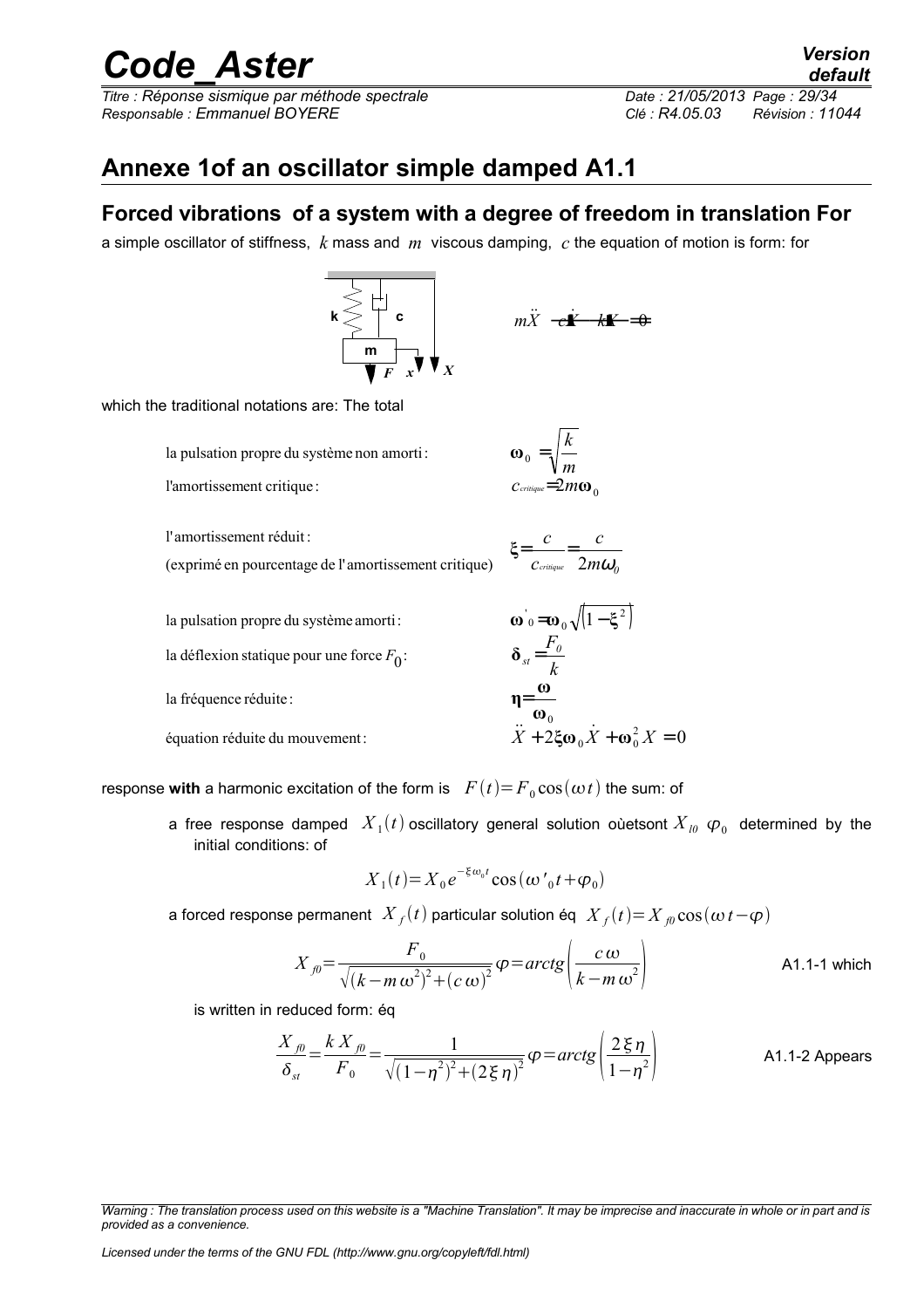*Titre : Réponse sismique par méthode spectrale Date : 21/05/2013 Page : 29/34 Responsable : Emmanuel BOYERE Clé : R4.05.03 Révision : 11044*

## **Annexe 1of an oscillator simple damped A1.1**

## **Forced vibrations of a system with a degree of freedom in translation For**

a simple oscillator of stiffness, *k* mass and *m* viscous damping, *c* the equation of motion is form: for



$$
m\ddot{X} - \dot{\mathbf{z}}\dot{X} - \dot{\mathbf{z}}\dot{X} = 0
$$

which the traditional notations are: The total

la pulsation propre du système non amorti:

l'amortissement critique :

l'amortissement réduit :

(exprimé en pourcentage de l'amortissement critique)

$$
=\frac{c}{c_{\text{triangle}}}=\frac{c}{2m\omega_o}
$$

2 0 = *c m critique* **ω**

*m*

 $_0 =$ 

**ξ**

 $\omega_0 = \sqrt{\frac{k}{k}}$ 

 $(1 - \xi^2)$  $2\xi\omega_0\dot{X} + \omega_0^2X = 0$  $0^{21}$   $\omega_0$ 0  $\boldsymbol{\omega}$ <sup>'</sup>ο= $\boldsymbol{\omega}_0 \sqrt{|1-\xi}$ équation réduite du mouvement : la fréquence réduite : la déflexion statique pour une force *F*<sub>0</sub>: la pulsation propre du système amorti:  $+ 2$ ξω $_0 X + \omega_0^2 X =$ = =  $X$  + 2ξω<sub>0</sub> $X$  + ω<sup>2</sup><sub>0</sub> $X$ *k*  $\delta_{st} = \frac{F_{\theta}}{I}$ **ω ω η**  $\ddot{x}$  + 2  $\ddot{\epsilon}$   $\ddot{x}$ 

response with a harmonic excitation of the form is  $F(t)=F_0 \cos(\omega t)$  the sum: of

a free response damped  $\; X_{1}(t)$  oscillatory general solution oùetsont  $X_{I0}$   $\bm{\varphi}_{0}$  determined by the initial conditions: of

$$
X_1(t) = X_0 e^{-\xi \omega_0 t} \cos(\omega'{}_0 t + \varphi_0)
$$

a forced response permanent  $\left|X_{f}(t)\right|$  particular solution éq  $\left|X_{f}(t)\right| = X_{f0} \cos(\omega\, t - \phi)$ 

$$
X_{j0} = \frac{F_0}{\sqrt{(k - m \omega^2)^2 + (c \omega)^2}} \varphi = \operatorname{arctg} \left( \frac{c \omega}{k - m \omega^2} \right)
$$
 A1.1-1 which

is written in reduced form: éq

$$
\frac{X_{j0}}{\delta_{st}} = \frac{k X_{j0}}{F_0} = \frac{1}{\sqrt{(1-\eta^2)^2 + (2\xi \eta)^2}} \varphi = \arctg\left(\frac{2\xi \eta}{1-\eta^2}\right)
$$
 A1.1-2 Appears

*Licensed under the terms of the GNU FDL (http://www.gnu.org/copyleft/fdl.html)*

*Warning : The translation process used on this website is a "Machine Translation". It may be imprecise and inaccurate in whole or in part and is provided as a convenience.*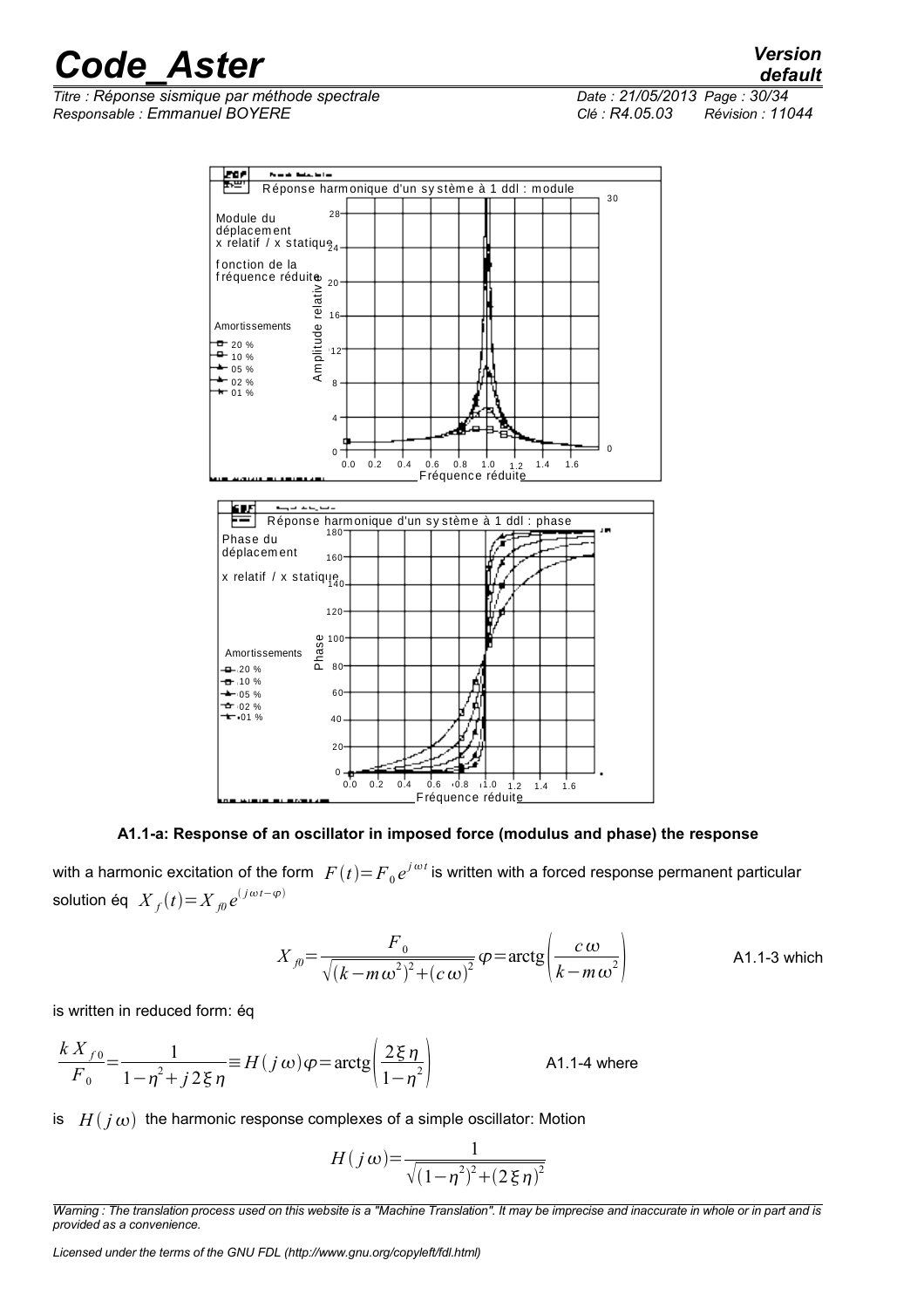*Titre : Réponse sismique par méthode spectrale Date : 21/05/2013 Page : 30/34 Responsable : Emmanuel BOYERE Clé : R4.05.03 Révision : 11044*

*default*



#### **A1.1-a: Response of an oscillator in imposed force (modulus and phase) the response**

with a harmonic excitation of the form  $\ F(t) {=} F_{0}e^{j\,\omega\,t}$  is written with a forced response permanent particular solution éq  $\overline{X}_f(t){=}\overline{X}_{f0}e^{(j\omega t-\varphi t)}$ 

$$
X_{j0} = \frac{F_0}{\sqrt{(k - m\omega^2)^2 + (c\omega)^2}} \varphi = \arctg\left(\frac{c\omega}{k - m\omega^2}\right)
$$
 A1.1-3 which

is written in reduced form: éq

$$
\frac{k X_{f0}}{F_0} = \frac{1}{1 - \eta^2 + j2\xi \eta} \equiv H(j\omega)\varphi = \arctg\left(\frac{2\xi \eta}{1 - \eta^2}\right)
$$
 A1.1-4 where

is  $H(j\omega)$  the harmonic response complexes of a simple oscillator: Motion

$$
H(j\omega) = \frac{1}{\sqrt{(1-\eta^2)^2 + (2\xi\eta)^2}}
$$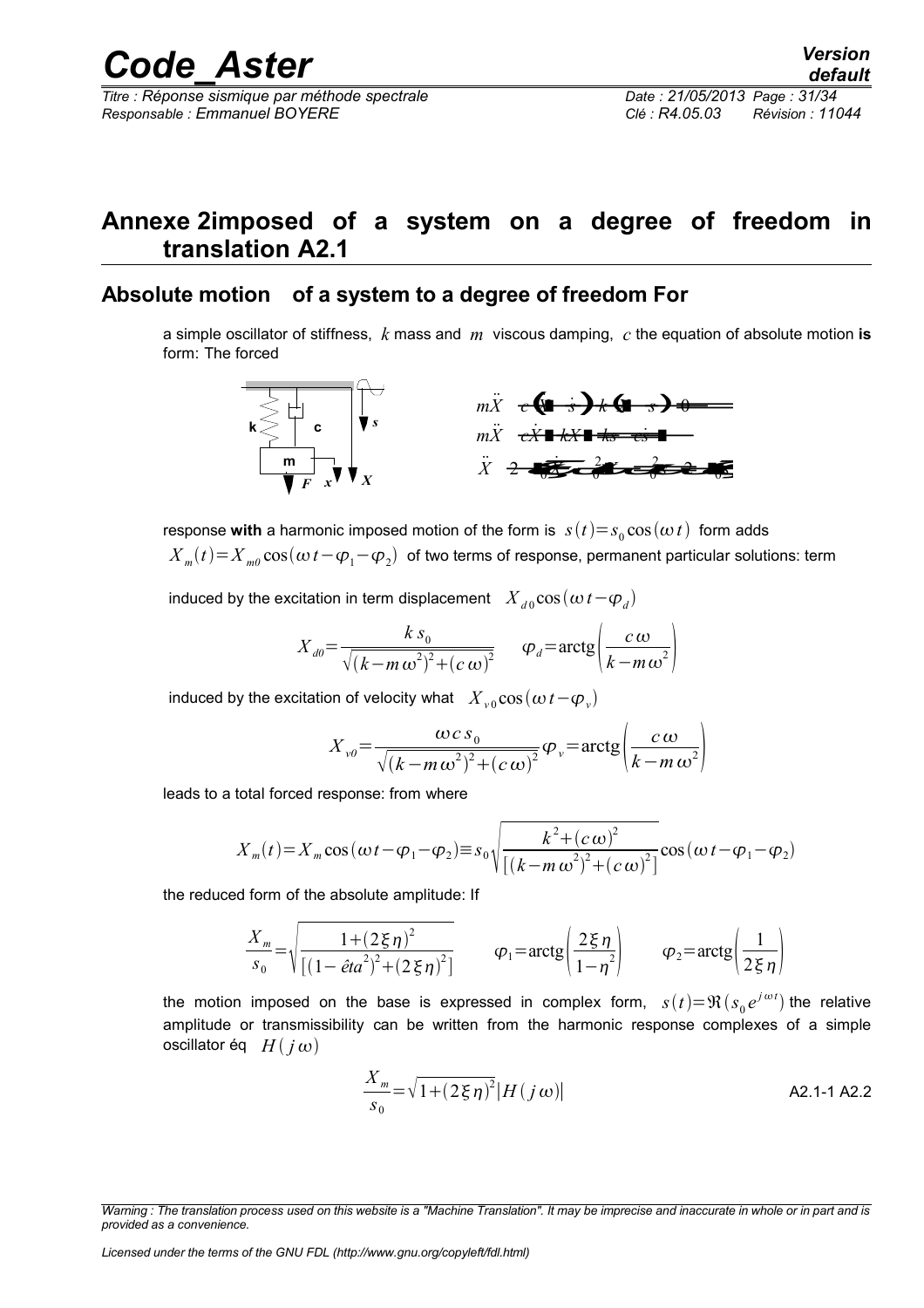*Responsable : Emmanuel BOYERE Clé : R4.05.03 Révision : 11044*

## **Annexe 2imposed of a system on a degree of freedom in translation A2.1**

## **Absolute motion of a system to a degree of freedom For**

a simple oscillator of stiffness, *k* mass and *m* viscous damping, *c* the equation of absolute motion **is** form: The forced



response **with** a harmonic imposed motion of the form is  $\;s(t)\!=\!s_{0}\cos(\omega\,t)\;$  form adds  ${X}_{m}(t)\!=\!{X}_{m0}\cos(\omega\,t\!-\!\varphi_{1}\!-\!\varphi_{2})\;$  of two terms of response, permanent particular solutions: term

induced by the excitation in term displacement  $\left| {X_{d0} \cos \left( {\omega \, t - \phi _d } \right)} \right|$ 

$$
X_{d0} = \frac{k s_0}{\sqrt{(k - m \omega^2)^2 + (c \omega)^2}} \qquad \varphi_d = \arctg \left( \frac{c \omega}{k - m \omega^2} \right)
$$

induced by the excitation of velocity what  $\left| \right. X_{\rm v0}^{\rm} \cos \left( \omega \, t - \varphi_{\rm v}^{\rm} \right)$ 

$$
X_{\nu\theta} = \frac{\omega c s_0}{\sqrt{(k - m\omega^2)^2 + (c\omega)^2}} \varphi_{\nu} = \arctg \left( \frac{c\omega}{k - m\omega^2} \right)
$$

leads to a total forced response: from where

$$
X_{m}(t) = X_{m} \cos(\omega t - \varphi_{1} - \varphi_{2}) \equiv s_{0} \sqrt{\frac{k^{2} + (c \omega)^{2}}{[(k - m \omega^{2})^{2} + (c \omega)^{2}]}} \cos(\omega t - \varphi_{1} - \varphi_{2})
$$

the reduced form of the absolute amplitude: If

$$
\frac{X_m}{s_0} = \sqrt{\frac{1 + (2\xi\eta)^2}{[(1 - \hat{e}ta^2)^2 + (2\xi\eta)^2]}} \qquad \varphi_1 = \arctg\left(\frac{2\xi\eta}{1 - \eta^2}\right) \qquad \varphi_2 = \arctg\left(\frac{1}{2\xi\eta}\right)
$$

the motion imposed on the base is expressed in complex form,  $s(t)=\Re(s_0e^{j\omega t})$  the relative amplitude or transmissibility can be written from the harmonic response complexes of a simple oscillator éq  $H(j\omega)$ 

$$
\frac{X_m}{s_0} = \sqrt{1 + (2\xi \eta)^2} |H(j\,\omega)|
$$

*Licensed under the terms of the GNU FDL (http://www.gnu.org/copyleft/fdl.html)*

*Warning : The translation process used on this website is a "Machine Translation". It may be imprecise and inaccurate in whole or in part and is provided as a convenience.*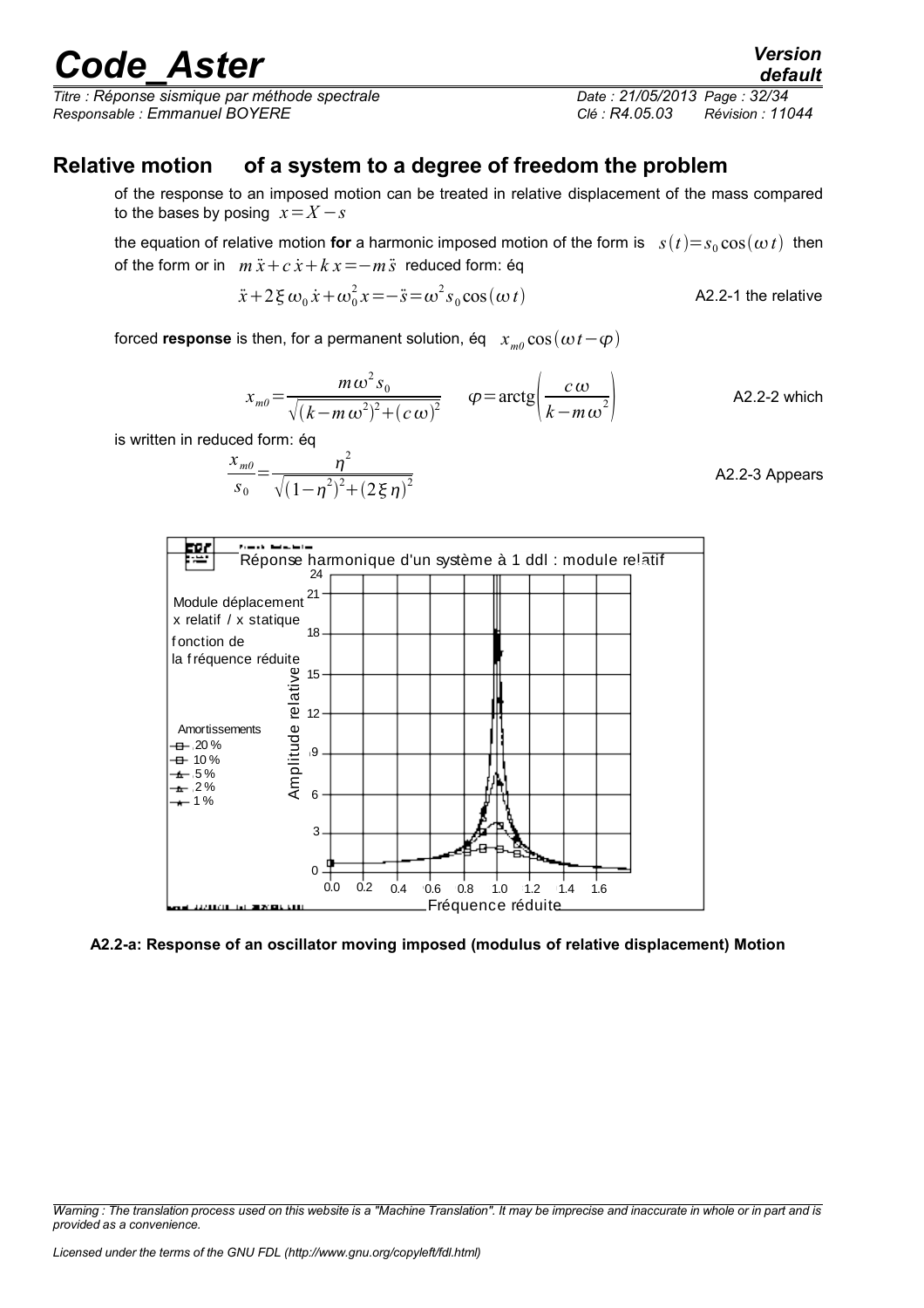*Titre : Réponse sismique par méthode spectrale Date : 21/05/2013 Page : 32/34 Responsable : Emmanuel BOYERE Clé : R4.05.03 Révision : 11044*

## **Relative motion of a system to a degree of freedom the problem**

of the response to an imposed motion can be treated in relative displacement of the mass compared to the bases by posing  $x = X - s$ 

the equation of relative motion **for** a harmonic imposed motion of the form is  $s(t)=s_0 \cos(\omega t)$  then of the form or in  $m\ddot{x} + c\dot{x} + kx = -m\ddot{s}$  reduced form: éq

$$
\ddot{x} + 2\xi \omega_0 \dot{x} + \omega_0^2 x = -\ddot{s} = \omega^2 s_0 \cos(\omega t)
$$
 A2.2-1 the relative

forced **response** is then, for a permanent solution, éq  $x_{m0} \cos(\omega t - \varphi)$ 

$$
x_{m0} = \frac{m\omega^2 s_0}{\sqrt{(k-m\omega^2)^2 + (c\omega)^2}} \qquad \varphi = \arctg\left(\frac{c\omega}{k-m\omega^2}\right) \qquad \qquad \text{A2.2-2 which}
$$

is written in reduced form: éq

$$
\frac{x_{m0}}{s_0} = \frac{\eta^2}{\sqrt{(1-\eta^2)^2 + (2\xi\eta)^2}}
$$
 A2.2-3 Appears



#### **A2.2-a: Response of an oscillator moving imposed (modulus of relative displacement) Motion**

*default*

*Warning : The translation process used on this website is a "Machine Translation". It may be imprecise and inaccurate in whole or in part and is provided as a convenience.*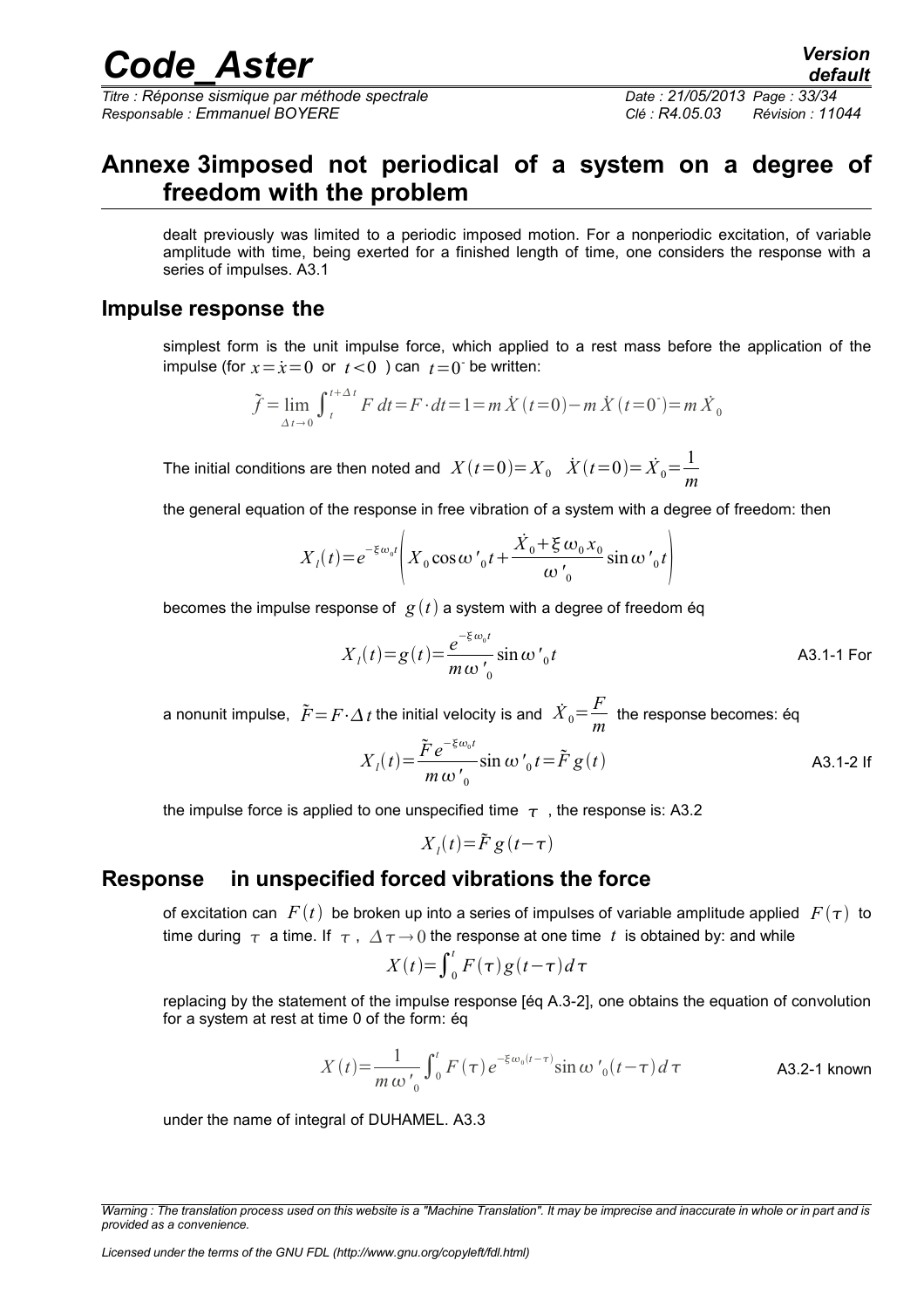*Titre : Réponse sismique par méthode spectrale Date : 21/05/2013 Page : 33/34 Responsable : Emmanuel BOYERE Clé : R4.05.03 Révision : 11044*

## *default*

## **Annexe 3imposed not periodical of a system on a degree of freedom with the problem**

dealt previously was limited to a periodic imposed motion. For a nonperiodic excitation, of variable amplitude with time, being exerted for a finished length of time, one considers the response with a series of impulses. A3.1

## **Impulse response the**

simplest form is the unit impulse force, which applied to a rest mass before the application of the impulse (for  $x = \dot{x} = 0$  or  $t < 0$ ) can  $t = 0$  be written:

$$
\tilde{f} = \lim_{\Delta t \to 0} \int_{t}^{t + \Delta t} F dt = F \cdot dt = 1 = m \dot{X} (t = 0) - m \dot{X} (t = 0) = m \dot{X}_0
$$

The initial conditions are then noted and  $X(t=0)=X_0$   $\dot{X}(t=0)=\dot{X}_0=\frac{1}{x_0}$ *m*

the general equation of the response in free vibration of a system with a degree of freedom: then

$$
X_{l}(t) = e^{-\xi \omega_0 t} \left( X_0 \cos \omega'_{0} t + \frac{\dot{X}_0 + \xi \omega_0 x_0}{\omega'_{0}} \sin \omega'_{0} t \right)
$$

becomes the impulse response of  $g(t)$  a system with a degree of freedom éq

$$
X_{l}(t) = g(t) = \frac{e^{-\xi \omega_{0} t}}{m \omega'_{0}} \sin \omega'_{0} t
$$

a nonunit impulse,  $\;\tilde{F}\!=\!F\!\cdot\!\Delta\,t$  the initial velocity is and  $\;\dot{X}_{0}\!=\!\frac{F}{m}$ *m* the response becomes: éq

$$
X_{l}(t) = \frac{\tilde{F}e^{-\xi\omega_{0}t}}{m\omega'_{0}}\sin\omega'_{0}t = \tilde{F}g(t)
$$

the impulse force is applied to one unspecified time  $\tau$ , the response is: A3.2

$$
X_{l}(t) = \tilde{F} g(t-\tau)
$$

## **Response in unspecified forced vibrations the force**

of excitation can  $F(t)$  be broken up into a series of impulses of variable amplitude applied  $F(\tau)$  to time during  $\tau$  a time. If  $\tau$ ,  $\Delta \tau \rightarrow 0$  the response at one time t is obtained by: and while

$$
X(t) = \int_0^t F(\tau)g(t-\tau)d\tau
$$

replacing by the statement of the impulse response [éq A.3-2], one obtains the equation of convolution for a system at rest at time 0 of the form: éq

$$
X(t) = \frac{1}{m \omega'_{0}} \int_{0}^{t} F(\tau) e^{-\xi \omega_{0}(t-\tau)} \sin \omega'_{0}(t-\tau) d\tau
$$
 A3.2-1 known

under the name of integral of DUHAMEL. A3.3

*Warning : The translation process used on this website is a "Machine Translation". It may be imprecise and inaccurate in whole or in part and is provided as a convenience.*